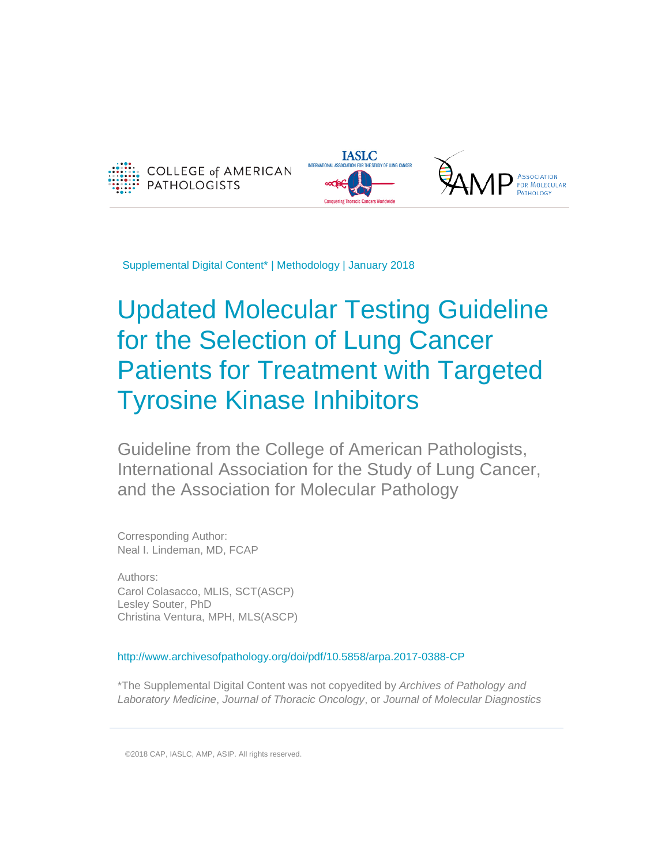



Supplemental Digital Content\* | Methodology | January 2018

# Updated Molecular Testing Guideline for the Selection of Lung Cancer Patients for Treatment with Targeted Tyrosine Kinase Inhibitors

Guideline from the College of American Pathologists, International Association for the Study of Lung Cancer, and the Association for Molecular Pathology

Corresponding Author: Neal I. Lindeman, MD, FCAP

Authors: Carol Colasacco, MLIS, SCT(ASCP) Lesley Souter, PhD Christina Ventura, MPH, MLS(ASCP)

http://www.archivesofpathology.org/doi/pdf/10.5858/arpa.2017-0388-CP

\*The Supplemental Digital Content was not copyedited by *Archives of Pathology and Laboratory Medicine*, *Journal of Thoracic Oncology*, or *Journal of Molecular Diagnostics*

©2018 CAP, IASLC, AMP, ASIP. All rights reserved.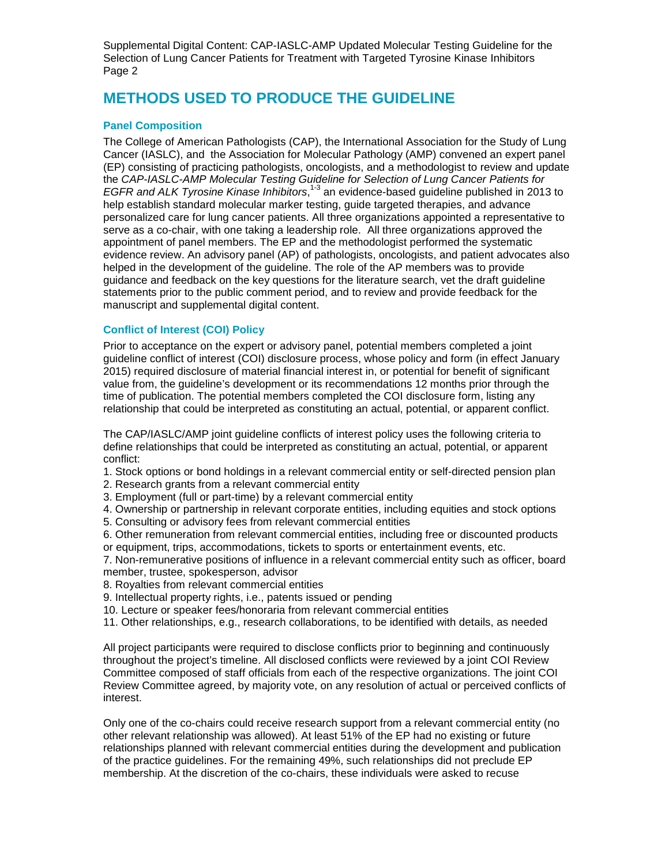## **METHODS USED TO PRODUCE THE GUIDELINE**

## **Panel Composition**

The College of American Pathologists (CAP), the International Association for the Study of Lung Cancer (IASLC), and the Association for Molecular Pathology (AMP) convened an expert panel (EP) consisting of practicing pathologists, oncologists, and a methodologist to review and update the *CAP-IASLC-AMP Molecular Testing Guideline for Selection of Lung Cancer Patients for EGFR and ALK Tyrosine Kinase Inhibitors*, 1-3 an evidence-based guideline published in 2013 to help establish standard molecular marker testing, guide targeted therapies, and advance personalized care for lung cancer patients. All three organizations appointed a representative to serve as a co-chair, with one taking a leadership role. All three organizations approved the appointment of panel members. The EP and the methodologist performed the systematic evidence review. An advisory panel (AP) of pathologists, oncologists, and patient advocates also helped in the development of the guideline. The role of the AP members was to provide guidance and feedback on the key questions for the literature search, vet the draft guideline statements prior to the public comment period, and to review and provide feedback for the manuscript and supplemental digital content.

## **Conflict of Interest (COI) Policy**

Prior to acceptance on the expert or advisory panel, potential members completed a joint guideline conflict of interest (COI) disclosure process, whose policy and form (in effect January 2015) required disclosure of material financial interest in, or potential for benefit of significant value from, the guideline's development or its recommendations 12 months prior through the time of publication. The potential members completed the COI disclosure form, listing any relationship that could be interpreted as constituting an actual, potential, or apparent conflict.

The CAP/IASLC/AMP joint guideline conflicts of interest policy uses the following criteria to define relationships that could be interpreted as constituting an actual, potential, or apparent conflict:

1. Stock options or bond holdings in a relevant commercial entity or self-directed pension plan

2. Research grants from a relevant commercial entity

3. Employment (full or part-time) by a relevant commercial entity

4. Ownership or partnership in relevant corporate entities, including equities and stock options

- 5. Consulting or advisory fees from relevant commercial entities
- 6. Other remuneration from relevant commercial entities, including free or discounted products or equipment, trips, accommodations, tickets to sports or entertainment events, etc.

7. Non-remunerative positions of influence in a relevant commercial entity such as officer, board member, trustee, spokesperson, advisor

8. Royalties from relevant commercial entities

9. Intellectual property rights, i.e., patents issued or pending

10. Lecture or speaker fees/honoraria from relevant commercial entities

11. Other relationships, e.g., research collaborations, to be identified with details, as needed

All project participants were required to disclose conflicts prior to beginning and continuously throughout the project's timeline. All disclosed conflicts were reviewed by a joint COI Review Committee composed of staff officials from each of the respective organizations. The joint COI Review Committee agreed, by majority vote, on any resolution of actual or perceived conflicts of interest.

Only one of the co-chairs could receive research support from a relevant commercial entity (no other relevant relationship was allowed). At least 51% of the EP had no existing or future relationships planned with relevant commercial entities during the development and publication of the practice guidelines. For the remaining 49%, such relationships did not preclude EP membership. At the discretion of the co-chairs, these individuals were asked to recuse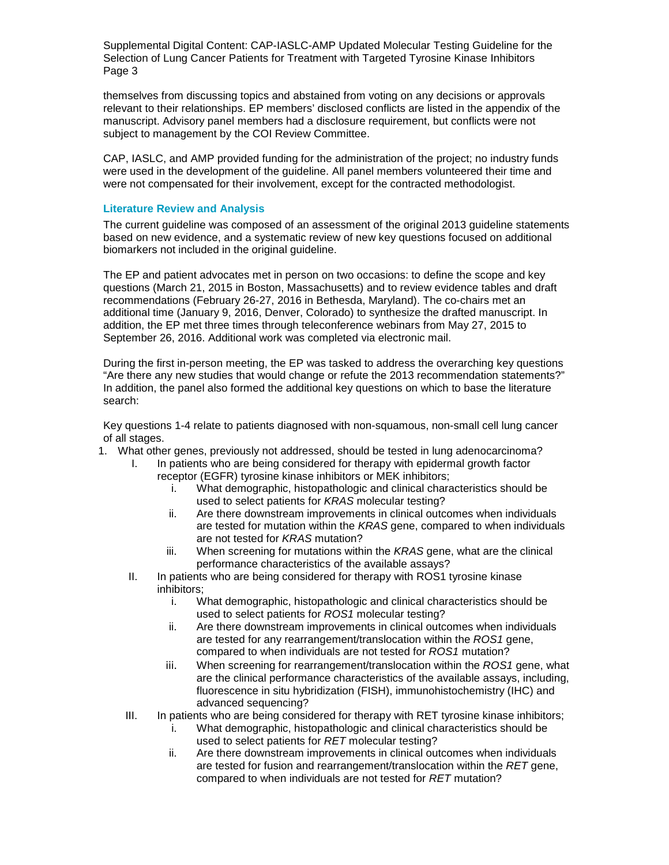themselves from discussing topics and abstained from voting on any decisions or approvals relevant to their relationships. EP members' disclosed conflicts are listed in the appendix of the manuscript. Advisory panel members had a disclosure requirement, but conflicts were not subject to management by the COI Review Committee.

CAP, IASLC, and AMP provided funding for the administration of the project; no industry funds were used in the development of the guideline. All panel members volunteered their time and were not compensated for their involvement, except for the contracted methodologist.

#### **Literature Review and Analysis**

The current guideline was composed of an assessment of the original 2013 guideline statements based on new evidence, and a systematic review of new key questions focused on additional biomarkers not included in the original guideline.

The EP and patient advocates met in person on two occasions: to define the scope and key questions (March 21, 2015 in Boston, Massachusetts) and to review evidence tables and draft recommendations (February 26-27, 2016 in Bethesda, Maryland). The co-chairs met an additional time (January 9, 2016, Denver, Colorado) to synthesize the drafted manuscript. In addition, the EP met three times through teleconference webinars from May 27, 2015 to September 26, 2016. Additional work was completed via electronic mail.

During the first in-person meeting, the EP was tasked to address the overarching key questions "Are there any new studies that would change or refute the 2013 recommendation statements?" In addition, the panel also formed the additional key questions on which to base the literature search:

Key questions 1-4 relate to patients diagnosed with non-squamous, non-small cell lung cancer of all stages.

- 1. What other genes, previously not addressed, should be tested in lung adenocarcinoma?
	- I. In patients who are being considered for therapy with epidermal growth factor receptor (EGFR) tyrosine kinase inhibitors or MEK inhibitors;
		- i. What demographic, histopathologic and clinical characteristics should be used to select patients for *KRAS* molecular testing?
		- ii. Are there downstream improvements in clinical outcomes when individuals are tested for mutation within the *KRAS* gene, compared to when individuals are not tested for *KRAS* mutation?
		- iii. When screening for mutations within the *KRAS* gene, what are the clinical performance characteristics of the available assays?
	- II. In patients who are being considered for therapy with ROS1 tyrosine kinase inhibitors;
		- i. What demographic, histopathologic and clinical characteristics should be used to select patients for *ROS1* molecular testing?
		- ii. Are there downstream improvements in clinical outcomes when individuals are tested for any rearrangement/translocation within the *ROS1* gene, compared to when individuals are not tested for *ROS1* mutation?
		- iii. When screening for rearrangement/translocation within the *ROS1* gene, what are the clinical performance characteristics of the available assays, including, fluorescence in situ hybridization (FISH), immunohistochemistry (IHC) and advanced sequencing?
	- III. In patients who are being considered for therapy with RET tyrosine kinase inhibitors;
		- i. What demographic, histopathologic and clinical characteristics should be used to select patients for *RET* molecular testing?
		- ii. Are there downstream improvements in clinical outcomes when individuals are tested for fusion and rearrangement/translocation within the *RET* gene, compared to when individuals are not tested for *RET* mutation?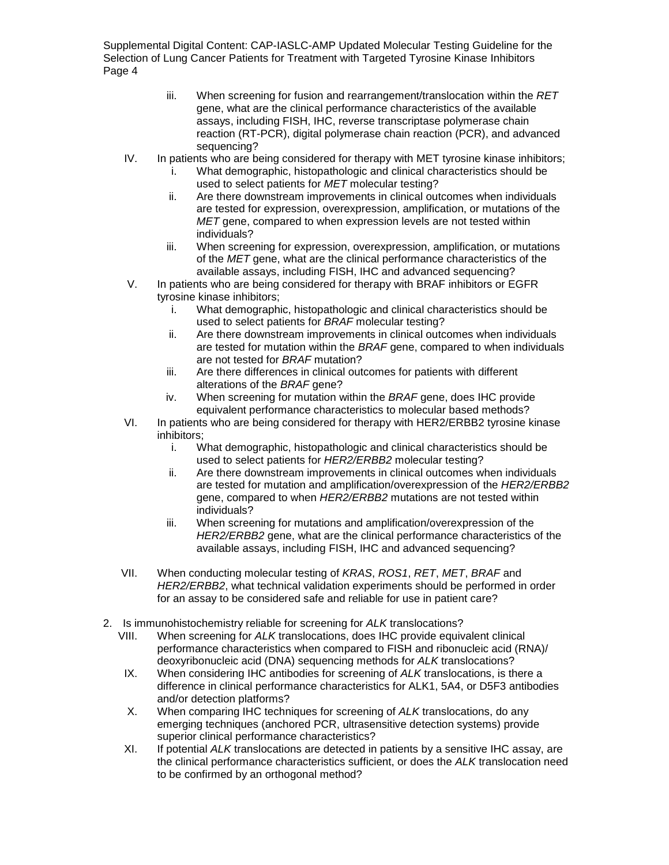- iii. When screening for fusion and rearrangement/translocation within the *RET* gene, what are the clinical performance characteristics of the available assays, including FISH, IHC, reverse transcriptase polymerase chain reaction (RT-PCR), digital polymerase chain reaction (PCR), and advanced sequencing?
- IV. In patients who are being considered for therapy with MET tyrosine kinase inhibitors;
	- i. What demographic, histopathologic and clinical characteristics should be used to select patients for *MET* molecular testing?
	- ii. Are there downstream improvements in clinical outcomes when individuals are tested for expression, overexpression, amplification, or mutations of the *MET* gene, compared to when expression levels are not tested within individuals?
	- iii. When screening for expression, overexpression, amplification, or mutations of the *MET* gene, what are the clinical performance characteristics of the available assays, including FISH, IHC and advanced sequencing?
- V. In patients who are being considered for therapy with BRAF inhibitors or EGFR tyrosine kinase inhibitors;
	- i. What demographic, histopathologic and clinical characteristics should be used to select patients for *BRAF* molecular testing?
	- ii. Are there downstream improvements in clinical outcomes when individuals are tested for mutation within the *BRAF* gene, compared to when individuals are not tested for *BRAF* mutation?
	- iii. Are there differences in clinical outcomes for patients with different alterations of the *BRAF* gene?
	- iv. When screening for mutation within the *BRAF* gene, does IHC provide equivalent performance characteristics to molecular based methods?
- VI. In patients who are being considered for therapy with HER2/ERBB2 tyrosine kinase inhibitors;
	- i. What demographic, histopathologic and clinical characteristics should be used to select patients for *HER2/ERBB2* molecular testing?
	- ii. Are there downstream improvements in clinical outcomes when individuals are tested for mutation and amplification/overexpression of the *HER2/ERBB2* gene, compared to when *HER2/ERBB2* mutations are not tested within individuals?
	- iii. When screening for mutations and amplification/overexpression of the *HER2/ERBB2* gene, what are the clinical performance characteristics of the available assays, including FISH, IHC and advanced sequencing?
- VII. When conducting molecular testing of *KRAS*, *ROS1*, *RET*, *MET*, *BRAF* and *HER2/ERBB2*, what technical validation experiments should be performed in order for an assay to be considered safe and reliable for use in patient care?
- 2. Is immunohistochemistry reliable for screening for *ALK* translocations?
	- VIII. When screening for *ALK* translocations, does IHC provide equivalent clinical performance characteristics when compared to FISH and ribonucleic acid (RNA)/ deoxyribonucleic acid (DNA) sequencing methods for *ALK* translocations?
	- IX. When considering IHC antibodies for screening of *ALK* translocations, is there a difference in clinical performance characteristics for ALK1, 5A4, or D5F3 antibodies and/or detection platforms?
	- X. When comparing IHC techniques for screening of *ALK* translocations, do any emerging techniques (anchored PCR, ultrasensitive detection systems) provide superior clinical performance characteristics?
	- XI. If potential *ALK* translocations are detected in patients by a sensitive IHC assay, are the clinical performance characteristics sufficient, or does the *ALK* translocation need to be confirmed by an orthogonal method?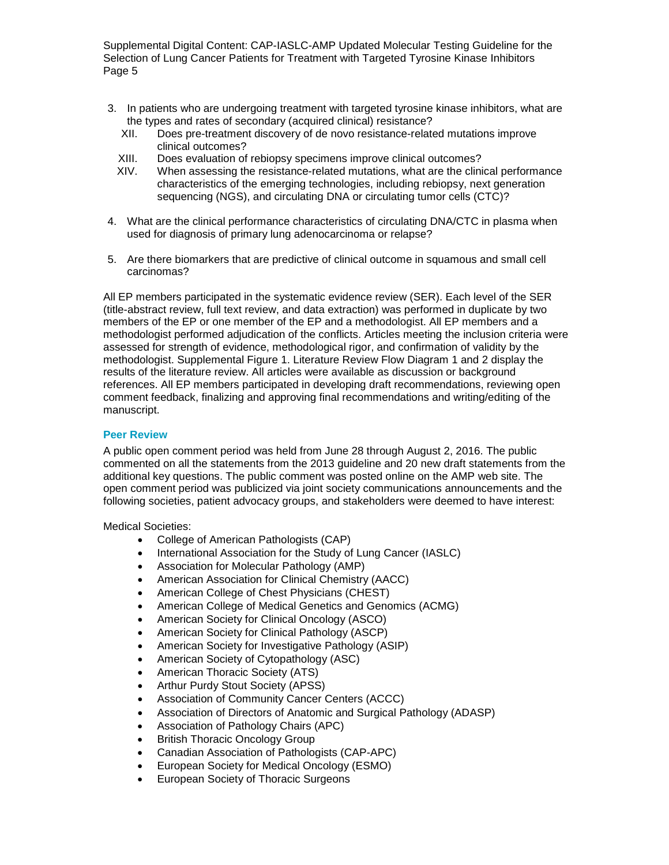- 3. In patients who are undergoing treatment with targeted tyrosine kinase inhibitors, what are the types and rates of secondary (acquired clinical) resistance?
	- XII. Does pre-treatment discovery of de novo resistance-related mutations improve clinical outcomes?
	- XIII. Does evaluation of rebiopsy specimens improve clinical outcomes?
	- XIV. When assessing the resistance-related mutations, what are the clinical performance characteristics of the emerging technologies, including rebiopsy, next generation sequencing (NGS), and circulating DNA or circulating tumor cells (CTC)?
- 4. What are the clinical performance characteristics of circulating DNA/CTC in plasma when used for diagnosis of primary lung adenocarcinoma or relapse?
- 5. Are there biomarkers that are predictive of clinical outcome in squamous and small cell carcinomas?

All EP members participated in the systematic evidence review (SER). Each level of the SER (title-abstract review, full text review, and data extraction) was performed in duplicate by two members of the EP or one member of the EP and a methodologist. All EP members and a methodologist performed adjudication of the conflicts. Articles meeting the inclusion criteria were assessed for strength of evidence, methodological rigor, and confirmation of validity by the methodologist. Supplemental Figure 1. [Literature Review Flow Diagram](#page-57-0) 1 and 2 display the results of the literature review. All articles were available as discussion or background references. All EP members participated in developing draft recommendations, reviewing open comment feedback, finalizing and approving final recommendations and writing/editing of the manuscript.

#### **Peer Review**

A public open comment period was held from June 28 through August 2, 2016. The public commented on all the statements from the 2013 guideline and 20 new draft statements from the additional key questions. The public comment was posted online on the AMP web site. The open comment period was publicized via joint society communications announcements and the following societies, patient advocacy groups, and stakeholders were deemed to have interest:

Medical Societies:

- College of American Pathologists (CAP)
- International Association for the Study of Lung Cancer (IASLC)
- Association for Molecular Pathology (AMP)
- American Association for Clinical Chemistry (AACC)
- American College of Chest Physicians (CHEST)
- American College of Medical Genetics and Genomics (ACMG)
- American Society for Clinical Oncology (ASCO)
- American Society for Clinical Pathology (ASCP)
- American Society for Investigative Pathology (ASIP)
- American Society of Cytopathology (ASC)
- American Thoracic Society (ATS)
- Arthur Purdy Stout Society (APSS)
- Association of Community Cancer Centers (ACCC)
- Association of Directors of Anatomic and Surgical Pathology (ADASP)
- Association of Pathology Chairs (APC)
- British Thoracic Oncology Group
- Canadian Association of Pathologists (CAP-APC)
- European Society for Medical Oncology (ESMO)
- European Society of Thoracic Surgeons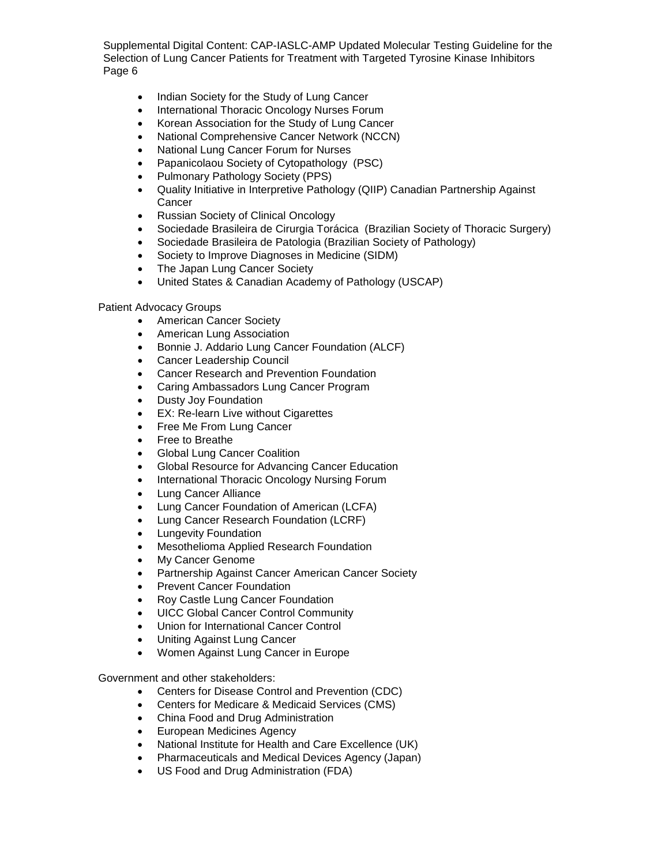- Indian Society for the Study of Lung Cancer
- International Thoracic Oncology Nurses Forum
- Korean Association for the Study of Lung Cancer
- National Comprehensive Cancer Network (NCCN)
- National Lung Cancer Forum for Nurses
- Papanicolaou Society of Cytopathology (PSC)
- Pulmonary Pathology Society (PPS)
- Quality Initiative in Interpretive Pathology (QIIP) Canadian Partnership Against **Cancer**
- Russian Society of Clinical Oncology
- Sociedade Brasileira de Cirurgia Torácica (Brazilian Society of Thoracic Surgery)
- Sociedade Brasileira de Patologia (Brazilian Society of Pathology)
- Society to Improve Diagnoses in Medicine (SIDM)
- The Japan Lung Cancer Society
- United States & Canadian Academy of Pathology (USCAP)

#### Patient Advocacy Groups

- American Cancer Society
- American Lung Association
- Bonnie J. Addario Lung Cancer Foundation (ALCF)
- Cancer Leadership Council
- Cancer Research and Prevention Foundation
- Caring Ambassadors Lung Cancer Program
- Dusty Joy Foundation
- EX: Re-learn Live without Cigarettes
- Free Me From Lung Cancer
- Free to Breathe
- Global Lung Cancer Coalition
- Global Resource for Advancing Cancer Education
- International Thoracic Oncology Nursing Forum
- Lung Cancer Alliance
- Lung Cancer Foundation of American (LCFA)
- Lung Cancer Research Foundation (LCRF)
- Lungevity Foundation
- Mesothelioma Applied Research Foundation
- My Cancer Genome
- Partnership Against Cancer American Cancer Society
- Prevent Cancer Foundation
- Roy Castle Lung Cancer Foundation
- UICC Global Cancer Control Community
- Union for International Cancer Control
- Uniting Against Lung Cancer
- Women Against Lung Cancer in Europe

Government and other stakeholders:

- Centers for Disease Control and Prevention (CDC)
- Centers for Medicare & Medicaid Services (CMS)
- China Food and Drug Administration
- European Medicines Agency
- National Institute for Health and Care Excellence (UK)
- Pharmaceuticals and Medical Devices Agency (Japan)
- US Food and Drug Administration (FDA)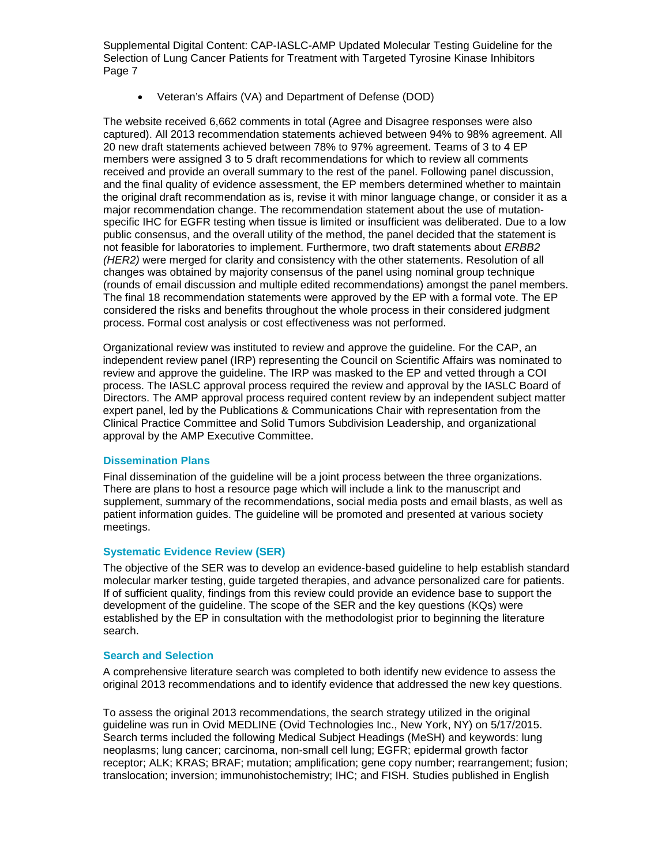• Veteran's Affairs (VA) and Department of Defense (DOD)

The website received 6,662 comments in total (Agree and Disagree responses were also captured). All 2013 recommendation statements achieved between 94% to 98% agreement. All 20 new draft statements achieved between 78% to 97% agreement. Teams of 3 to 4 EP members were assigned 3 to 5 draft recommendations for which to review all comments received and provide an overall summary to the rest of the panel. Following panel discussion, and the final quality of evidence assessment, the EP members determined whether to maintain the original draft recommendation as is, revise it with minor language change, or consider it as a major recommendation change. The recommendation statement about the use of mutationspecific IHC for EGFR testing when tissue is limited or insufficient was deliberated. Due to a low public consensus, and the overall utility of the method, the panel decided that the statement is not feasible for laboratories to implement. Furthermore, two draft statements about *ERBB2 (HER2)* were merged for clarity and consistency with the other statements. Resolution of all changes was obtained by majority consensus of the panel using nominal group technique (rounds of email discussion and multiple edited recommendations) amongst the panel members. The final 18 recommendation statements were approved by the EP with a formal vote. The EP considered the risks and benefits throughout the whole process in their considered judgment process. Formal cost analysis or cost effectiveness was not performed.

Organizational review was instituted to review and approve the guideline. For the CAP, an independent review panel (IRP) representing the Council on Scientific Affairs was nominated to review and approve the guideline. The IRP was masked to the EP and vetted through a COI process. The IASLC approval process required the review and approval by the IASLC Board of Directors. The AMP approval process required content review by an independent subject matter expert panel, led by the Publications & Communications Chair with representation from the Clinical Practice Committee and Solid Tumors Subdivision Leadership, and organizational approval by the AMP Executive Committee.

#### **Dissemination Plans**

Final dissemination of the guideline will be a joint process between the three organizations. There are plans to host a resource page which will include a link to the manuscript and supplement, summary of the recommendations, social media posts and email blasts, as well as patient information guides. The guideline will be promoted and presented at various society meetings.

#### **Systematic Evidence Review (SER)**

The objective of the SER was to develop an evidence-based guideline to help establish standard molecular marker testing, guide targeted therapies, and advance personalized care for patients. If of sufficient quality, findings from this review could provide an evidence base to support the development of the guideline. The scope of the SER and the key questions (KQs) were established by the EP in consultation with the methodologist prior to beginning the literature search.

#### **Search and Selection**

A comprehensive literature search was completed to both identify new evidence to assess the original 2013 recommendations and to identify evidence that addressed the new key questions.

To assess the original 2013 recommendations, the search strategy utilized in the original guideline was run in Ovid MEDLINE (Ovid Technologies Inc., New York, NY) on 5/17/2015. Search terms included the following Medical Subject Headings (MeSH) and keywords: lung neoplasms; lung cancer; carcinoma, non-small cell lung; EGFR; epidermal growth factor receptor; ALK; KRAS; BRAF; mutation; amplification; gene copy number; rearrangement; fusion; translocation; inversion; immunohistochemistry; IHC; and FISH. Studies published in English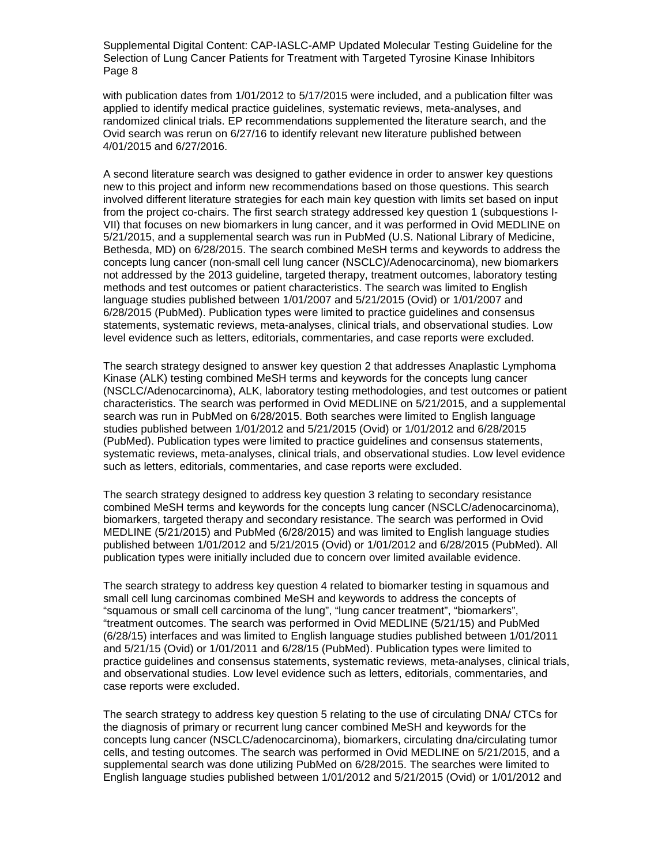with publication dates from 1/01/2012 to 5/17/2015 were included, and a publication filter was applied to identify medical practice guidelines, systematic reviews, meta-analyses, and randomized clinical trials. EP recommendations supplemented the literature search, and the Ovid search was rerun on 6/27/16 to identify relevant new literature published between 4/01/2015 and 6/27/2016.

A second literature search was designed to gather evidence in order to answer key questions new to this project and inform new recommendations based on those questions. This search involved different literature strategies for each main key question with limits set based on input from the project co-chairs. The first search strategy addressed key question 1 (subquestions I-VII) that focuses on new biomarkers in lung cancer, and it was performed in Ovid MEDLINE on 5/21/2015, and a supplemental search was run in PubMed (U.S. National Library of Medicine, Bethesda, MD) on 6/28/2015. The search combined MeSH terms and keywords to address the concepts lung cancer (non-small cell lung cancer (NSCLC)/Adenocarcinoma), new biomarkers not addressed by the 2013 guideline, targeted therapy, treatment outcomes, laboratory testing methods and test outcomes or patient characteristics. The search was limited to English language studies published between 1/01/2007 and 5/21/2015 (Ovid) or 1/01/2007 and 6/28/2015 (PubMed). Publication types were limited to practice guidelines and consensus statements, systematic reviews, meta-analyses, clinical trials, and observational studies. Low level evidence such as letters, editorials, commentaries, and case reports were excluded.

The search strategy designed to answer key question 2 that addresses Anaplastic Lymphoma Kinase (ALK) testing combined MeSH terms and keywords for the concepts lung cancer (NSCLC/Adenocarcinoma), ALK, laboratory testing methodologies, and test outcomes or patient characteristics. The search was performed in Ovid MEDLINE on 5/21/2015, and a supplemental search was run in PubMed on 6/28/2015. Both searches were limited to English language studies published between 1/01/2012 and 5/21/2015 (Ovid) or 1/01/2012 and 6/28/2015 (PubMed). Publication types were limited to practice guidelines and consensus statements, systematic reviews, meta-analyses, clinical trials, and observational studies. Low level evidence such as letters, editorials, commentaries, and case reports were excluded.

The search strategy designed to address key question 3 relating to secondary resistance combined MeSH terms and keywords for the concepts lung cancer (NSCLC/adenocarcinoma), biomarkers, targeted therapy and secondary resistance. The search was performed in Ovid MEDLINE (5/21/2015) and PubMed (6/28/2015) and was limited to English language studies published between 1/01/2012 and 5/21/2015 (Ovid) or 1/01/2012 and 6/28/2015 (PubMed). All publication types were initially included due to concern over limited available evidence.

The search strategy to address key question 4 related to biomarker testing in squamous and small cell lung carcinomas combined MeSH and keywords to address the concepts of "squamous or small cell carcinoma of the lung", "lung cancer treatment", "biomarkers", "treatment outcomes. The search was performed in Ovid MEDLINE (5/21/15) and PubMed (6/28/15) interfaces and was limited to English language studies published between 1/01/2011 and 5/21/15 (Ovid) or 1/01/2011 and 6/28/15 (PubMed). Publication types were limited to practice guidelines and consensus statements, systematic reviews, meta-analyses, clinical trials, and observational studies. Low level evidence such as letters, editorials, commentaries, and case reports were excluded.

The search strategy to address key question 5 relating to the use of circulating DNA/ CTCs for the diagnosis of primary or recurrent lung cancer combined MeSH and keywords for the concepts lung cancer (NSCLC/adenocarcinoma), biomarkers, circulating dna/circulating tumor cells, and testing outcomes. The search was performed in Ovid MEDLINE on 5/21/2015, and a supplemental search was done utilizing PubMed on 6/28/2015. The searches were limited to English language studies published between 1/01/2012 and 5/21/2015 (Ovid) or 1/01/2012 and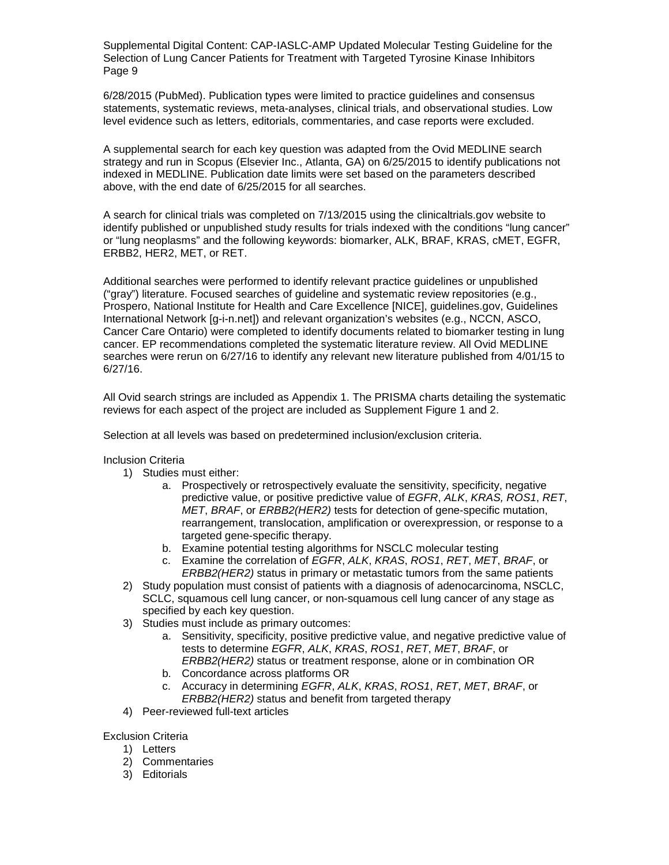6/28/2015 (PubMed). Publication types were limited to practice guidelines and consensus statements, systematic reviews, meta-analyses, clinical trials, and observational studies. Low level evidence such as letters, editorials, commentaries, and case reports were excluded.

A supplemental search for each key question was adapted from the Ovid MEDLINE search strategy and run in Scopus (Elsevier Inc., Atlanta, GA) on 6/25/2015 to identify publications not indexed in MEDLINE. Publication date limits were set based on the parameters described above, with the end date of 6/25/2015 for all searches.

A search for clinical trials was completed on 7/13/2015 using the clinicaltrials.gov website to identify published or unpublished study results for trials indexed with the conditions "lung cancer" or "lung neoplasms" and the following keywords: biomarker, ALK, BRAF, KRAS, cMET, EGFR, ERBB2, HER2, MET, or RET.

Additional searches were performed to identify relevant practice guidelines or unpublished ("gray") literature. Focused searches of guideline and systematic review repositories (e.g., Prospero, National Institute for Health and Care Excellence [NICE], guidelines.gov, Guidelines International Network [g-i-n.net]) and relevant organization's websites (e.g., NCCN, ASCO, Cancer Care Ontario) were completed to identify documents related to biomarker testing in lung cancer. EP recommendations completed the systematic literature review. All Ovid MEDLINE searches were rerun on 6/27/16 to identify any relevant new literature published from 4/01/15 to 6/27/16.

All Ovid search strings are included as Appendix 1. The PRISMA charts detailing the systematic reviews for each aspect of the project are included as Supplement Figure 1 and 2.

Selection at all levels was based on predetermined inclusion/exclusion criteria.

Inclusion Criteria

- 1) Studies must either:
	- a. Prospectively or retrospectively evaluate the sensitivity, specificity, negative predictive value, or positive predictive value of *EGFR*, *ALK*, *KRAS, ROS1*, *RET*, *MET*, *BRAF*, or *ERBB2(HER2)* tests for detection of gene-specific mutation, rearrangement, translocation, amplification or overexpression, or response to a targeted gene-specific therapy.
	- b. Examine potential testing algorithms for NSCLC molecular testing
	- c. Examine the correlation of *EGFR*, *ALK*, *KRAS*, *ROS1*, *RET*, *MET*, *BRAF*, or *ERBB2(HER2)* status in primary or metastatic tumors from the same patients
- 2) Study population must consist of patients with a diagnosis of adenocarcinoma, NSCLC, SCLC, squamous cell lung cancer, or non-squamous cell lung cancer of any stage as specified by each key question.
- 3) Studies must include as primary outcomes:
	- a. Sensitivity, specificity, positive predictive value, and negative predictive value of tests to determine *EGFR*, *ALK*, *KRAS*, *ROS1*, *RET*, *MET*, *BRAF*, or *ERBB2(HER2)* status or treatment response, alone or in combination OR
	- b. Concordance across platforms OR
	- c. Accuracy in determining *EGFR*, *ALK*, *KRAS*, *ROS1*, *RET*, *MET*, *BRAF*, or *ERBB2(HER2)* status and benefit from targeted therapy
- 4) Peer-reviewed full-text articles

Exclusion Criteria

- 1) Letters
- 2) Commentaries
- 3) Editorials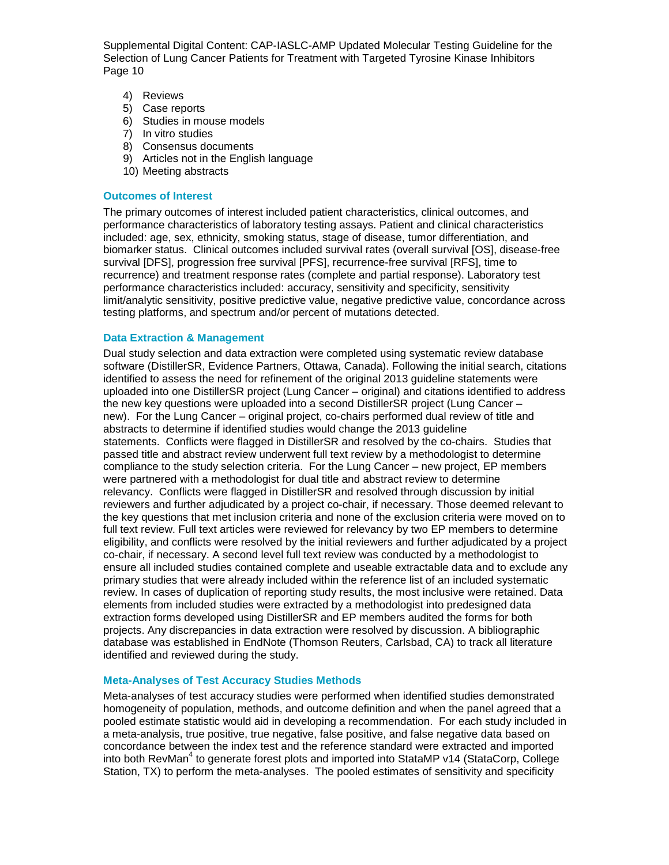- 4) Reviews
- 5) Case reports
- 6) Studies in mouse models
- 7) In vitro studies
- 8) Consensus documents
- 9) Articles not in the English language
- 10) Meeting abstracts

#### **Outcomes of Interest**

The primary outcomes of interest included patient characteristics, clinical outcomes, and performance characteristics of laboratory testing assays. Patient and clinical characteristics included: age, sex, ethnicity, smoking status, stage of disease, tumor differentiation, and biomarker status. Clinical outcomes included survival rates (overall survival [OS], disease-free survival [DFS], progression free survival [PFS], recurrence-free survival [RFS], time to recurrence) and treatment response rates (complete and partial response). Laboratory test performance characteristics included: accuracy, sensitivity and specificity, sensitivity limit/analytic sensitivity, positive predictive value, negative predictive value, concordance across testing platforms, and spectrum and/or percent of mutations detected.

#### **Data Extraction & Management**

Dual study selection and data extraction were completed using systematic review database software (DistillerSR, Evidence Partners, Ottawa, Canada). Following the initial search, citations identified to assess the need for refinement of the original 2013 guideline statements were uploaded into one DistillerSR project (Lung Cancer – original) and citations identified to address the new key questions were uploaded into a second DistillerSR project (Lung Cancer – new). For the Lung Cancer – original project, co-chairs performed dual review of title and abstracts to determine if identified studies would change the 2013 guideline statements. Conflicts were flagged in DistillerSR and resolved by the co-chairs. Studies that passed title and abstract review underwent full text review by a methodologist to determine compliance to the study selection criteria. For the Lung Cancer – new project, EP members were partnered with a methodologist for dual title and abstract review to determine relevancy. Conflicts were flagged in DistillerSR and resolved through discussion by initial reviewers and further adjudicated by a project co-chair, if necessary. Those deemed relevant to the key questions that met inclusion criteria and none of the exclusion criteria were moved on to full text review. Full text articles were reviewed for relevancy by two EP members to determine eligibility, and conflicts were resolved by the initial reviewers and further adjudicated by a project co-chair, if necessary. A second level full text review was conducted by a methodologist to ensure all included studies contained complete and useable extractable data and to exclude any primary studies that were already included within the reference list of an included systematic review. In cases of duplication of reporting study results, the most inclusive were retained. Data elements from included studies were extracted by a methodologist into predesigned data extraction forms developed using DistillerSR and EP members audited the forms for both projects. Any discrepancies in data extraction were resolved by discussion. A bibliographic database was established in EndNote (Thomson Reuters, Carlsbad, CA) to track all literature identified and reviewed during the study.

#### **Meta-Analyses of Test Accuracy Studies Methods**

Meta-analyses of test accuracy studies were performed when identified studies demonstrated homogeneity of population, methods, and outcome definition and when the panel agreed that a pooled estimate statistic would aid in developing a recommendation. For each study included in a meta-analysis, true positive, true negative, false positive, and false negative data based on concordance between the index test and the reference standard were extracted and imported into both RevMan<sup>4</sup> to generate forest plots and imported into StataMP v14 (StataCorp, College Station, TX) to perform the meta-analyses. The pooled estimates of sensitivity and specificity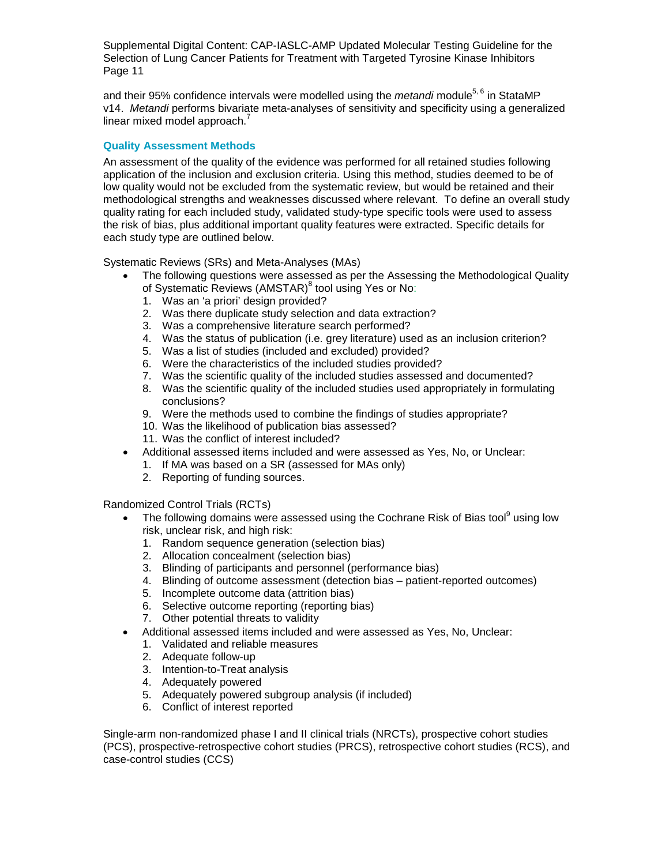and their 95% confidence intervals were modelled using the *metandi* module<sup>5, 6</sup> in StataMP v14. *Metandi* performs bivariate meta-analyses of sensitivity and specificity using a generalized linear mixed model approach. $^7$ 

#### **Quality Assessment Methods**

An assessment of the quality of the evidence was performed for all retained studies following application of the inclusion and exclusion criteria. Using this method, studies deemed to be of low quality would not be excluded from the systematic review, but would be retained and their methodological strengths and weaknesses discussed where relevant. To define an overall study quality rating for each included study, validated study-type specific tools were used to assess the risk of bias, plus additional important quality features were extracted. Specific details for each study type are outlined below.

Systematic Reviews (SRs) and Meta-Analyses (MAs)

- The following questions were assessed as per the Assessing the Methodological Quality of Systematic Reviews (AMSTAR)<sup>8</sup> tool using Yes or No:
	- 1. Was an 'a priori' design provided?
	- 2. Was there duplicate study selection and data extraction?
	- 3. Was a comprehensive literature search performed?
	- 4. Was the status of publication (i.e. grey literature) used as an inclusion criterion?
	- 5. Was a list of studies (included and excluded) provided?
	- 6. Were the characteristics of the included studies provided?
	- 7. Was the scientific quality of the included studies assessed and documented?
	- 8. Was the scientific quality of the included studies used appropriately in formulating conclusions?
	- 9. Were the methods used to combine the findings of studies appropriate?
	- 10. Was the likelihood of publication bias assessed?
	- 11. Was the conflict of interest included?
- Additional assessed items included and were assessed as Yes, No, or Unclear:
	- 1. If MA was based on a SR (assessed for MAs only)
	- 2. Reporting of funding sources.

Randomized Control Trials (RCTs)

- The following domains were assessed using the Cochrane Risk of Bias tool<sup>9</sup> using low risk, unclear risk, and high risk:
	- 1. Random sequence generation (selection bias)
	- 2. Allocation concealment (selection bias)
	- 3. Blinding of participants and personnel (performance bias)
	- 4. Blinding of outcome assessment (detection bias patient-reported outcomes)
	- 5. Incomplete outcome data (attrition bias)
	- 6. Selective outcome reporting (reporting bias)
	- 7. Other potential threats to validity
- Additional assessed items included and were assessed as Yes, No, Unclear:
	- 1. Validated and reliable measures
	- 2. Adequate follow-up
	- 3. Intention-to-Treat analysis
	- 4. Adequately powered
	- 5. Adequately powered subgroup analysis (if included)
	- 6. Conflict of interest reported

Single-arm non-randomized phase I and II clinical trials (NRCTs), prospective cohort studies (PCS), prospective-retrospective cohort studies (PRCS), retrospective cohort studies (RCS), and case-control studies (CCS)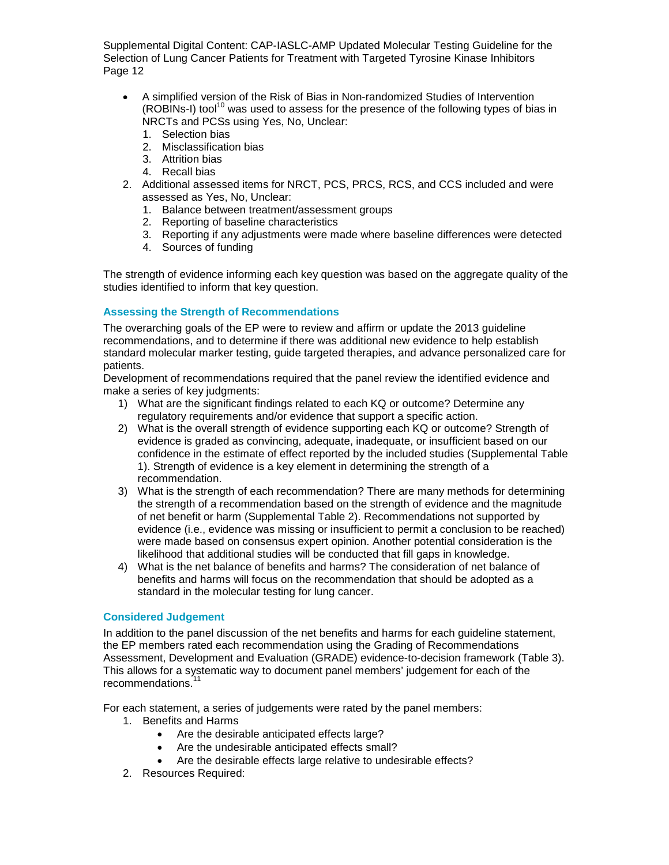- A simplified version of the Risk of Bias in Non-randomized Studies of Intervention (ROBINs-I) tool<sup>10</sup> was used to assess for the presence of the following types of bias in NRCTs and PCSs using Yes, No, Unclear:
	- 1. Selection bias
	- 2. Misclassification bias
	- 3. Attrition bias
	- 4. Recall bias
- 2. Additional assessed items for NRCT, PCS, PRCS, RCS, and CCS included and were assessed as Yes, No, Unclear:
	- 1. Balance between treatment/assessment groups
	- 2. Reporting of baseline characteristics
	- 3. Reporting if any adjustments were made where baseline differences were detected
	- 4. Sources of funding

The strength of evidence informing each key question was based on the aggregate quality of the studies identified to inform that key question.

## **Assessing the Strength of Recommendations**

The overarching goals of the EP were to review and affirm or update the 2013 guideline recommendations, and to determine if there was additional new evidence to help establish standard molecular marker testing, guide targeted therapies, and advance personalized care for patients.

Development of recommendations required that the panel review the identified evidence and make a series of key judgments:

- 1) What are the significant findings related to each KQ or outcome? Determine any regulatory requirements and/or evidence that support a specific action.
- 2) What is the overall strength of evidence supporting each KQ or outcome? Strength of evidence is graded as convincing, adequate, inadequate, or insufficient based on our confidence in the estimate of effect reported by the included studies (Supplemental Table 1). Strength of evidence is a key element in determining the strength of a recommendation.
- 3) What is the strength of each recommendation? There are many methods for determining the strength of a recommendation based on the strength of evidence and the magnitude of net benefit or harm (Supplemental Table 2). Recommendations not supported by evidence (i.e., evidence was missing or insufficient to permit a conclusion to be reached) were made based on consensus expert opinion. Another potential consideration is the likelihood that additional studies will be conducted that fill gaps in knowledge.
- 4) What is the net balance of benefits and harms? The consideration of net balance of benefits and harms will focus on the recommendation that should be adopted as a standard in the molecular testing for lung cancer.

#### **Considered Judgement**

In addition to the panel discussion of the net benefits and harms for each guideline statement, the EP members rated each recommendation using the Grading of Recommendations Assessment, Development and Evaluation (GRADE) evidence-to-decision framework (Table 3). This allows for a systematic way to document panel members' judgement for each of the recommendations.<sup>1</sup>

For each statement, a series of judgements were rated by the panel members:

- 1. Benefits and Harms
	- Are the desirable anticipated effects large?
	- Are the undesirable anticipated effects small?
	- Are the desirable effects large relative to undesirable effects?
- 2. Resources Required: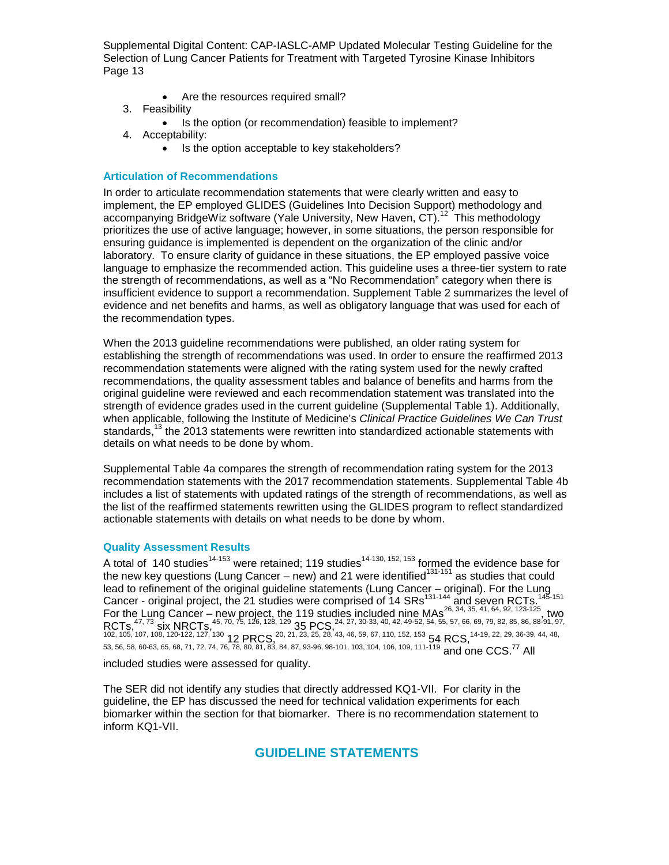- Are the resources required small?
- 3. Feasibility
	- Is the option (or recommendation) feasible to implement?
- 4. Acceptability:
	- Is the option acceptable to key stakeholders?

#### **Articulation of Recommendations**

In order to articulate recommendation statements that were clearly written and easy to implement, the EP employed GLIDES (Guidelines Into Decision Support) methodology and accompanying BridgeWiz software (Yale University, New Haven, CT).<sup>12</sup> This methodology prioritizes the use of active language; however, in some situations, the person responsible for ensuring guidance is implemented is dependent on the organization of the clinic and/or laboratory. To ensure clarity of guidance in these situations, the EP employed passive voice language to emphasize the recommended action. This guideline uses a three-tier system to rate the strength of recommendations, as well as a "No Recommendation" category when there is insufficient evidence to support a recommendation. Supplement Table 2 summarizes the level of evidence and net benefits and harms, as well as obligatory language that was used for each of the recommendation types.

When the 2013 guideline recommendations were published, an older rating system for establishing the strength of recommendations was used. In order to ensure the reaffirmed 2013 recommendation statements were aligned with the rating system used for the newly crafted recommendations, the quality assessment tables and balance of benefits and harms from the original guideline were reviewed and each recommendation statement was translated into the strength of evidence grades used in the current guideline (Supplemental Table 1). Additionally, when applicable, following the Institute of Medicine's *Clinical Practice Guidelines We Can Trust* standards, $13$  the 2013 statements were rewritten into standardized actionable statements with details on what needs to be done by whom.

Supplemental Table 4a compares the strength of recommendation rating system for the 2013 recommendation statements with the 2017 recommendation statements. Supplemental Table 4b includes a list of statements with updated ratings of the strength of recommendations, as well as the list of the reaffirmed statements rewritten using the GLIDES program to reflect standardized actionable statements with details on what needs to be done by whom.

#### **Quality Assessment Results**

A total of 140 studies<sup>14-153</sup> were retained; 119 studies<sup>14-130, 152, 153</sup> formed the evidence base for the new key questions (Lung Cancer – new) and 21 were identified<sup>131-151</sup> as studies that could lead to refinement of the original guideline statements (Lung Cancer – original). For the Lung Cancer - original project, the 21 studies were comprised of 14 SRs<sup>131-144</sup> and seven RCTs.<sup>145-151</sup> For the Lung Cancer – new project, the 119 studies included nine MAs<sup>26, 34, 35, 41, 64, 92, 123-125</sup>, two  $RCTs,$ <sup>47, 73</sup> six NRCTs,<sup>45, 70, 75, 126, 128, 129</sup> 35, PCS,  $\frac{24}{35}$ ,  $\frac{27}{30}$ ,  $\frac{30-33}{30}$ ,  $\frac{40}{35}$ ,  $\frac{42}{35}$ ,  $\frac{49-52}{30}$ ,  $\frac{54}{30}$ ,  $\frac{55}{30}$ ,  $\frac{57}{30}$ ,  $\frac{66}{30}$ ,  $\frac{69}{30}$ ,  $\frac{79}{30}$ 102, 105, 107, 108, 120-122, 127, 130 **12 PRCS**, <sup>20</sup>, <sup>21</sup>, <sup>23</sup>, <sup>25</sup>, <sup>28</sup>, <sup>43</sup>, 46, 59, 67, 110, 152, 153 **54 RCS**, <sup>14-19, <sup>22, 29, 36-39, 44, 48,</sup></sup> 53, 56, 58, 60-63, 65, 68, 71, 72, 74, 76, 78, 80, 81, 83, 84, 87, 93-96, 98-101, 103, 104, 106, 109, 111-119 and one CCS.<sup>77</sup> All

included studies were assessed for quality.

The SER did not identify any studies that directly addressed KQ1-VII. For clarity in the guideline, the EP has discussed the need for technical validation experiments for each biomarker within the section for that biomarker. There is no recommendation statement to inform KQ1-VII.

**GUIDELINE STATEMENTS**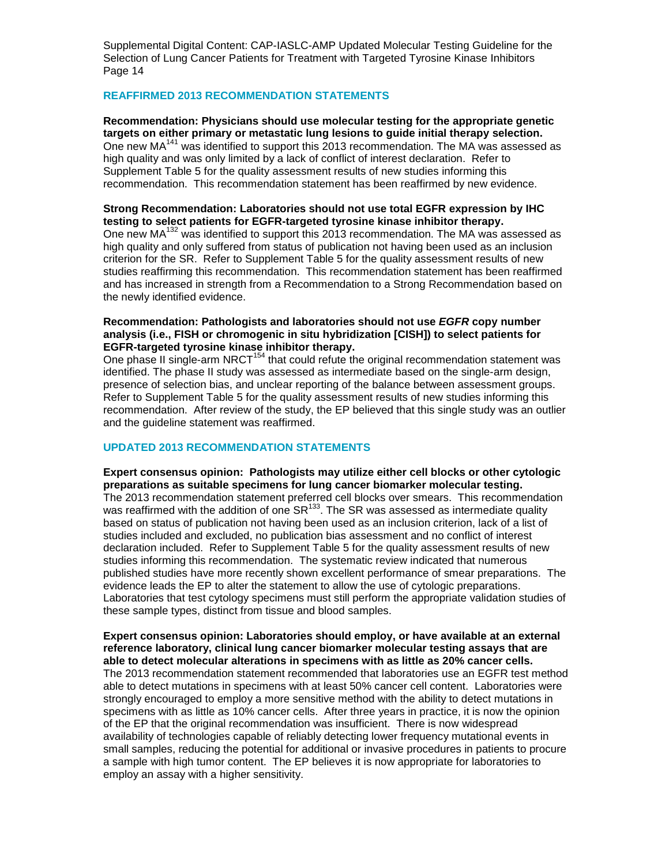#### **REAFFIRMED 2013 RECOMMENDATION STATEMENTS**

**Recommendation: Physicians should use molecular testing for the appropriate genetic targets on either primary or metastatic lung lesions to guide initial therapy selection.** One new MA<sup>141</sup> was identified to support this 2013 recommendation. The MA was assessed as high quality and was only limited by a lack of conflict of interest declaration. Refer to Supplement Table 5 for the quality assessment results of new studies informing this recommendation. This recommendation statement has been reaffirmed by new evidence.

#### **Strong Recommendation: Laboratories should not use total EGFR expression by IHC testing to select patients for EGFR-targeted tyrosine kinase inhibitor therapy.**

One new MA<sup>132</sup> was identified to support this 2013 recommendation. The MA was assessed as high quality and only suffered from status of publication not having been used as an inclusion criterion for the SR. Refer to Supplement Table 5 for the quality assessment results of new studies reaffirming this recommendation. This recommendation statement has been reaffirmed and has increased in strength from a Recommendation to a Strong Recommendation based on the newly identified evidence.

#### **Recommendation: Pathologists and laboratories should not use** *EGFR* **copy number analysis (i.e., FISH or chromogenic in situ hybridization [CISH]) to select patients for EGFR-targeted tyrosine kinase inhibitor therapy.**

One phase II single-arm NRCT<sup>154</sup> that could refute the original recommendation statement was identified. The phase II study was assessed as intermediate based on the single-arm design, presence of selection bias, and unclear reporting of the balance between assessment groups. Refer to Supplement Table 5 for the quality assessment results of new studies informing this recommendation. After review of the study, the EP believed that this single study was an outlier and the guideline statement was reaffirmed.

#### **UPDATED 2013 RECOMMENDATION STATEMENTS**

**Expert consensus opinion: Pathologists may utilize either cell blocks or other cytologic preparations as suitable specimens for lung cancer biomarker molecular testing.** The 2013 recommendation statement preferred cell blocks over smears. This recommendation was reaffirmed with the addition of one  $SR^{133}$ . The SR was assessed as intermediate quality based on status of publication not having been used as an inclusion criterion, lack of a list of studies included and excluded, no publication bias assessment and no conflict of interest declaration included. Refer to Supplement Table 5 for the quality assessment results of new studies informing this recommendation. The systematic review indicated that numerous published studies have more recently shown excellent performance of smear preparations. The evidence leads the EP to alter the statement to allow the use of cytologic preparations. Laboratories that test cytology specimens must still perform the appropriate validation studies of these sample types, distinct from tissue and blood samples.

**Expert consensus opinion: Laboratories should employ, or have available at an external reference laboratory, clinical lung cancer biomarker molecular testing assays that are able to detect molecular alterations in specimens with as little as 20% cancer cells.** The 2013 recommendation statement recommended that laboratories use an EGFR test method able to detect mutations in specimens with at least 50% cancer cell content. Laboratories were strongly encouraged to employ a more sensitive method with the ability to detect mutations in specimens with as little as 10% cancer cells. After three years in practice, it is now the opinion of the EP that the original recommendation was insufficient. There is now widespread availability of technologies capable of reliably detecting lower frequency mutational events in small samples, reducing the potential for additional or invasive procedures in patients to procure a sample with high tumor content. The EP believes it is now appropriate for laboratories to employ an assay with a higher sensitivity.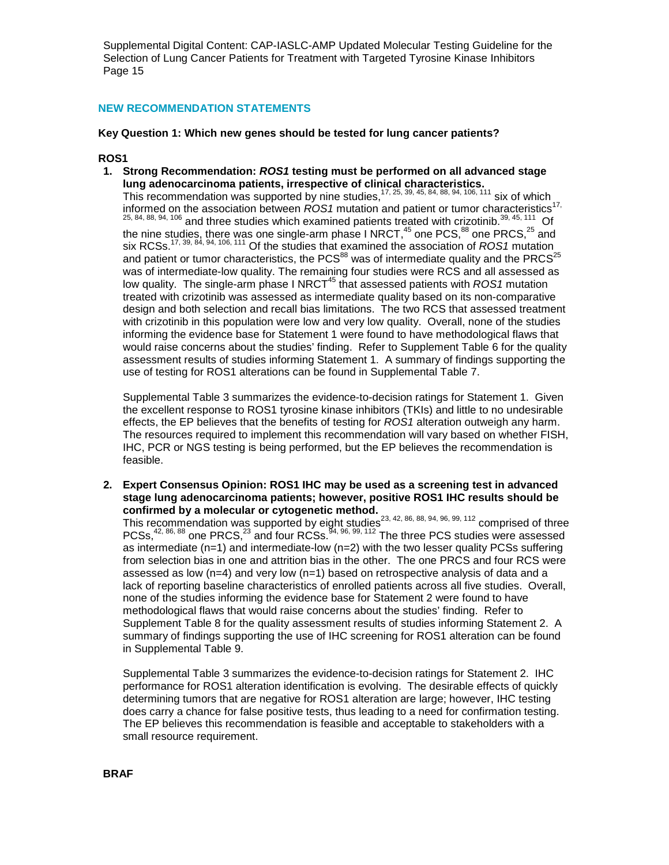#### **NEW RECOMMENDATION STATEMENTS**

#### **Key Question 1: Which new genes should be tested for lung cancer patients?**

#### **ROS1**

**1. Strong Recommendation:** *ROS1* **testing must be performed on all advanced stage lung adenocarcinoma patients, irrespective of clinical characteristics.**

This recommendation was supported by nine studies,  $17, 25, 39, 45, 84, 88, 94, 106, 111$  six of which informed on the association between *ROS1* mutation and patient or tumor characteristics<sup>17,</sup>  $25, 84, 88, 94, 106$  and three studies which examined patients treated with crizotinib.<sup>39, 45, 111</sup> Of the nine studies, there was one single-arm phase I NRCT,<sup>45</sup> one PCS,<sup>88</sup> one PRCS,<sup>25</sup> and six RCSs.17, 39, 84, 94, 106, 111 Of the studies that examined the association of *ROS1* mutation and patient or tumor characteristics, the PCS<sup>88</sup> was of intermediate quality and the PRCS<sup>25</sup> was of intermediate-low quality. The remaining four studies were RCS and all assessed as low quality. The single-arm phase I NRCT<sup>45</sup> that assessed patients with *ROS1* mutation treated with crizotinib was assessed as intermediate quality based on its non-comparative design and both selection and recall bias limitations. The two RCS that assessed treatment with crizotinib in this population were low and very low quality. Overall, none of the studies informing the evidence base for Statement 1 were found to have methodological flaws that would raise concerns about the studies' finding. Refer to Supplement Table 6 for the quality assessment results of studies informing Statement 1. A summary of findings supporting the use of testing for ROS1 alterations can be found in Supplemental Table 7.

Supplemental Table 3 summarizes the evidence-to-decision ratings for Statement 1. Given the excellent response to ROS1 tyrosine kinase inhibitors (TKIs) and little to no undesirable effects, the EP believes that the benefits of testing for *ROS1* alteration outweigh any harm. The resources required to implement this recommendation will vary based on whether FISH, IHC, PCR or NGS testing is being performed, but the EP believes the recommendation is feasible.

**2. Expert Consensus Opinion: ROS1 IHC may be used as a screening test in advanced stage lung adenocarcinoma patients; however, positive ROS1 IHC results should be confirmed by a molecular or cytogenetic method.** 

This recommendation was supported by eight studies<sup>23, 42, 86, 88, 94, 96, 99, 112</sup> comprised of three PCSs,<sup>42, 86, 88</sup> one PRCS,<sup>23</sup> and four RCSs.<sup>94, 96, 99, 112</sup> The three PCS studies were assessed as intermediate ( $n=1$ ) and intermediate-low ( $n=2$ ) with the two lesser quality PCSs suffering from selection bias in one and attrition bias in the other. The one PRCS and four RCS were assessed as low ( $n=4$ ) and very low ( $n=1$ ) based on retrospective analysis of data and a lack of reporting baseline characteristics of enrolled patients across all five studies. Overall, none of the studies informing the evidence base for Statement 2 were found to have methodological flaws that would raise concerns about the studies' finding. Refer to Supplement Table 8 for the quality assessment results of studies informing Statement 2. A summary of findings supporting the use of IHC screening for ROS1 alteration can be found in Supplemental Table 9.

Supplemental Table 3 summarizes the evidence-to-decision ratings for Statement 2. IHC performance for ROS1 alteration identification is evolving. The desirable effects of quickly determining tumors that are negative for ROS1 alteration are large; however, IHC testing does carry a chance for false positive tests, thus leading to a need for confirmation testing. The EP believes this recommendation is feasible and acceptable to stakeholders with a small resource requirement.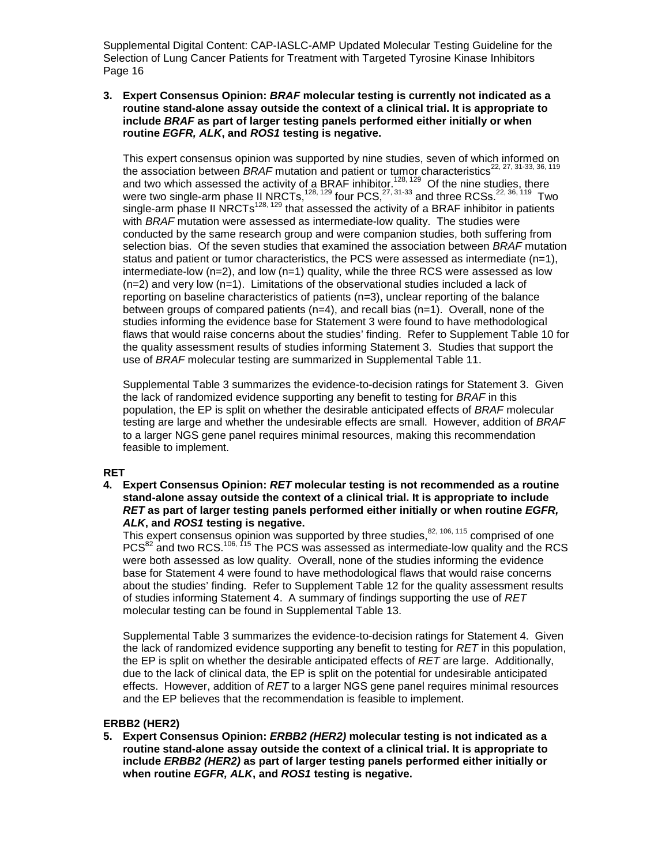#### **3. Expert Consensus Opinion:** *BRAF* **molecular testing is currently not indicated as a routine stand-alone assay outside the context of a clinical trial. It is appropriate to include** *BRAF* **as part of larger testing panels performed either initially or when routine** *EGFR, ALK***, and** *ROS1* **testing is negative.**

This expert consensus opinion was supported by nine studies, seven of which informed on the association between *BRAF* mutation and patient or tumor characteristics<sup>22, 27, 31-33, 36, 119</sup> and two which assessed the activity of a BRAF inhibitor.<sup>128, 129</sup> Of the nine studies, there were two single-arm phase II NRCTs,  $^{128, 129}$  four PCS,  $^{27, 31\cdot 33}$  and three RCSs.  $^{22, 36, 119}$  Two single-arm phase II NRCTs<sup>128, 129</sup> that assessed the activity of a BRAF inhibitor in patients with *BRAF* mutation were assessed as intermediate-low quality. The studies were conducted by the same research group and were companion studies, both suffering from selection bias. Of the seven studies that examined the association between *BRAF* mutation status and patient or tumor characteristics, the PCS were assessed as intermediate  $(n=1)$ , intermediate-low  $(n=2)$ , and low  $(n=1)$  quality, while the three RCS were assessed as low  $(n=2)$  and very low  $(n=1)$ . Limitations of the observational studies included a lack of reporting on baseline characteristics of patients (n=3), unclear reporting of the balance between groups of compared patients  $(n=4)$ , and recall bias  $(n=1)$ . Overall, none of the studies informing the evidence base for Statement 3 were found to have methodological flaws that would raise concerns about the studies' finding. Refer to Supplement Table 10 for the quality assessment results of studies informing Statement 3. Studies that support the use of *BRAF* molecular testing are summarized in Supplemental Table 11.

Supplemental Table 3 summarizes the evidence-to-decision ratings for Statement 3. Given the lack of randomized evidence supporting any benefit to testing for *BRAF* in this population, the EP is split on whether the desirable anticipated effects of *BRAF* molecular testing are large and whether the undesirable effects are small. However, addition of *BRAF* to a larger NGS gene panel requires minimal resources, making this recommendation feasible to implement.

#### **RET**

**4. Expert Consensus Opinion:** *RET* **molecular testing is not recommended as a routine stand-alone assay outside the context of a clinical trial. It is appropriate to include**  *RET* **as part of larger testing panels performed either initially or when routine** *EGFR, ALK***, and** *ROS1* **testing is negative.**

This expert consensus opinion was supported by three studies,  $82, 106, 115$  comprised of one PCS<sup>82</sup> and two RCS.<sup>106, 115</sup> The PCS was assessed as intermediate-low quality and the RCS were both assessed as low quality. Overall, none of the studies informing the evidence base for Statement 4 were found to have methodological flaws that would raise concerns about the studies' finding. Refer to Supplement Table 12 for the quality assessment results of studies informing Statement 4. A summary of findings supporting the use of *RET* molecular testing can be found in Supplemental Table 13.

Supplemental Table 3 summarizes the evidence-to-decision ratings for Statement 4. Given the lack of randomized evidence supporting any benefit to testing for *RET* in this population, the EP is split on whether the desirable anticipated effects of *RET* are large. Additionally, due to the lack of clinical data, the EP is split on the potential for undesirable anticipated effects. However, addition of *RET* to a larger NGS gene panel requires minimal resources and the EP believes that the recommendation is feasible to implement.

#### **ERBB2 (HER2)**

**5. Expert Consensus Opinion:** *ERBB2 (HER2)* **molecular testing is not indicated as a routine stand-alone assay outside the context of a clinical trial. It is appropriate to include** *ERBB2 (HER2)* **as part of larger testing panels performed either initially or when routine** *EGFR, ALK***, and** *ROS1* **testing is negative.**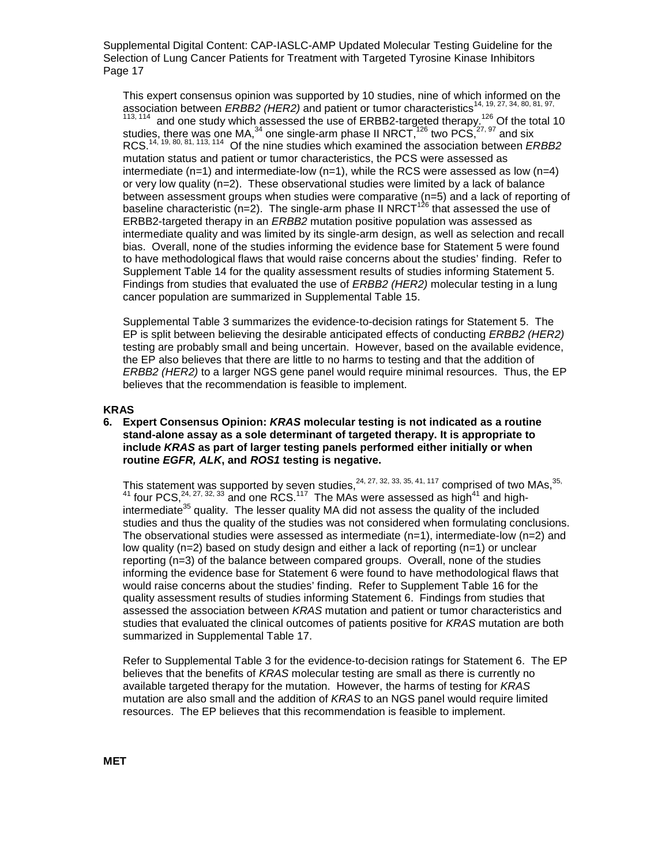This expert consensus opinion was supported by 10 studies, nine of which informed on the association between *ERBB2 (HER2)* and patient or tumor characteristics<sup>14, 19, 27, 34, 80, 81, 97,</sup>  $113, 114$  and one study which assessed the use of ERBB2-targeted therapy.<sup>126</sup> Of the total 10 studies, there was one MA,<sup>34</sup> one single-arm phase II NRCT,<sup>126</sup> two PCS,<sup>27, 97</sup> and six RCS.14, 19, 80, 81, 113, 114 Of the nine studies which examined the association between *ERBB2* mutation status and patient or tumor characteristics, the PCS were assessed as intermediate  $(n=1)$  and intermediate-low  $(n=1)$ , while the RCS were assessed as low  $(n=4)$ or very low quality (n=2). These observational studies were limited by a lack of balance between assessment groups when studies were comparative (n=5) and a lack of reporting of baseline characteristic (n=2). The single-arm phase II NRCT<sup>126</sup> that assessed the use of ERBB2-targeted therapy in an *ERBB2* mutation positive population was assessed as intermediate quality and was limited by its single-arm design, as well as selection and recall bias. Overall, none of the studies informing the evidence base for Statement 5 were found to have methodological flaws that would raise concerns about the studies' finding. Refer to Supplement Table 14 for the quality assessment results of studies informing Statement 5. Findings from studies that evaluated the use of *ERBB2 (HER2)* molecular testing in a lung cancer population are summarized in Supplemental Table 15.

Supplemental Table 3 summarizes the evidence-to-decision ratings for Statement 5. The EP is split between believing the desirable anticipated effects of conducting *ERBB2 (HER2)* testing are probably small and being uncertain. However, based on the available evidence, the EP also believes that there are little to no harms to testing and that the addition of *ERBB2 (HER2)* to a larger NGS gene panel would require minimal resources. Thus, the EP believes that the recommendation is feasible to implement.

#### **KRAS**

**6. Expert Consensus Opinion:** *KRAS* **molecular testing is not indicated as a routine stand-alone assay as a sole determinant of targeted therapy. It is appropriate to include** *KRAS* **as part of larger testing panels performed either initially or when routine** *EGFR, ALK***, and** *ROS1* **testing is negative.**

This statement was supported by seven studies,  $24, 27, 32, 33, 35, 41, 117$  comprised of two MAs,  $35$ , <sup>41</sup> four PCS,  $^{24, 27, 32, 33}$  and one RCS.<sup>117</sup> The MAs were assessed as high<sup>41</sup> and highintermediate $35$  quality. The lesser quality MA did not assess the quality of the included studies and thus the quality of the studies was not considered when formulating conclusions. The observational studies were assessed as intermediate  $(n=1)$ , intermediate-low  $(n=2)$  and low quality (n=2) based on study design and either a lack of reporting (n=1) or unclear reporting (n=3) of the balance between compared groups. Overall, none of the studies informing the evidence base for Statement 6 were found to have methodological flaws that would raise concerns about the studies' finding. Refer to Supplement Table 16 for the quality assessment results of studies informing Statement 6. Findings from studies that assessed the association between *KRAS* mutation and patient or tumor characteristics and studies that evaluated the clinical outcomes of patients positive for *KRAS* mutation are both summarized in Supplemental Table 17.

Refer to Supplemental Table 3 for the evidence-to-decision ratings for Statement 6. The EP believes that the benefits of *KRAS* molecular testing are small as there is currently no available targeted therapy for the mutation. However, the harms of testing for *KRAS* mutation are also small and the addition of *KRAS* to an NGS panel would require limited resources. The EP believes that this recommendation is feasible to implement.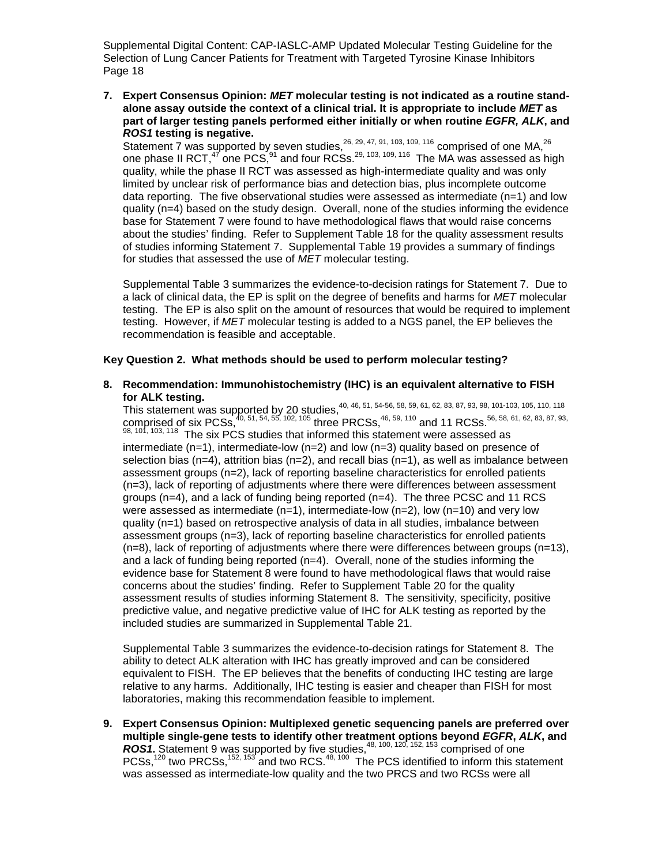**7. Expert Consensus Opinion:** *MET* **molecular testing is not indicated as a routine standalone assay outside the context of a clinical trial. It is appropriate to include** *MET* **as part of larger testing panels performed either initially or when routine** *EGFR, ALK***, and**  *ROS1* **testing is negative.**

Statement 7 was supported by seven studies,  $^{26, 29, 47, 91, 103, 109, 116}$  comprised of one MA,  $^{26}$ one phase II RCT,<sup>47</sup> one PCS,<sup>91</sup> and four RCSs.<sup>29, 103, 109, 116</sup> The MA was assessed as high quality, while the phase II RCT was assessed as high-intermediate quality and was only limited by unclear risk of performance bias and detection bias, plus incomplete outcome data reporting. The five observational studies were assessed as intermediate  $(n=1)$  and low quality (n=4) based on the study design. Overall, none of the studies informing the evidence base for Statement 7 were found to have methodological flaws that would raise concerns about the studies' finding. Refer to Supplement Table 18 for the quality assessment results of studies informing Statement 7. Supplemental Table 19 provides a summary of findings for studies that assessed the use of *MET* molecular testing.

Supplemental Table 3 summarizes the evidence-to-decision ratings for Statement 7. Due to a lack of clinical data, the EP is split on the degree of benefits and harms for *MET* molecular testing. The EP is also split on the amount of resources that would be required to implement testing. However, if *MET* molecular testing is added to a NGS panel, the EP believes the recommendation is feasible and acceptable.

#### **Key Question 2. What methods should be used to perform molecular testing?**

**8. Recommendation: Immunohistochemistry (IHC) is an equivalent alternative to FISH for ALK testing.**

This statement was supported by 20 studies,40, 46, 51, 54-56, 58, 59, 61, 62, 83, 87, 93, 98, 101-103, 105, 110, 118 comprised of six PCSs,  $^{40, 51, 54, 55, 102, 105}$  three PRCSs,  $^{46, 59, 110}$  and 11 RCSs.  $^{56, 58, 61, 62, 83, 87, 93}$  $98, 101, 103, 118$  The six PCS studies that informed this statement were assessed as intermediate  $(n=1)$ , intermediate-low  $(n=2)$  and low  $(n=3)$  quality based on presence of selection bias ( $n=4$ ), attrition bias ( $n=2$ ), and recall bias ( $n=1$ ), as well as imbalance between assessment groups (n=2), lack of reporting baseline characteristics for enrolled patients (n=3), lack of reporting of adjustments where there were differences between assessment groups (n=4), and a lack of funding being reported (n=4). The three PCSC and 11 RCS were assessed as intermediate ( $n=1$ ), intermediate-low ( $n=2$ ), low ( $n=10$ ) and very low quality (n=1) based on retrospective analysis of data in all studies, imbalance between assessment groups (n=3), lack of reporting baseline characteristics for enrolled patients  $(n=8)$ , lack of reporting of adjustments where there were differences between groups  $(n=13)$ , and a lack of funding being reported (n=4). Overall, none of the studies informing the evidence base for Statement 8 were found to have methodological flaws that would raise concerns about the studies' finding. Refer to Supplement Table 20 for the quality assessment results of studies informing Statement 8. The sensitivity, specificity, positive predictive value, and negative predictive value of IHC for ALK testing as reported by the included studies are summarized in Supplemental Table 21.

Supplemental Table 3 summarizes the evidence-to-decision ratings for Statement 8. The ability to detect ALK alteration with IHC has greatly improved and can be considered equivalent to FISH. The EP believes that the benefits of conducting IHC testing are large relative to any harms. Additionally, IHC testing is easier and cheaper than FISH for most laboratories, making this recommendation feasible to implement.

**9. Expert Consensus Opinion: Multiplexed genetic sequencing panels are preferred over multiple single-gene tests to identify other treatment options beyond** *EGFR***,** *ALK***, and ROS1.** Statement 9 was supported by five studies,<sup>48, 100, 120, 152, 153</sup> comprised of one PCSs,<sup>120</sup> two PRCSs,<sup>152, 153</sup> and two RCS.<sup>48, 100</sup> The PCS identified to inform this statement was assessed as intermediate-low quality and the two PRCS and two RCSs were all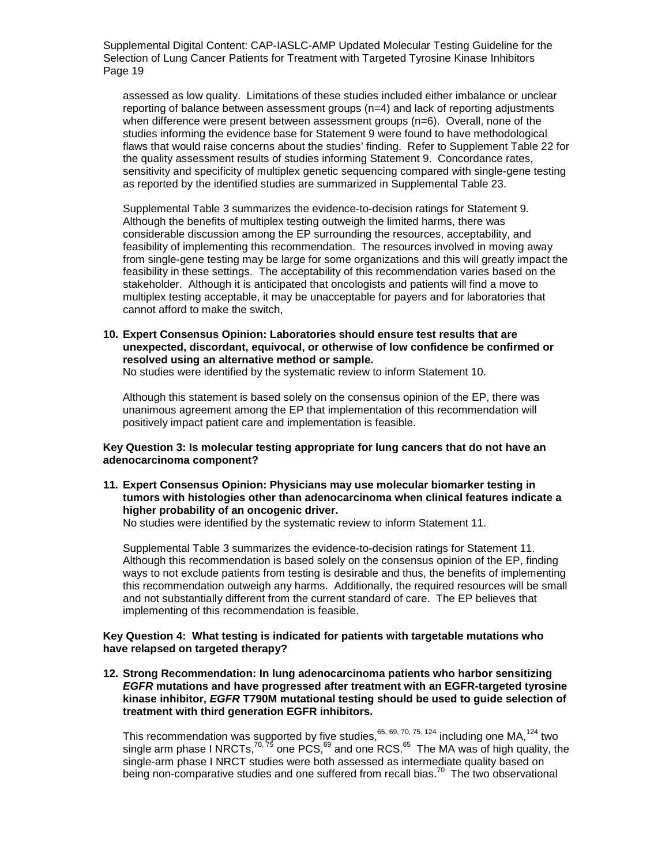assessed as low quality. Limitations of these studies included either imbalance or unclear reporting of balance between assessment groups (n=4) and lack of reporting adjustments when difference were present between assessment groups (n=6). Overall, none of the studies informing the evidence base for Statement 9 were found to have methodological flaws that would raise concerns about the studies' finding. Refer to Supplement Table 22 for the quality assessment results of studies informing Statement 9. Concordance rates, sensitivity and specificity of multiplex genetic sequencing compared with single-gene testing as reported by the identified studies are summarized in Supplemental Table 23.

Supplemental Table 3 summarizes the evidence-to-decision ratings for Statement 9. Although the benefits of multiplex testing outweigh the limited harms, there was considerable discussion among the EP surrounding the resources, acceptability, and feasibility of implementing this recommendation. The resources involved in moving away from single-gene testing may be large for some organizations and this will greatly impact the feasibility in these settings. The acceptability of this recommendation varies based on the stakeholder. Although it is anticipated that oncologists and patients will find a move to multiplex testing acceptable, it may be unacceptable for payers and for laboratories that cannot afford to make the switch,

**10. Expert Consensus Opinion: Laboratories should ensure test results that are unexpected, discordant, equivocal, or otherwise of low confidence be confirmed or resolved using an alternative method or sample.** 

No studies were identified by the systematic review to inform Statement 10.

Although this statement is based solely on the consensus opinion of the EP, there was unanimous agreement among the EP that implementation of this recommendation will positively impact patient care and implementation is feasible.

#### **Key Question 3: Is molecular testing appropriate for lung cancers that do not have an adenocarcinoma component?**

**11. Expert Consensus Opinion: Physicians may use molecular biomarker testing in tumors with histologies other than adenocarcinoma when clinical features indicate a higher probability of an oncogenic driver.**

No studies were identified by the systematic review to inform Statement 11.

Supplemental Table 3 summarizes the evidence-to-decision ratings for Statement 11. Although this recommendation is based solely on the consensus opinion of the EP, finding ways to not exclude patients from testing is desirable and thus, the benefits of implementing this recommendation outweigh any harms. Additionally, the required resources will be small and not substantially different from the current standard of care. The EP believes that implementing of this recommendation is feasible.

#### **Key Question 4: What testing is indicated for patients with targetable mutations who have relapsed on targeted therapy?**

**12. Strong Recommendation: In lung adenocarcinoma patients who harbor sensitizing**  *EGFR* **mutations and have progressed after treatment with an EGFR-targeted tyrosine kinase inhibitor,** *EGFR* **T790M mutational testing should be used to guide selection of treatment with third generation EGFR inhibitors.**

This recommendation was supported by five studies,  $65, 69, 70, 75, 124$  including one MA,  $124$  two single arm phase I NRCTs,<sup>70,75</sup> one PCS, $^{69}$  and one RCS. $^{65}$  The MA was of high quality, the single-arm phase I NRCT studies were both assessed as intermediate quality based on being non-comparative studies and one suffered from recall bias.<sup>70</sup> The two observational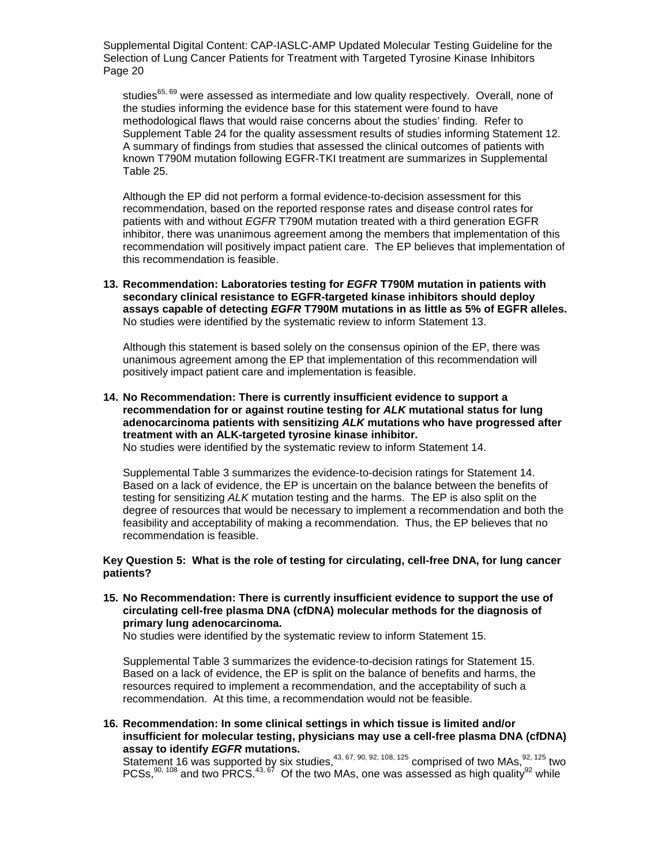studies<sup>65, 69</sup> were assessed as intermediate and low quality respectively. Overall, none of the studies informing the evidence base for this statement were found to have methodological flaws that would raise concerns about the studies' finding. Refer to Supplement Table 24 for the quality assessment results of studies informing Statement 12. A summary of findings from studies that assessed the clinical outcomes of patients with known T790M mutation following EGFR-TKI treatment are summarizes in Supplemental Table 25.

Although the EP did not perform a formal evidence-to-decision assessment for this recommendation, based on the reported response rates and disease control rates for patients with and without *EGFR* T790M mutation treated with a third generation EGFR inhibitor, there was unanimous agreement among the members that implementation of this recommendation will positively impact patient care. The EP believes that implementation of this recommendation is feasible.

**13. Recommendation: Laboratories testing for** *EGFR* **T790M mutation in patients with secondary clinical resistance to EGFR-targeted kinase inhibitors should deploy assays capable of detecting** *EGFR* **T790M mutations in as little as 5% of EGFR alleles.** No studies were identified by the systematic review to inform Statement 13.

Although this statement is based solely on the consensus opinion of the EP, there was unanimous agreement among the EP that implementation of this recommendation will positively impact patient care and implementation is feasible.

**14. No Recommendation: There is currently insufficient evidence to support a recommendation for or against routine testing for** *ALK* **mutational status for lung adenocarcinoma patients with sensitizing** *ALK* **mutations who have progressed after treatment with an ALK-targeted tyrosine kinase inhibitor.**

No studies were identified by the systematic review to inform Statement 14.

Supplemental Table 3 summarizes the evidence-to-decision ratings for Statement 14. Based on a lack of evidence, the EP is uncertain on the balance between the benefits of testing for sensitizing *ALK* mutation testing and the harms. The EP is also split on the degree of resources that would be necessary to implement a recommendation and both the feasibility and acceptability of making a recommendation. Thus, the EP believes that no recommendation is feasible.

#### **Key Question 5: What is the role of testing for circulating, cell-free DNA, for lung cancer patients?**

#### **15. No Recommendation: There is currently insufficient evidence to support the use of circulating cell-free plasma DNA (cfDNA) molecular methods for the diagnosis of primary lung adenocarcinoma.**

No studies were identified by the systematic review to inform Statement 15.

Supplemental Table 3 summarizes the evidence-to-decision ratings for Statement 15. Based on a lack of evidence, the EP is split on the balance of benefits and harms, the resources required to implement a recommendation, and the acceptability of such a recommendation. At this time, a recommendation would not be feasible.

#### **16. Recommendation: In some clinical settings in which tissue is limited and/or insufficient for molecular testing, physicians may use a cell-free plasma DNA (cfDNA) assay to identify** *EGFR* **mutations.**

Statement 16 was supported by six studies,  $43, 67, 90, 92, 108, 125$  comprised of two MAs,  $92, 125$  two PCSs, $^{90, 108}$  and two PRCS. $^{43, 67}$  Of the two MAs, one was assessed as high quality $^{92}$  while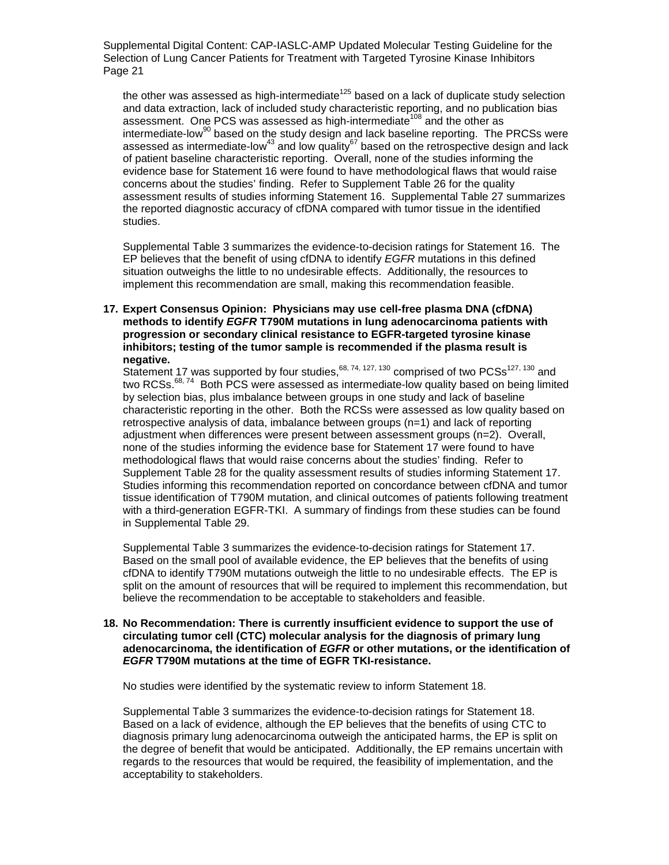the other was assessed as high-intermediate<sup>125</sup> based on a lack of duplicate study selection and data extraction, lack of included study characteristic reporting, and no publication bias assessment. One PCS was assessed as high-intermediate<sup>108</sup> and the other as intermediate-low<sup>90</sup> based on the study design and lack baseline reporting. The PRCSs were assessed as intermediate-low<sup>43</sup> and low quality<sup>67</sup> based on the retrospective design and lack of patient baseline characteristic reporting. Overall, none of the studies informing the evidence base for Statement 16 were found to have methodological flaws that would raise concerns about the studies' finding. Refer to Supplement Table 26 for the quality assessment results of studies informing Statement 16. Supplemental Table 27 summarizes the reported diagnostic accuracy of cfDNA compared with tumor tissue in the identified studies.

Supplemental Table 3 summarizes the evidence-to-decision ratings for Statement 16. The EP believes that the benefit of using cfDNA to identify *EGFR* mutations in this defined situation outweighs the little to no undesirable effects. Additionally, the resources to implement this recommendation are small, making this recommendation feasible.

#### **17. Expert Consensus Opinion: Physicians may use cell-free plasma DNA (cfDNA) methods to identify** *EGFR* **T790M mutations in lung adenocarcinoma patients with progression or secondary clinical resistance to EGFR-targeted tyrosine kinase inhibitors; testing of the tumor sample is recommended if the plasma result is negative.**

Statement 17 was supported by four studies,  $68, 74, 127, 130$  comprised of two PCSs<sup>127, 130</sup> and two RCSs.<sup>68, 74</sup> Both PCS were assessed as intermediate-low quality based on being limited by selection bias, plus imbalance between groups in one study and lack of baseline characteristic reporting in the other. Both the RCSs were assessed as low quality based on retrospective analysis of data, imbalance between groups (n=1) and lack of reporting adjustment when differences were present between assessment groups (n=2). Overall, none of the studies informing the evidence base for Statement 17 were found to have methodological flaws that would raise concerns about the studies' finding. Refer to Supplement Table 28 for the quality assessment results of studies informing Statement 17. Studies informing this recommendation reported on concordance between cfDNA and tumor tissue identification of T790M mutation, and clinical outcomes of patients following treatment with a third-generation EGFR-TKI. A summary of findings from these studies can be found in Supplemental Table 29.

Supplemental Table 3 summarizes the evidence-to-decision ratings for Statement 17. Based on the small pool of available evidence, the EP believes that the benefits of using cfDNA to identify T790M mutations outweigh the little to no undesirable effects. The EP is split on the amount of resources that will be required to implement this recommendation, but believe the recommendation to be acceptable to stakeholders and feasible.

#### **18. No Recommendation: There is currently insufficient evidence to support the use of circulating tumor cell (CTC) molecular analysis for the diagnosis of primary lung adenocarcinoma, the identification of** *EGFR* **or other mutations, or the identification of**  *EGFR* **T790M mutations at the time of EGFR TKI-resistance.**

No studies were identified by the systematic review to inform Statement 18.

Supplemental Table 3 summarizes the evidence-to-decision ratings for Statement 18. Based on a lack of evidence, although the EP believes that the benefits of using CTC to diagnosis primary lung adenocarcinoma outweigh the anticipated harms, the EP is split on the degree of benefit that would be anticipated. Additionally, the EP remains uncertain with regards to the resources that would be required, the feasibility of implementation, and the acceptability to stakeholders.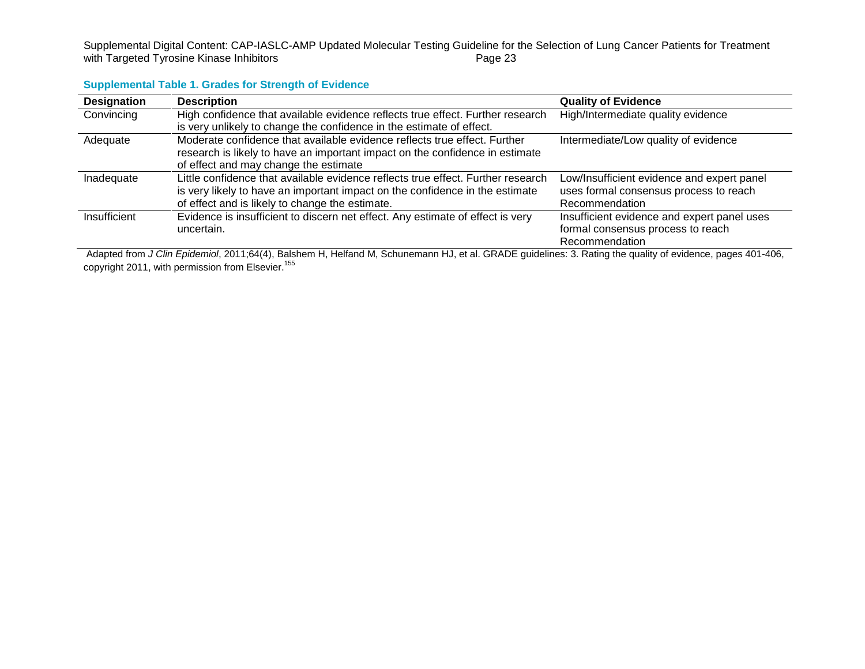Supplemental Digital Content: CAP-IASLC-AMP Updated Molecular Testing Guideline for the Selection of Lung Cancer Patients for Treatment<br>with Targeted Tyrosine Kinase Inhibitors<br>Page 23 with Targeted Tyrosine Kinase Inhibitors

## **Supplemental Table 1. Grades for Strength of Evidence**

| <b>Designation</b> | <b>Description</b>                                                               | <b>Quality of Evidence</b>                  |
|--------------------|----------------------------------------------------------------------------------|---------------------------------------------|
| Convincing         | High confidence that available evidence reflects true effect. Further research   | High/Intermediate quality evidence          |
|                    | is very unlikely to change the confidence in the estimate of effect.             |                                             |
| Adequate           | Moderate confidence that available evidence reflects true effect. Further        | Intermediate/Low quality of evidence        |
|                    | research is likely to have an important impact on the confidence in estimate     |                                             |
|                    | of effect and may change the estimate                                            |                                             |
| Inadequate         | Little confidence that available evidence reflects true effect. Further research | Low/Insufficient evidence and expert panel  |
|                    | is very likely to have an important impact on the confidence in the estimate     | uses formal consensus process to reach      |
|                    | of effect and is likely to change the estimate.                                  | Recommendation                              |
| Insufficient       | Evidence is insufficient to discern net effect. Any estimate of effect is very   | Insufficient evidence and expert panel uses |
|                    | uncertain.                                                                       | formal consensus process to reach           |
|                    |                                                                                  | Recommendation                              |

Adapted from *J Clin Epidemiol*, 2011;64(4), Balshem H, Helfand M, Schunemann HJ, et al. GRADE guidelines: 3. Rating the quality of evidence, pages 401-406, copyright 2011, with permission from Elsevier.<sup>155</sup>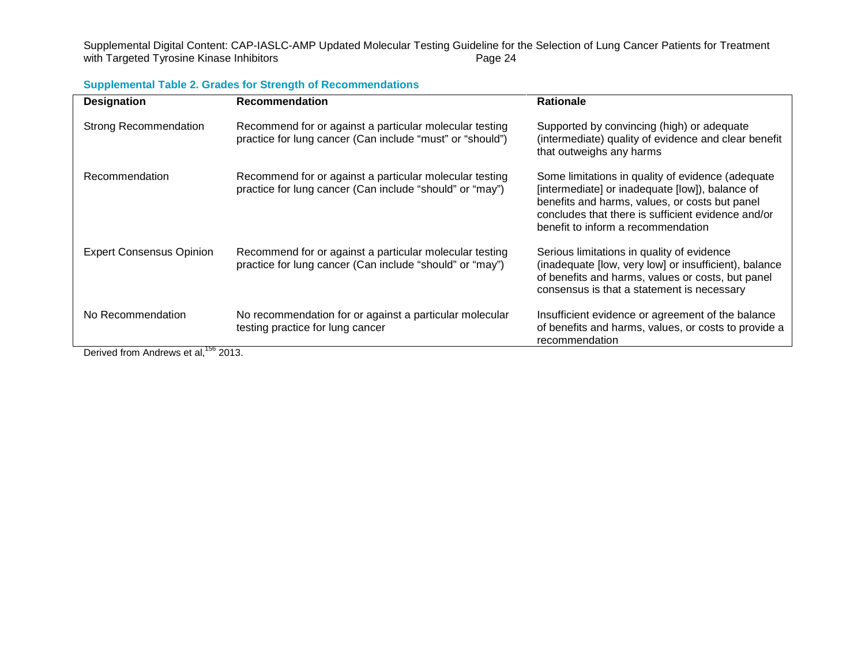Supplemental Digital Content: CAP-IASLC-AMP Updated Molecular Testing Guideline for the Selection of Lung Cancer Patients for Treatment<br>with Targeted Tyrosine Kinase Inhibitors<br>Page 24 with Targeted Tyrosine Kinase Inhibitors

| <b>Designation</b>                                                                                                                 | <b>Recommendation</b>                                                                                                | <b>Rationale</b>                                                                                                                                                                                                                                   |
|------------------------------------------------------------------------------------------------------------------------------------|----------------------------------------------------------------------------------------------------------------------|----------------------------------------------------------------------------------------------------------------------------------------------------------------------------------------------------------------------------------------------------|
| <b>Strong Recommendation</b>                                                                                                       | Recommend for or against a particular molecular testing<br>practice for lung cancer (Can include "must" or "should") | Supported by convincing (high) or adequate<br>(intermediate) quality of evidence and clear benefit<br>that outweighs any harms                                                                                                                     |
| Recommendation                                                                                                                     | Recommend for or against a particular molecular testing<br>practice for lung cancer (Can include "should" or "may")  | Some limitations in quality of evidence (adequate<br>[intermediate] or inadequate [low]), balance of<br>benefits and harms, values, or costs but panel<br>concludes that there is sufficient evidence and/or<br>benefit to inform a recommendation |
| <b>Expert Consensus Opinion</b>                                                                                                    | Recommend for or against a particular molecular testing<br>practice for lung cancer (Can include "should" or "may")  | Serious limitations in quality of evidence<br>(inadequate [low, very low] or insufficient), balance<br>of benefits and harms, values or costs, but panel<br>consensus is that a statement is necessary                                             |
| No Recommendation<br>$D_{\text{c}}$ and $L_{\text{c}}$ and $L_{\text{c}}$ and $L_{\text{c}}$ and $L_{\text{c}}$ and $R_{\text{c}}$ | No recommendation for or against a particular molecular<br>testing practice for lung cancer                          | Insufficient evidence or agreement of the balance<br>of benefits and harms, values, or costs to provide a<br>recommendation                                                                                                                        |

**Supplemental Table 2. Grades for Strength of Recommendations**

Derived from Andrews et al, <sup>156</sup> 2013.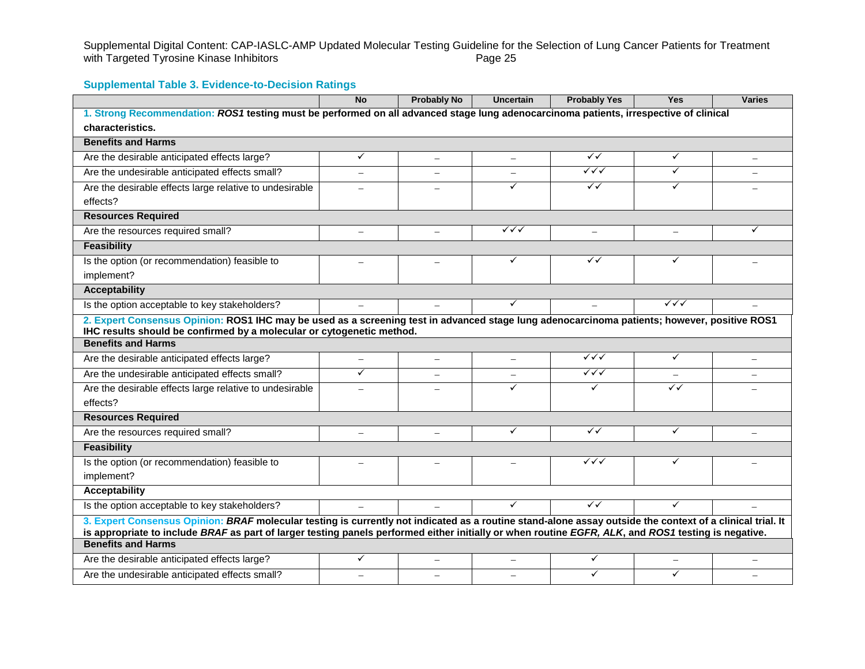|                                                                                                                                                                                                                                                                                                                  | <b>No</b>                | <b>Probably No</b>       | <b>Uncertain</b> | <b>Probably Yes</b>    | <b>Yes</b>               | <b>Varies</b> |
|------------------------------------------------------------------------------------------------------------------------------------------------------------------------------------------------------------------------------------------------------------------------------------------------------------------|--------------------------|--------------------------|------------------|------------------------|--------------------------|---------------|
| 1. Strong Recommendation: ROS1 testing must be performed on all advanced stage lung adenocarcinoma patients, irrespective of clinical                                                                                                                                                                            |                          |                          |                  |                        |                          |               |
| characteristics.                                                                                                                                                                                                                                                                                                 |                          |                          |                  |                        |                          |               |
| <b>Benefits and Harms</b>                                                                                                                                                                                                                                                                                        |                          |                          |                  |                        |                          |               |
| Are the desirable anticipated effects large?                                                                                                                                                                                                                                                                     | ✓                        |                          |                  | $\checkmark$           | ✓                        |               |
| Are the undesirable anticipated effects small?                                                                                                                                                                                                                                                                   |                          |                          |                  | $\checkmark\checkmark$ | ✓                        |               |
| Are the desirable effects large relative to undesirable                                                                                                                                                                                                                                                          |                          |                          | ✓                | ✓✓                     | ✓                        |               |
| effects?                                                                                                                                                                                                                                                                                                         |                          |                          |                  |                        |                          |               |
| <b>Resources Required</b>                                                                                                                                                                                                                                                                                        |                          |                          |                  |                        |                          |               |
| Are the resources required small?                                                                                                                                                                                                                                                                                | $\equiv$                 | $\overline{\phantom{0}}$ | ✓✓✓              | $\equiv$               | $\overline{\phantom{0}}$ | ✓             |
| <b>Feasibility</b>                                                                                                                                                                                                                                                                                               |                          |                          |                  |                        |                          |               |
| Is the option (or recommendation) feasible to                                                                                                                                                                                                                                                                    |                          |                          | ✓                | $\checkmark$           | ✓                        |               |
| implement?                                                                                                                                                                                                                                                                                                       |                          |                          |                  |                        |                          |               |
| <b>Acceptability</b>                                                                                                                                                                                                                                                                                             |                          |                          |                  |                        |                          |               |
| Is the option acceptable to key stakeholders?                                                                                                                                                                                                                                                                    |                          |                          | $\checkmark$     |                        | ✓✓✓                      |               |
| 2. Expert Consensus Opinion: ROS1 IHC may be used as a screening test in advanced stage lung adenocarcinoma patients; however, positive ROS1                                                                                                                                                                     |                          |                          |                  |                        |                          |               |
| IHC results should be confirmed by a molecular or cytogenetic method.                                                                                                                                                                                                                                            |                          |                          |                  |                        |                          |               |
| <b>Benefits and Harms</b>                                                                                                                                                                                                                                                                                        |                          |                          |                  |                        |                          |               |
| Are the desirable anticipated effects large?                                                                                                                                                                                                                                                                     |                          |                          |                  | $\checkmark\checkmark$ | $\checkmark$             |               |
| Are the undesirable anticipated effects small?                                                                                                                                                                                                                                                                   | ✓                        |                          |                  | $\sqrt{\sqrt{}}$       |                          |               |
| Are the desirable effects large relative to undesirable                                                                                                                                                                                                                                                          |                          |                          |                  | ✓                      | $\checkmark$             |               |
| effects?                                                                                                                                                                                                                                                                                                         |                          |                          |                  |                        |                          |               |
| <b>Resources Required</b>                                                                                                                                                                                                                                                                                        |                          |                          |                  |                        |                          |               |
| Are the resources required small?                                                                                                                                                                                                                                                                                | $\overline{\phantom{0}}$ |                          | ✓                | $\checkmark$           | ✓                        |               |
| <b>Feasibility</b>                                                                                                                                                                                                                                                                                               |                          |                          |                  |                        |                          |               |
| Is the option (or recommendation) feasible to                                                                                                                                                                                                                                                                    |                          |                          |                  | $\checkmark\checkmark$ | ✓                        |               |
| implement?                                                                                                                                                                                                                                                                                                       |                          |                          |                  |                        |                          |               |
| <b>Acceptability</b>                                                                                                                                                                                                                                                                                             |                          |                          |                  |                        |                          |               |
| Is the option acceptable to key stakeholders?                                                                                                                                                                                                                                                                    |                          |                          | $\checkmark$     | $\checkmark$           | ✓                        |               |
| 3. Expert Consensus Opinion: BRAF molecular testing is currently not indicated as a routine stand-alone assay outside the context of a clinical trial. It<br>is appropriate to include BRAF as part of larger testing panels performed either initially or when routine EGFR, ALK, and ROS1 testing is negative. |                          |                          |                  |                        |                          |               |
| <b>Benefits and Harms</b>                                                                                                                                                                                                                                                                                        |                          |                          |                  |                        |                          |               |
| Are the desirable anticipated effects large?                                                                                                                                                                                                                                                                     | ✓                        |                          |                  | ✓                      |                          |               |
| Are the undesirable anticipated effects small?                                                                                                                                                                                                                                                                   |                          |                          |                  | $\checkmark$           | ✓                        |               |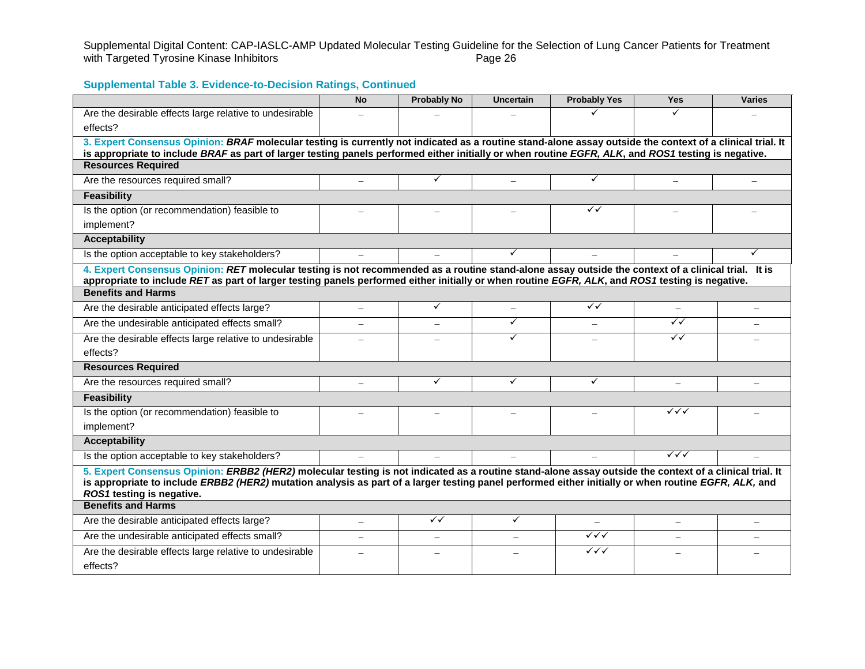Supplemental Digital Content: CAP-IASLC-AMP Updated Molecular Testing Guideline for the Selection of Lung Cancer Patients for Treatment<br>with Targeted Tyrosine Kinase Inhibitors<br>Page 26 with Targeted Tyrosine Kinase Inhibitors

|                                                                                                                                                                                                                                                                                                                                              | <b>No</b> | <b>Probably No</b> | <b>Uncertain</b> | <b>Probably Yes</b>      | <b>Yes</b>               | <b>Varies</b>            |  |
|----------------------------------------------------------------------------------------------------------------------------------------------------------------------------------------------------------------------------------------------------------------------------------------------------------------------------------------------|-----------|--------------------|------------------|--------------------------|--------------------------|--------------------------|--|
| Are the desirable effects large relative to undesirable<br>effects?                                                                                                                                                                                                                                                                          |           |                    |                  |                          |                          |                          |  |
| 3. Expert Consensus Opinion: BRAF molecular testing is currently not indicated as a routine stand-alone assay outside the context of a clinical trial. It                                                                                                                                                                                    |           |                    |                  |                          |                          |                          |  |
| is appropriate to include BRAF as part of larger testing panels performed either initially or when routine EGFR, ALK, and ROS1 testing is negative.<br><b>Resources Required</b>                                                                                                                                                             |           |                    |                  |                          |                          |                          |  |
| Are the resources required small?                                                                                                                                                                                                                                                                                                            |           | ✓                  |                  | ✓                        |                          |                          |  |
| <b>Feasibility</b>                                                                                                                                                                                                                                                                                                                           |           |                    |                  |                          |                          |                          |  |
| Is the option (or recommendation) feasible to                                                                                                                                                                                                                                                                                                |           |                    |                  | ✓✓                       | L,                       |                          |  |
| implement?                                                                                                                                                                                                                                                                                                                                   |           |                    |                  |                          |                          |                          |  |
| <b>Acceptability</b>                                                                                                                                                                                                                                                                                                                         |           |                    |                  |                          |                          |                          |  |
| Is the option acceptable to key stakeholders?                                                                                                                                                                                                                                                                                                |           |                    |                  |                          |                          | ✓                        |  |
| 4. Expert Consensus Opinion: RET molecular testing is not recommended as a routine stand-alone assay outside the context of a clinical trial. It is<br>appropriate to include RET as part of larger testing panels performed either initially or when routine EGFR, ALK, and ROS1 testing is negative.                                       |           |                    |                  |                          |                          |                          |  |
| <b>Benefits and Harms</b>                                                                                                                                                                                                                                                                                                                    |           |                    |                  |                          |                          |                          |  |
| Are the desirable anticipated effects large?                                                                                                                                                                                                                                                                                                 | $\equiv$  | ✓                  |                  | $\checkmark$             |                          |                          |  |
| Are the undesirable anticipated effects small?                                                                                                                                                                                                                                                                                               |           |                    | $\checkmark$     |                          | $\checkmark$             |                          |  |
| Are the desirable effects large relative to undesirable                                                                                                                                                                                                                                                                                      |           |                    | $\checkmark$     |                          | $\checkmark$             |                          |  |
| effects?                                                                                                                                                                                                                                                                                                                                     |           |                    |                  |                          |                          |                          |  |
| <b>Resources Required</b>                                                                                                                                                                                                                                                                                                                    |           |                    |                  |                          |                          |                          |  |
| Are the resources required small?                                                                                                                                                                                                                                                                                                            |           | $\checkmark$       | $\checkmark$     | ✓                        |                          |                          |  |
| <b>Feasibility</b>                                                                                                                                                                                                                                                                                                                           |           |                    |                  |                          |                          |                          |  |
| Is the option (or recommendation) feasible to                                                                                                                                                                                                                                                                                                |           |                    |                  |                          | ✓✓✓                      |                          |  |
| implement?                                                                                                                                                                                                                                                                                                                                   |           |                    |                  |                          |                          |                          |  |
| <b>Acceptability</b>                                                                                                                                                                                                                                                                                                                         |           |                    |                  |                          |                          |                          |  |
| Is the option acceptable to key stakeholders?                                                                                                                                                                                                                                                                                                |           |                    |                  |                          | $\checkmark\checkmark$   |                          |  |
| 5. Expert Consensus Opinion: ERBB2 (HER2) molecular testing is not indicated as a routine stand-alone assay outside the context of a clinical trial. It<br>is appropriate to include ERBB2 (HER2) mutation analysis as part of a larger testing panel performed either initially or when routine EGFR, ALK, and<br>ROS1 testing is negative. |           |                    |                  |                          |                          |                          |  |
| <b>Benefits and Harms</b>                                                                                                                                                                                                                                                                                                                    |           |                    |                  |                          |                          |                          |  |
| Are the desirable anticipated effects large?                                                                                                                                                                                                                                                                                                 | $\equiv$  | ✓✓                 | $\checkmark$     | $\overline{\phantom{0}}$ | $\overline{\phantom{0}}$ | $\overline{\phantom{0}}$ |  |
| Are the undesirable anticipated effects small?                                                                                                                                                                                                                                                                                               |           |                    |                  | $\checkmark\checkmark$   |                          |                          |  |
| Are the desirable effects large relative to undesirable                                                                                                                                                                                                                                                                                      |           |                    |                  | $\checkmark\checkmark$   |                          |                          |  |
| effects?                                                                                                                                                                                                                                                                                                                                     |           |                    |                  |                          |                          |                          |  |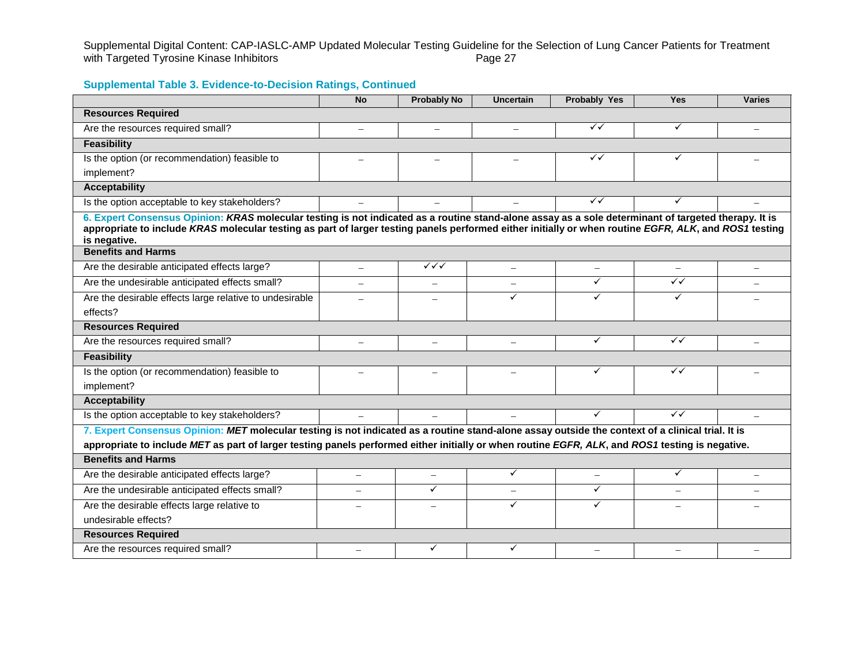Supplemental Digital Content: CAP-IASLC-AMP Updated Molecular Testing Guideline for the Selection of Lung Cancer Patients for Treatment<br>with Targeted Tyrosine Kinase Inhibitors<br>Page 27 with Targeted Tyrosine Kinase Inhibitors

|                                                                                                                                                                                                                                                                                                                               | <b>No</b>                | <b>Probably No</b>       | <b>Uncertain</b> | <b>Probably Yes</b>      | <b>Yes</b>   | <b>Varies</b>            |
|-------------------------------------------------------------------------------------------------------------------------------------------------------------------------------------------------------------------------------------------------------------------------------------------------------------------------------|--------------------------|--------------------------|------------------|--------------------------|--------------|--------------------------|
| <b>Resources Required</b>                                                                                                                                                                                                                                                                                                     |                          |                          |                  |                          |              |                          |
| Are the resources required small?                                                                                                                                                                                                                                                                                             |                          |                          |                  | $\checkmark$             | ✓            |                          |
| <b>Feasibility</b>                                                                                                                                                                                                                                                                                                            |                          |                          |                  |                          |              |                          |
| Is the option (or recommendation) feasible to                                                                                                                                                                                                                                                                                 | $=$                      |                          |                  | $\checkmark$             | ✓            |                          |
| implement?                                                                                                                                                                                                                                                                                                                    |                          |                          |                  |                          |              |                          |
| <b>Acceptability</b>                                                                                                                                                                                                                                                                                                          |                          |                          |                  |                          |              |                          |
| Is the option acceptable to key stakeholders?                                                                                                                                                                                                                                                                                 |                          |                          |                  | $\checkmark$             |              |                          |
| 6. Expert Consensus Opinion: KRAS molecular testing is not indicated as a routine stand-alone assay as a sole determinant of targeted therapy. It is<br>appropriate to include KRAS molecular testing as part of larger testing panels performed either initially or when routine EGFR, ALK, and ROS1 testing<br>is negative. |                          |                          |                  |                          |              |                          |
| <b>Benefits and Harms</b>                                                                                                                                                                                                                                                                                                     |                          |                          |                  |                          |              |                          |
| Are the desirable anticipated effects large?                                                                                                                                                                                                                                                                                  | $\overline{\phantom{0}}$ | $\checkmark\checkmark$   |                  | $\overline{\phantom{0}}$ |              | $\overline{\phantom{0}}$ |
| Are the undesirable anticipated effects small?                                                                                                                                                                                                                                                                                |                          | $\equiv$                 |                  | ✓                        | $\checkmark$ |                          |
| Are the desirable effects large relative to undesirable<br>effects?                                                                                                                                                                                                                                                           |                          |                          | ✓                | ✓                        | ✓            |                          |
| <b>Resources Required</b>                                                                                                                                                                                                                                                                                                     |                          |                          |                  |                          |              |                          |
| Are the resources required small?                                                                                                                                                                                                                                                                                             | $\equiv$                 | $\overline{\phantom{0}}$ |                  | ✓                        | $\checkmark$ |                          |
| <b>Feasibility</b>                                                                                                                                                                                                                                                                                                            |                          |                          |                  |                          |              |                          |
| Is the option (or recommendation) feasible to                                                                                                                                                                                                                                                                                 |                          |                          |                  | ✓                        | $\checkmark$ |                          |
| implement?                                                                                                                                                                                                                                                                                                                    |                          |                          |                  |                          |              |                          |
| <b>Acceptability</b>                                                                                                                                                                                                                                                                                                          |                          |                          |                  |                          |              |                          |
| Is the option acceptable to key stakeholders?                                                                                                                                                                                                                                                                                 |                          |                          |                  | ✓                        | $\checkmark$ |                          |
| 7. Expert Consensus Opinion: MET molecular testing is not indicated as a routine stand-alone assay outside the context of a clinical trial. It is                                                                                                                                                                             |                          |                          |                  |                          |              |                          |
| appropriate to include MET as part of larger testing panels performed either initially or when routine EGFR, ALK, and ROS1 testing is negative.                                                                                                                                                                               |                          |                          |                  |                          |              |                          |
| <b>Benefits and Harms</b>                                                                                                                                                                                                                                                                                                     |                          |                          |                  |                          |              |                          |
| Are the desirable anticipated effects large?                                                                                                                                                                                                                                                                                  | $\overline{\phantom{0}}$ | $\overline{\phantom{m}}$ | ✓                |                          | ✓            |                          |
| Are the undesirable anticipated effects small?                                                                                                                                                                                                                                                                                |                          | ✓                        |                  | $\checkmark$             |              |                          |
| Are the desirable effects large relative to                                                                                                                                                                                                                                                                                   | $\overline{\phantom{0}}$ |                          | ✓                | ✓                        |              |                          |
| undesirable effects?                                                                                                                                                                                                                                                                                                          |                          |                          |                  |                          |              |                          |
| <b>Resources Required</b>                                                                                                                                                                                                                                                                                                     |                          |                          |                  |                          |              |                          |
| Are the resources required small?                                                                                                                                                                                                                                                                                             |                          | ✓                        | ✓                |                          |              |                          |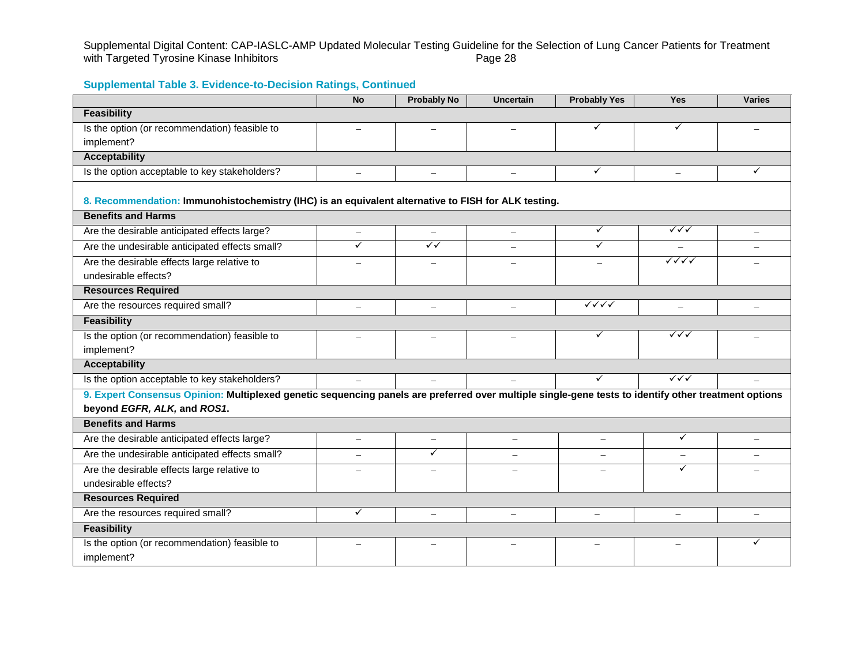Supplemental Digital Content: CAP-IASLC-AMP Updated Molecular Testing Guideline for the Selection of Lung Cancer Patients for Treatment<br>with Targeted Tyrosine Kinase Inhibitors<br>Page 28 with Targeted Tyrosine Kinase Inhibitors

|                                                                                                                                                      | <b>No</b>                | <b>Probably No</b>       | <b>Uncertain</b>         | <b>Probably Yes</b>              | <b>Yes</b>               | <b>Varies</b> |
|------------------------------------------------------------------------------------------------------------------------------------------------------|--------------------------|--------------------------|--------------------------|----------------------------------|--------------------------|---------------|
| <b>Feasibility</b>                                                                                                                                   |                          |                          |                          |                                  |                          |               |
| Is the option (or recommendation) feasible to                                                                                                        |                          |                          |                          | ✓                                | ✓                        |               |
| implement?                                                                                                                                           |                          |                          |                          |                                  |                          |               |
| <b>Acceptability</b>                                                                                                                                 |                          |                          |                          |                                  |                          |               |
| Is the option acceptable to key stakeholders?                                                                                                        | $\overline{\phantom{m}}$ | $\overline{\phantom{0}}$ | $\qquad \qquad -$        | $\checkmark$                     | $\equiv$                 | ✓             |
| 8. Recommendation: Immunohistochemistry (IHC) is an equivalent alternative to FISH for ALK testing.                                                  |                          |                          |                          |                                  |                          |               |
| <b>Benefits and Harms</b>                                                                                                                            |                          |                          |                          |                                  |                          |               |
| Are the desirable anticipated effects large?                                                                                                         | $\overline{\phantom{m}}$ | $\overline{\phantom{m}}$ | $\overline{\phantom{0}}$ | $\checkmark$                     | $\checkmark\checkmark$   |               |
| Are the undesirable anticipated effects small?                                                                                                       | ✓                        | $\sqrt{}$                |                          | ✓                                | $\overline{\phantom{m}}$ | $\equiv$      |
| Are the desirable effects large relative to                                                                                                          |                          |                          |                          |                                  |                          |               |
| undesirable effects?                                                                                                                                 |                          |                          |                          |                                  |                          |               |
| <b>Resources Required</b>                                                                                                                            |                          |                          |                          |                                  |                          |               |
| Are the resources required small?                                                                                                                    |                          |                          |                          | $\checkmark\checkmark\checkmark$ |                          |               |
| <b>Feasibility</b>                                                                                                                                   |                          |                          |                          |                                  |                          |               |
| Is the option (or recommendation) feasible to                                                                                                        |                          | $\overline{\phantom{0}}$ |                          | $\checkmark$                     | $\checkmark\checkmark$   |               |
| implement?                                                                                                                                           |                          |                          |                          |                                  |                          |               |
| <b>Acceptability</b>                                                                                                                                 |                          |                          |                          |                                  |                          |               |
| Is the option acceptable to key stakeholders?                                                                                                        | $\equiv$                 | $\equiv$                 |                          | ✓                                | $\checkmark\checkmark$   |               |
| 9. Expert Consensus Opinion: Multiplexed genetic sequencing panels are preferred over multiple single-gene tests to identify other treatment options |                          |                          |                          |                                  |                          |               |
| beyond EGFR, ALK, and ROS1.                                                                                                                          |                          |                          |                          |                                  |                          |               |
| <b>Benefits and Harms</b>                                                                                                                            |                          |                          |                          |                                  |                          |               |
| Are the desirable anticipated effects large?                                                                                                         | $\overline{\phantom{m}}$ | $\overline{\phantom{0}}$ |                          | $\equiv$                         | ✓                        | $\equiv$      |
| Are the undesirable anticipated effects small?                                                                                                       | $\overline{\phantom{0}}$ | ✓                        |                          | $\overline{\phantom{0}}$         | $\overline{\phantom{m}}$ |               |
| Are the desirable effects large relative to                                                                                                          |                          |                          |                          |                                  | ✓                        |               |
| undesirable effects?                                                                                                                                 |                          |                          |                          |                                  |                          |               |
| <b>Resources Required</b>                                                                                                                            |                          |                          |                          |                                  |                          |               |
| Are the resources required small?                                                                                                                    | ✓                        | $\equiv$                 |                          | $\overline{\phantom{0}}$         |                          |               |
| <b>Feasibility</b>                                                                                                                                   |                          |                          |                          |                                  |                          |               |
| Is the option (or recommendation) feasible to                                                                                                        |                          |                          |                          |                                  |                          | ✓             |
| implement?                                                                                                                                           |                          |                          |                          |                                  |                          |               |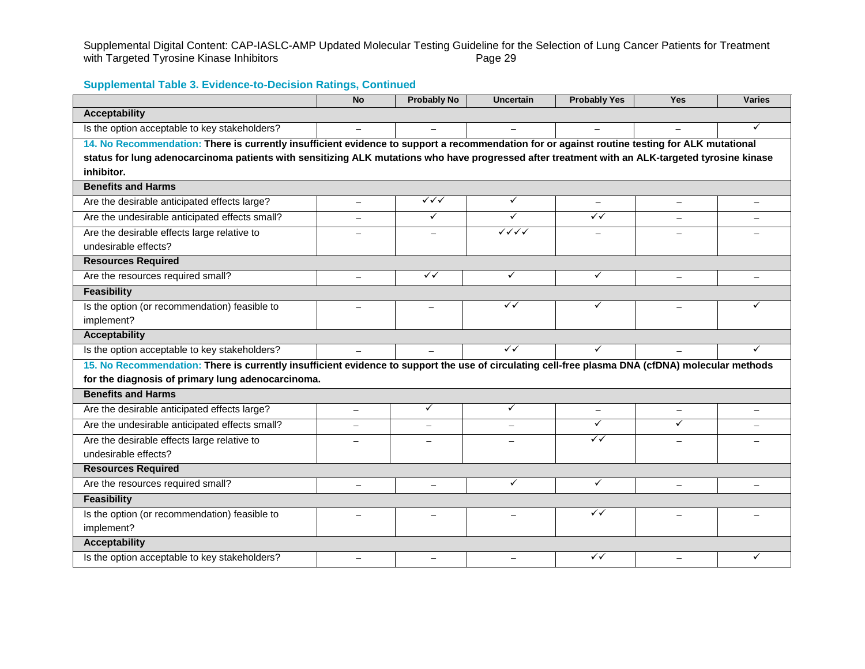Supplemental Digital Content: CAP-IASLC-AMP Updated Molecular Testing Guideline for the Selection of Lung Cancer Patients for Treatment<br>with Targeted Tyrosine Kinase Inhibitors<br>Page 29 with Targeted Tyrosine Kinase Inhibitors

|                                                                                                                                                  | <b>No</b>                | <b>Probably No</b>       | <b>Uncertain</b>         | <b>Probably Yes</b>      | <b>Yes</b>               | <b>Varies</b> |
|--------------------------------------------------------------------------------------------------------------------------------------------------|--------------------------|--------------------------|--------------------------|--------------------------|--------------------------|---------------|
| <b>Acceptability</b>                                                                                                                             |                          |                          |                          |                          |                          |               |
| Is the option acceptable to key stakeholders?                                                                                                    |                          |                          |                          |                          |                          | ✓             |
| 14. No Recommendation: There is currently insufficient evidence to support a recommendation for or against routine testing for ALK mutational    |                          |                          |                          |                          |                          |               |
| status for lung adenocarcinoma patients with sensitizing ALK mutations who have progressed after treatment with an ALK-targeted tyrosine kinase  |                          |                          |                          |                          |                          |               |
| inhibitor.                                                                                                                                       |                          |                          |                          |                          |                          |               |
| <b>Benefits and Harms</b>                                                                                                                        |                          |                          |                          |                          |                          |               |
| Are the desirable anticipated effects large?                                                                                                     | $\overline{\phantom{0}}$ | ✓✓✓                      | $\checkmark$             | $\overline{\phantom{0}}$ | $\overline{\phantom{0}}$ | ÷             |
| Are the undesirable anticipated effects small?                                                                                                   |                          | $\checkmark$             | $\checkmark$             | $\overline{\checkmark}$  |                          |               |
| Are the desirable effects large relative to                                                                                                      |                          | $\overline{\phantom{m}}$ |                          | $\overline{\phantom{0}}$ |                          |               |
| undesirable effects?                                                                                                                             |                          |                          |                          |                          |                          |               |
| <b>Resources Required</b>                                                                                                                        |                          |                          |                          |                          |                          |               |
| Are the resources required small?                                                                                                                |                          | $\checkmark$             | $\checkmark$             | $\checkmark$             |                          |               |
| <b>Feasibility</b>                                                                                                                               |                          |                          |                          |                          |                          |               |
| Is the option (or recommendation) feasible to                                                                                                    |                          |                          | $\checkmark$             | ✓                        |                          | ✓             |
| implement?                                                                                                                                       |                          |                          |                          |                          |                          |               |
| <b>Acceptability</b>                                                                                                                             |                          |                          |                          |                          |                          |               |
| Is the option acceptable to key stakeholders?                                                                                                    | $\equiv$                 | $\overline{\phantom{0}}$ | $\checkmark$             | $\checkmark$             |                          | ✓             |
| 15. No Recommendation: There is currently insufficient evidence to support the use of circulating cell-free plasma DNA (cfDNA) molecular methods |                          |                          |                          |                          |                          |               |
| for the diagnosis of primary lung adenocarcinoma.                                                                                                |                          |                          |                          |                          |                          |               |
| <b>Benefits and Harms</b>                                                                                                                        |                          |                          |                          |                          |                          |               |
| Are the desirable anticipated effects large?                                                                                                     | $\overline{\phantom{0}}$ | $\checkmark$             | ✓                        | $\overline{\phantom{0}}$ |                          |               |
| Are the undesirable anticipated effects small?                                                                                                   | $\overline{\phantom{m}}$ | $\overline{\phantom{m}}$ | $\overline{\phantom{0}}$ | $\checkmark$             | ✓                        |               |
| Are the desirable effects large relative to                                                                                                      |                          |                          |                          | $\checkmark$             |                          |               |
| undesirable effects?                                                                                                                             |                          |                          |                          |                          |                          |               |
| <b>Resources Required</b>                                                                                                                        |                          |                          |                          |                          |                          |               |
| Are the resources required small?                                                                                                                |                          | $\overline{\phantom{0}}$ | $\checkmark$             | $\checkmark$             |                          |               |
| <b>Feasibility</b>                                                                                                                               |                          |                          |                          |                          |                          |               |
| Is the option (or recommendation) feasible to                                                                                                    |                          |                          |                          | ✓✓                       |                          |               |
| implement?                                                                                                                                       |                          |                          |                          |                          |                          |               |
| <b>Acceptability</b>                                                                                                                             |                          |                          |                          |                          |                          |               |
| Is the option acceptable to key stakeholders?                                                                                                    | $\overline{\phantom{0}}$ | $\overline{\phantom{0}}$ | $\overline{\phantom{0}}$ | ✓✓                       | $\overline{\phantom{0}}$ | ✓             |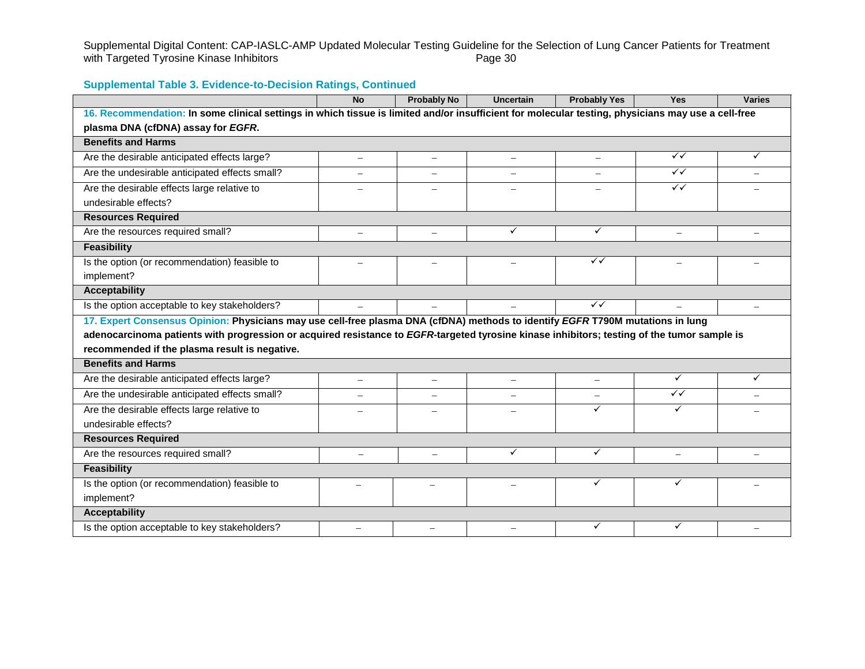Supplemental Digital Content: CAP-IASLC-AMP Updated Molecular Testing Guideline for the Selection of Lung Cancer Patients for Treatment<br>with Targeted Tyrosine Kinase Inhibitors<br>Page 30 with Targeted Tyrosine Kinase Inhibitors

|                                                                                                                                                    | <b>No</b>                | <b>Probably No</b>       | <b>Uncertain</b>         | <b>Probably Yes</b>      | <b>Yes</b>               | <b>Varies</b>            |
|----------------------------------------------------------------------------------------------------------------------------------------------------|--------------------------|--------------------------|--------------------------|--------------------------|--------------------------|--------------------------|
| 16. Recommendation: In some clinical settings in which tissue is limited and/or insufficient for molecular testing, physicians may use a cell-free |                          |                          |                          |                          |                          |                          |
| plasma DNA (cfDNA) assay for EGFR.                                                                                                                 |                          |                          |                          |                          |                          |                          |
| <b>Benefits and Harms</b>                                                                                                                          |                          |                          |                          |                          |                          |                          |
| Are the desirable anticipated effects large?                                                                                                       |                          | $\equiv$                 | $\overline{\phantom{0}}$ | $\overline{\phantom{0}}$ | $\sqrt{}$                | ✓                        |
| Are the undesirable anticipated effects small?                                                                                                     |                          | $\overline{\phantom{0}}$ |                          |                          | $\sqrt{}$                |                          |
| Are the desirable effects large relative to                                                                                                        |                          |                          |                          |                          | $\checkmark$             |                          |
| undesirable effects?                                                                                                                               |                          |                          |                          |                          |                          |                          |
| <b>Resources Required</b>                                                                                                                          |                          |                          |                          |                          |                          |                          |
| Are the resources required small?                                                                                                                  | $\overline{\phantom{0}}$ | $\overline{\phantom{m}}$ | ✓                        | $\checkmark$             | $\overline{\phantom{0}}$ | $\overline{\phantom{0}}$ |
| <b>Feasibility</b>                                                                                                                                 |                          |                          |                          |                          |                          |                          |
| Is the option (or recommendation) feasible to                                                                                                      | $\equiv$                 | $\overline{\phantom{0}}$ | $\equiv$                 | $\checkmark$             | $\overline{\phantom{0}}$ | $\overline{\phantom{0}}$ |
| implement?                                                                                                                                         |                          |                          |                          |                          |                          |                          |
| <b>Acceptability</b>                                                                                                                               |                          |                          |                          |                          |                          |                          |
| Is the option acceptable to key stakeholders?                                                                                                      |                          |                          |                          | $\overline{\checkmark}$  |                          |                          |
| 17. Expert Consensus Opinion: Physicians may use cell-free plasma DNA (cfDNA) methods to identify EGFR T790M mutations in lung                     |                          |                          |                          |                          |                          |                          |
| adenocarcinoma patients with progression or acquired resistance to EGFR-targeted tyrosine kinase inhibitors; testing of the tumor sample is        |                          |                          |                          |                          |                          |                          |
| recommended if the plasma result is negative.                                                                                                      |                          |                          |                          |                          |                          |                          |
| <b>Benefits and Harms</b>                                                                                                                          |                          |                          |                          |                          |                          |                          |
| Are the desirable anticipated effects large?                                                                                                       | $\equiv$                 | $\overline{\phantom{0}}$ | $\overline{\phantom{m}}$ | $\overline{\phantom{m}}$ | ✓                        | ✓                        |
| Are the undesirable anticipated effects small?                                                                                                     |                          |                          |                          |                          | $\checkmark$             |                          |
| Are the desirable effects large relative to                                                                                                        |                          | $\overline{\phantom{0}}$ |                          | ✓                        | ✓                        |                          |
| undesirable effects?                                                                                                                               |                          |                          |                          |                          |                          |                          |
| <b>Resources Required</b>                                                                                                                          |                          |                          |                          |                          |                          |                          |
| Are the resources required small?                                                                                                                  |                          | $\overline{\phantom{0}}$ | $\checkmark$             | ✓                        |                          |                          |
| <b>Feasibility</b>                                                                                                                                 |                          |                          |                          |                          |                          |                          |
| Is the option (or recommendation) feasible to                                                                                                      |                          |                          |                          | ✓                        | ✓                        |                          |
| implement?                                                                                                                                         |                          |                          |                          |                          |                          |                          |
| <b>Acceptability</b>                                                                                                                               |                          |                          |                          |                          |                          |                          |
| Is the option acceptable to key stakeholders?                                                                                                      | $\overline{\phantom{0}}$ |                          |                          | ✓                        | ✓                        |                          |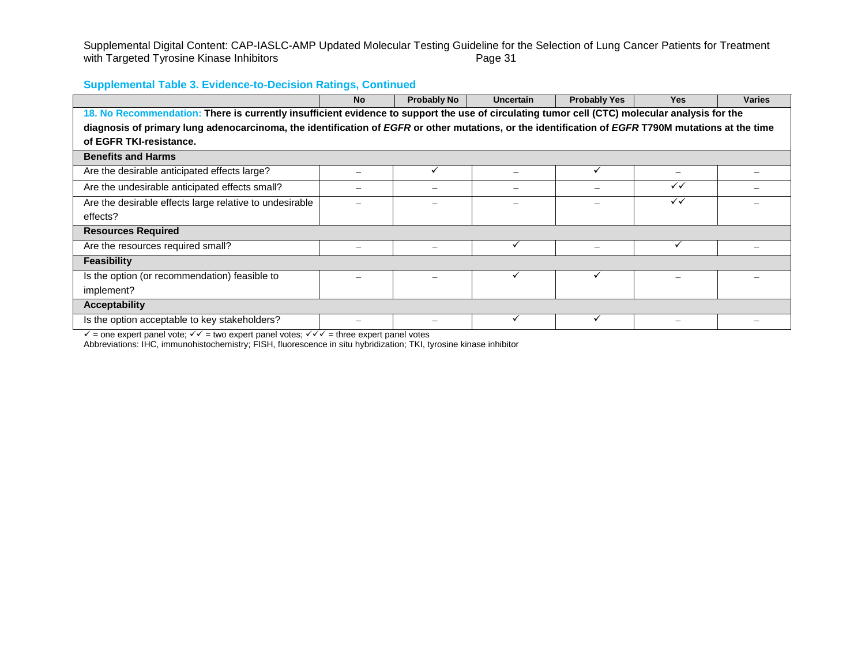Supplemental Digital Content: CAP-IASLC-AMP Updated Molecular Testing Guideline for the Selection of Lung Cancer Patients for Treatment<br>with Targeted Tyrosine Kinase Inhibitors<br>Page 31 with Targeted Tyrosine Kinase Inhibitors

## **Supplemental Table 3. Evidence-to-Decision Ratings, Continued**

|                                                                                                                                                    | <b>No</b> | <b>Probably No</b> | <b>Uncertain</b> | <b>Probably Yes</b> | <b>Yes</b>   | <b>Varies</b> |
|----------------------------------------------------------------------------------------------------------------------------------------------------|-----------|--------------------|------------------|---------------------|--------------|---------------|
| 18. No Recommendation: There is currently insufficient evidence to support the use of circulating tumor cell (CTC) molecular analysis for the      |           |                    |                  |                     |              |               |
| diagnosis of primary lung adenocarcinoma, the identification of EGFR or other mutations, or the identification of EGFR T790M mutations at the time |           |                    |                  |                     |              |               |
| of EGFR TKI-resistance.                                                                                                                            |           |                    |                  |                     |              |               |
| <b>Benefits and Harms</b>                                                                                                                          |           |                    |                  |                     |              |               |
| Are the desirable anticipated effects large?                                                                                                       |           |                    |                  | $\checkmark$        |              |               |
| Are the undesirable anticipated effects small?                                                                                                     |           |                    |                  |                     | $\checkmark$ |               |
| Are the desirable effects large relative to undesirable                                                                                            |           |                    |                  |                     | $\checkmark$ |               |
| effects?                                                                                                                                           |           |                    |                  |                     |              |               |
| <b>Resources Required</b>                                                                                                                          |           |                    |                  |                     |              |               |
| Are the resources required small?                                                                                                                  |           |                    |                  |                     |              |               |
| Feasibility                                                                                                                                        |           |                    |                  |                     |              |               |
| Is the option (or recommendation) feasible to                                                                                                      |           |                    |                  |                     |              |               |
| implement?                                                                                                                                         |           |                    |                  |                     |              |               |
| <b>Acceptability</b>                                                                                                                               |           |                    |                  |                     |              |               |
| Is the option acceptable to key stakeholders?<br>.                                                                                                 |           |                    |                  |                     |              |               |

 $\checkmark$  = one expert panel vote;  $\checkmark\checkmark$  = two expert panel votes;  $\checkmark\checkmark\checkmark$  = three expert panel votes

Abbreviations: IHC, immunohistochemistry; FISH, fluorescence in situ hybridization; TKI, tyrosine kinase inhibitor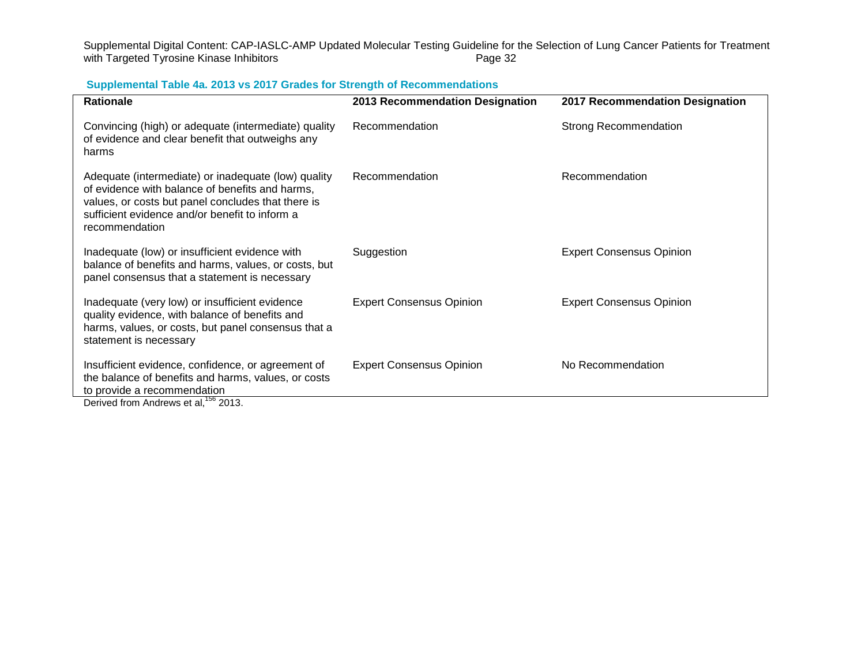Supplemental Digital Content: CAP-IASLC-AMP Updated Molecular Testing Guideline for the Selection of Lung Cancer Patients for Treatment<br>with Targeted Tyrosine Kinase Inhibitors<br>Page 32 with Targeted Tyrosine Kinase Inhibitors

## **Supplemental Table 4a. 2013 vs 2017 Grades for Strength of Recommendations**

| <b>Rationale</b>                                                                                                                                                                                                                 | 2013 Recommendation Designation | 2017 Recommendation Designation |
|----------------------------------------------------------------------------------------------------------------------------------------------------------------------------------------------------------------------------------|---------------------------------|---------------------------------|
| Convincing (high) or adequate (intermediate) quality<br>of evidence and clear benefit that outweighs any<br>harms                                                                                                                | Recommendation                  | <b>Strong Recommendation</b>    |
| Adequate (intermediate) or inadequate (low) quality<br>of evidence with balance of benefits and harms,<br>values, or costs but panel concludes that there is<br>sufficient evidence and/or benefit to inform a<br>recommendation | Recommendation                  | Recommendation                  |
| Inadequate (low) or insufficient evidence with<br>balance of benefits and harms, values, or costs, but<br>panel consensus that a statement is necessary                                                                          | Suggestion                      | <b>Expert Consensus Opinion</b> |
| Inadequate (very low) or insufficient evidence<br>quality evidence, with balance of benefits and<br>harms, values, or costs, but panel consensus that a<br>statement is necessary                                                | <b>Expert Consensus Opinion</b> | <b>Expert Consensus Opinion</b> |
| Insufficient evidence, confidence, or agreement of<br>the balance of benefits and harms, values, or costs<br>to provide a recommendation<br>Derived from Andrews et al, <sup>156</sup> 2013.                                     | <b>Expert Consensus Opinion</b> | No Recommendation               |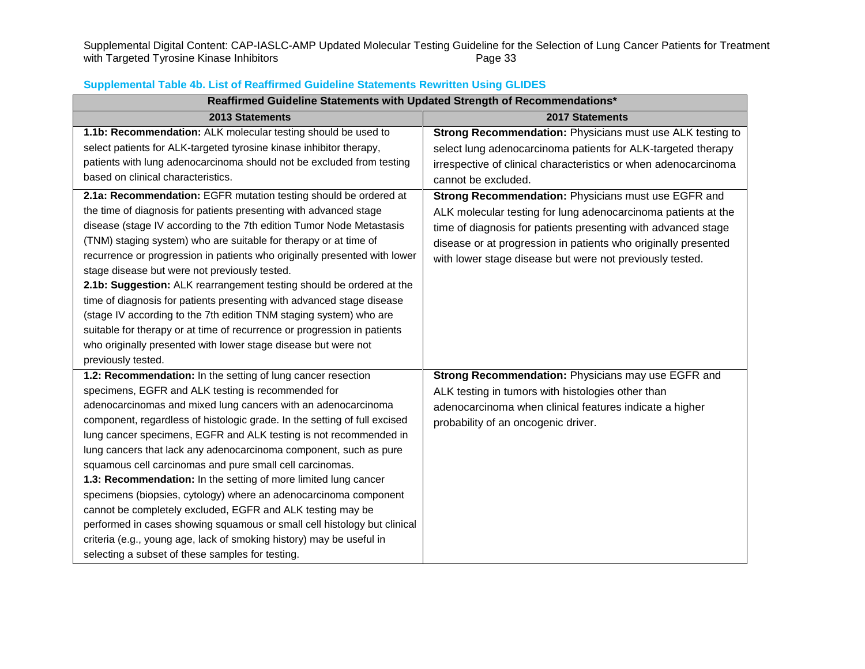Supplemental Digital Content: CAP-IASLC-AMP Updated Molecular Testing Guideline for the Selection of Lung Cancer Patients for Treatment<br>with Targeted Tyrosine Kinase Inhibitors<br>Page 33 with Targeted Tyrosine Kinase Inhibitors

| Reaffirmed Guideline Statements with Updated Strength of Recommendations* |                                                                 |  |  |  |  |  |
|---------------------------------------------------------------------------|-----------------------------------------------------------------|--|--|--|--|--|
| 2013 Statements                                                           | 2017 Statements                                                 |  |  |  |  |  |
| 1.1b: Recommendation: ALK molecular testing should be used to             | Strong Recommendation: Physicians must use ALK testing to       |  |  |  |  |  |
| select patients for ALK-targeted tyrosine kinase inhibitor therapy,       | select lung adenocarcinoma patients for ALK-targeted therapy    |  |  |  |  |  |
| patients with lung adenocarcinoma should not be excluded from testing     | irrespective of clinical characteristics or when adenocarcinoma |  |  |  |  |  |
| based on clinical characteristics.                                        | cannot be excluded.                                             |  |  |  |  |  |
| 2.1a: Recommendation: EGFR mutation testing should be ordered at          | Strong Recommendation: Physicians must use EGFR and             |  |  |  |  |  |
| the time of diagnosis for patients presenting with advanced stage         | ALK molecular testing for lung adenocarcinoma patients at the   |  |  |  |  |  |
| disease (stage IV according to the 7th edition Tumor Node Metastasis      | time of diagnosis for patients presenting with advanced stage   |  |  |  |  |  |
| (TNM) staging system) who are suitable for therapy or at time of          | disease or at progression in patients who originally presented  |  |  |  |  |  |
| recurrence or progression in patients who originally presented with lower | with lower stage disease but were not previously tested.        |  |  |  |  |  |
| stage disease but were not previously tested.                             |                                                                 |  |  |  |  |  |
| 2.1b: Suggestion: ALK rearrangement testing should be ordered at the      |                                                                 |  |  |  |  |  |
| time of diagnosis for patients presenting with advanced stage disease     |                                                                 |  |  |  |  |  |
| (stage IV according to the 7th edition TNM staging system) who are        |                                                                 |  |  |  |  |  |
| suitable for therapy or at time of recurrence or progression in patients  |                                                                 |  |  |  |  |  |
| who originally presented with lower stage disease but were not            |                                                                 |  |  |  |  |  |
| previously tested.                                                        |                                                                 |  |  |  |  |  |
| 1.2: Recommendation: In the setting of lung cancer resection              | Strong Recommendation: Physicians may use EGFR and              |  |  |  |  |  |
| specimens, EGFR and ALK testing is recommended for                        | ALK testing in tumors with histologies other than               |  |  |  |  |  |
| adenocarcinomas and mixed lung cancers with an adenocarcinoma             | adenocarcinoma when clinical features indicate a higher         |  |  |  |  |  |
| component, regardless of histologic grade. In the setting of full excised | probability of an oncogenic driver.                             |  |  |  |  |  |
| lung cancer specimens, EGFR and ALK testing is not recommended in         |                                                                 |  |  |  |  |  |
| lung cancers that lack any adenocarcinoma component, such as pure         |                                                                 |  |  |  |  |  |
| squamous cell carcinomas and pure small cell carcinomas.                  |                                                                 |  |  |  |  |  |
| 1.3: Recommendation: In the setting of more limited lung cancer           |                                                                 |  |  |  |  |  |
| specimens (biopsies, cytology) where an adenocarcinoma component          |                                                                 |  |  |  |  |  |
| cannot be completely excluded, EGFR and ALK testing may be                |                                                                 |  |  |  |  |  |
| performed in cases showing squamous or small cell histology but clinical  |                                                                 |  |  |  |  |  |
| criteria (e.g., young age, lack of smoking history) may be useful in      |                                                                 |  |  |  |  |  |
| selecting a subset of these samples for testing.                          |                                                                 |  |  |  |  |  |

## **Supplemental Table 4b. List of Reaffirmed Guideline Statements Rewritten Using GLIDES**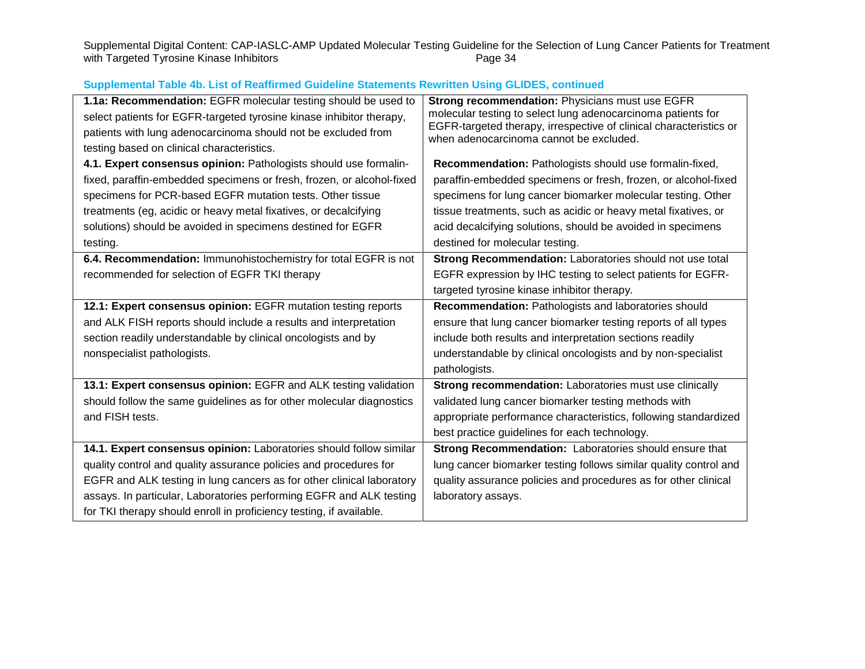Supplemental Digital Content: CAP-IASLC-AMP Updated Molecular Testing Guideline for the Selection of Lung Cancer Patients for Treatment<br>with Targeted Tyrosine Kinase Inhibitors<br>Page 34 with Targeted Tyrosine Kinase Inhibitors

| 1.1a: Recommendation: EGFR molecular testing should be used to        | Strong recommendation: Physicians must use EGFR                                                               |
|-----------------------------------------------------------------------|---------------------------------------------------------------------------------------------------------------|
| select patients for EGFR-targeted tyrosine kinase inhibitor therapy,  | molecular testing to select lung adenocarcinoma patients for                                                  |
| patients with lung adenocarcinoma should not be excluded from         | EGFR-targeted therapy, irrespective of clinical characteristics or<br>when adenocarcinoma cannot be excluded. |
| testing based on clinical characteristics.                            |                                                                                                               |
| 4.1. Expert consensus opinion: Pathologists should use formalin-      | Recommendation: Pathologists should use formalin-fixed,                                                       |
| fixed, paraffin-embedded specimens or fresh, frozen, or alcohol-fixed | paraffin-embedded specimens or fresh, frozen, or alcohol-fixed                                                |
| specimens for PCR-based EGFR mutation tests. Other tissue             | specimens for lung cancer biomarker molecular testing. Other                                                  |
| treatments (eg, acidic or heavy metal fixatives, or decalcifying      | tissue treatments, such as acidic or heavy metal fixatives, or                                                |
| solutions) should be avoided in specimens destined for EGFR           | acid decalcifying solutions, should be avoided in specimens                                                   |
| testing.                                                              | destined for molecular testing.                                                                               |
| 6.4. Recommendation: Immunohistochemistry for total EGFR is not       | Strong Recommendation: Laboratories should not use total                                                      |
| recommended for selection of EGFR TKI therapy                         | EGFR expression by IHC testing to select patients for EGFR-                                                   |
|                                                                       | targeted tyrosine kinase inhibitor therapy.                                                                   |
| 12.1: Expert consensus opinion: EGFR mutation testing reports         | Recommendation: Pathologists and laboratories should                                                          |
| and ALK FISH reports should include a results and interpretation      | ensure that lung cancer biomarker testing reports of all types                                                |
| section readily understandable by clinical oncologists and by         | include both results and interpretation sections readily                                                      |
| nonspecialist pathologists.                                           | understandable by clinical oncologists and by non-specialist                                                  |
|                                                                       | pathologists.                                                                                                 |
| 13.1: Expert consensus opinion: EGFR and ALK testing validation       | Strong recommendation: Laboratories must use clinically                                                       |
| should follow the same guidelines as for other molecular diagnostics  | validated lung cancer biomarker testing methods with                                                          |
| and FISH tests.                                                       | appropriate performance characteristics, following standardized                                               |
|                                                                       | best practice guidelines for each technology.                                                                 |
| 14.1. Expert consensus opinion: Laboratories should follow similar    | Strong Recommendation: Laboratories should ensure that                                                        |
| quality control and quality assurance policies and procedures for     | lung cancer biomarker testing follows similar quality control and                                             |
| EGFR and ALK testing in lung cancers as for other clinical laboratory | quality assurance policies and procedures as for other clinical                                               |
| assays. In particular, Laboratories performing EGFR and ALK testing   | laboratory assays.                                                                                            |
| for TKI therapy should enroll in proficiency testing, if available.   |                                                                                                               |

## **Supplemental Table 4b. List of Reaffirmed Guideline Statements Rewritten Using GLIDES, continued**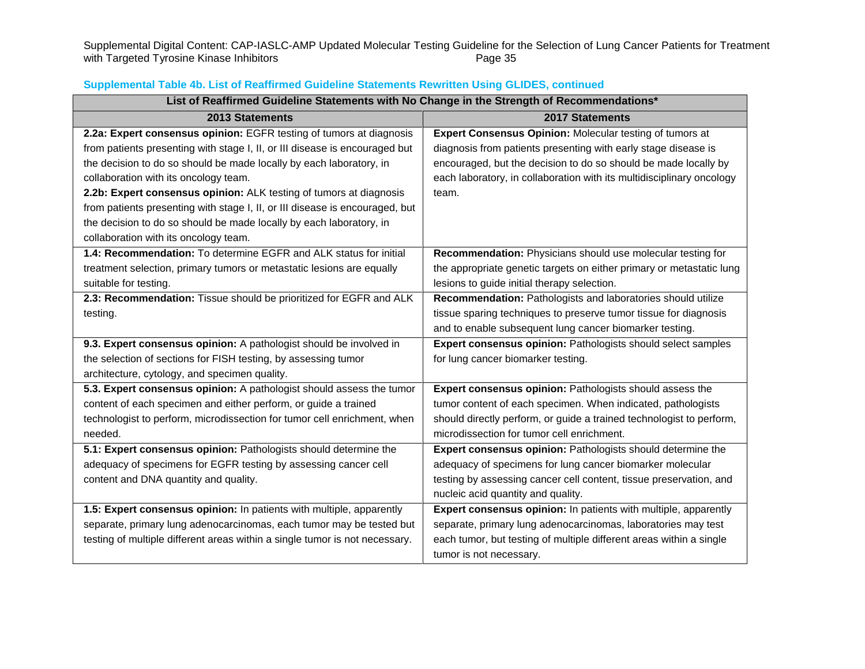Supplemental Digital Content: CAP-IASLC-AMP Updated Molecular Testing Guideline for the Selection of Lung Cancer Patients for Treatment<br>with Targeted Tyrosine Kinase Inhibitors<br>Page 35 with Targeted Tyrosine Kinase Inhibitors

| List of Reaffirmed Guideline Statements with No Change in the Strength of Recommendations* |                                                                       |
|--------------------------------------------------------------------------------------------|-----------------------------------------------------------------------|
| 2013 Statements                                                                            | 2017 Statements                                                       |
| 2.2a: Expert consensus opinion: EGFR testing of tumors at diagnosis                        | Expert Consensus Opinion: Molecular testing of tumors at              |
| from patients presenting with stage I, II, or III disease is encouraged but                | diagnosis from patients presenting with early stage disease is        |
| the decision to do so should be made locally by each laboratory, in                        | encouraged, but the decision to do so should be made locally by       |
| collaboration with its oncology team.                                                      | each laboratory, in collaboration with its multidisciplinary oncology |
| 2.2b: Expert consensus opinion: ALK testing of tumors at diagnosis                         | team.                                                                 |
| from patients presenting with stage I, II, or III disease is encouraged, but               |                                                                       |
| the decision to do so should be made locally by each laboratory, in                        |                                                                       |
| collaboration with its oncology team.                                                      |                                                                       |
| 1.4: Recommendation: To determine EGFR and ALK status for initial                          | Recommendation: Physicians should use molecular testing for           |
| treatment selection, primary tumors or metastatic lesions are equally                      | the appropriate genetic targets on either primary or metastatic lung  |
| suitable for testing.                                                                      | lesions to guide initial therapy selection.                           |
| 2.3: Recommendation: Tissue should be prioritized for EGFR and ALK                         | Recommendation: Pathologists and laboratories should utilize          |
| testing.                                                                                   | tissue sparing techniques to preserve tumor tissue for diagnosis      |
|                                                                                            | and to enable subsequent lung cancer biomarker testing.               |
| 9.3. Expert consensus opinion: A pathologist should be involved in                         | Expert consensus opinion: Pathologists should select samples          |
| the selection of sections for FISH testing, by assessing tumor                             | for lung cancer biomarker testing.                                    |
| architecture, cytology, and specimen quality.                                              |                                                                       |
| 5.3. Expert consensus opinion: A pathologist should assess the tumor                       | Expert consensus opinion: Pathologists should assess the              |
| content of each specimen and either perform, or guide a trained                            | tumor content of each specimen. When indicated, pathologists          |
| technologist to perform, microdissection for tumor cell enrichment, when                   | should directly perform, or guide a trained technologist to perform,  |
| needed.                                                                                    | microdissection for tumor cell enrichment.                            |
| 5.1: Expert consensus opinion: Pathologists should determine the                           | Expert consensus opinion: Pathologists should determine the           |
| adequacy of specimens for EGFR testing by assessing cancer cell                            | adequacy of specimens for lung cancer biomarker molecular             |
| content and DNA quantity and quality.                                                      | testing by assessing cancer cell content, tissue preservation, and    |
|                                                                                            | nucleic acid quantity and quality.                                    |
| 1.5: Expert consensus opinion: In patients with multiple, apparently                       | Expert consensus opinion: In patients with multiple, apparently       |
| separate, primary lung adenocarcinomas, each tumor may be tested but                       | separate, primary lung adenocarcinomas, laboratories may test         |
| testing of multiple different areas within a single tumor is not necessary.                | each tumor, but testing of multiple different areas within a single   |
|                                                                                            | tumor is not necessary.                                               |

## **Supplemental Table 4b. List of Reaffirmed Guideline Statements Rewritten Using GLIDES, continued**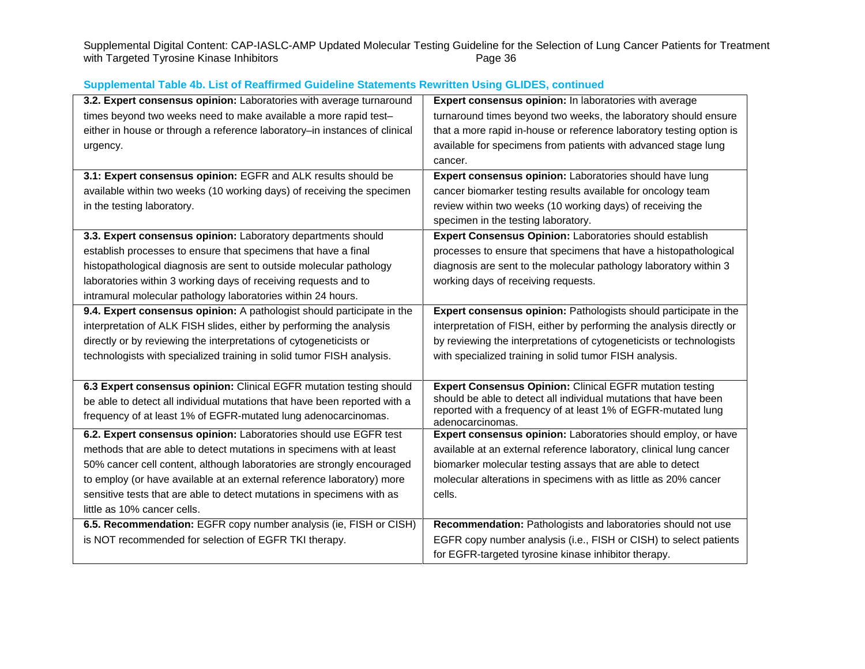Supplemental Digital Content: CAP-IASLC-AMP Updated Molecular Testing Guideline for the Selection of Lung Cancer Patients for Treatment<br>with Targeted Tyrosine Kinase Inhibitors<br>Page 36 with Targeted Tyrosine Kinase Inhibitors

| 3.2. Expert consensus opinion: Laboratories with average turnaround        | Expert consensus opinion: In laboratories with average                            |
|----------------------------------------------------------------------------|-----------------------------------------------------------------------------------|
| times beyond two weeks need to make available a more rapid test-           | turnaround times beyond two weeks, the laboratory should ensure                   |
| either in house or through a reference laboratory-in instances of clinical | that a more rapid in-house or reference laboratory testing option is              |
| urgency.                                                                   | available for specimens from patients with advanced stage lung                    |
|                                                                            | cancer.                                                                           |
| 3.1: Expert consensus opinion: EGFR and ALK results should be              | Expert consensus opinion: Laboratories should have lung                           |
| available within two weeks (10 working days) of receiving the specimen     | cancer biomarker testing results available for oncology team                      |
| in the testing laboratory.                                                 | review within two weeks (10 working days) of receiving the                        |
|                                                                            | specimen in the testing laboratory.                                               |
| 3.3. Expert consensus opinion: Laboratory departments should               | Expert Consensus Opinion: Laboratories should establish                           |
| establish processes to ensure that specimens that have a final             | processes to ensure that specimens that have a histopathological                  |
| histopathological diagnosis are sent to outside molecular pathology        | diagnosis are sent to the molecular pathology laboratory within 3                 |
| laboratories within 3 working days of receiving requests and to            | working days of receiving requests.                                               |
| intramural molecular pathology laboratories within 24 hours.               |                                                                                   |
| 9.4. Expert consensus opinion: A pathologist should participate in the     | Expert consensus opinion: Pathologists should participate in the                  |
| interpretation of ALK FISH slides, either by performing the analysis       | interpretation of FISH, either by performing the analysis directly or             |
| directly or by reviewing the interpretations of cytogeneticists or         | by reviewing the interpretations of cytogeneticists or technologists              |
| technologists with specialized training in solid tumor FISH analysis.      | with specialized training in solid tumor FISH analysis.                           |
|                                                                            |                                                                                   |
| 6.3 Expert consensus opinion: Clinical EGFR mutation testing should        | <b>Expert Consensus Opinion: Clinical EGFR mutation testing</b>                   |
| be able to detect all individual mutations that have been reported with a  | should be able to detect all individual mutations that have been                  |
| frequency of at least 1% of EGFR-mutated lung adenocarcinomas.             | reported with a frequency of at least 1% of EGFR-mutated lung<br>adenocarcinomas. |
| 6.2. Expert consensus opinion: Laboratories should use EGFR test           | Expert consensus opinion: Laboratories should employ, or have                     |
| methods that are able to detect mutations in specimens with at least       | available at an external reference laboratory, clinical lung cancer               |
| 50% cancer cell content, although laboratories are strongly encouraged     | biomarker molecular testing assays that are able to detect                        |
| to employ (or have available at an external reference laboratory) more     | molecular alterations in specimens with as little as 20% cancer                   |
| sensitive tests that are able to detect mutations in specimens with as     | cells.                                                                            |
| little as 10% cancer cells.                                                |                                                                                   |
| 6.5. Recommendation: EGFR copy number analysis (ie, FISH or CISH)          | Recommendation: Pathologists and laboratories should not use                      |
| is NOT recommended for selection of EGFR TKI therapy.                      | EGFR copy number analysis (i.e., FISH or CISH) to select patients                 |
|                                                                            | for EGFR-targeted tyrosine kinase inhibitor therapy.                              |

## **Supplemental Table 4b. List of Reaffirmed Guideline Statements Rewritten Using GLIDES, continued**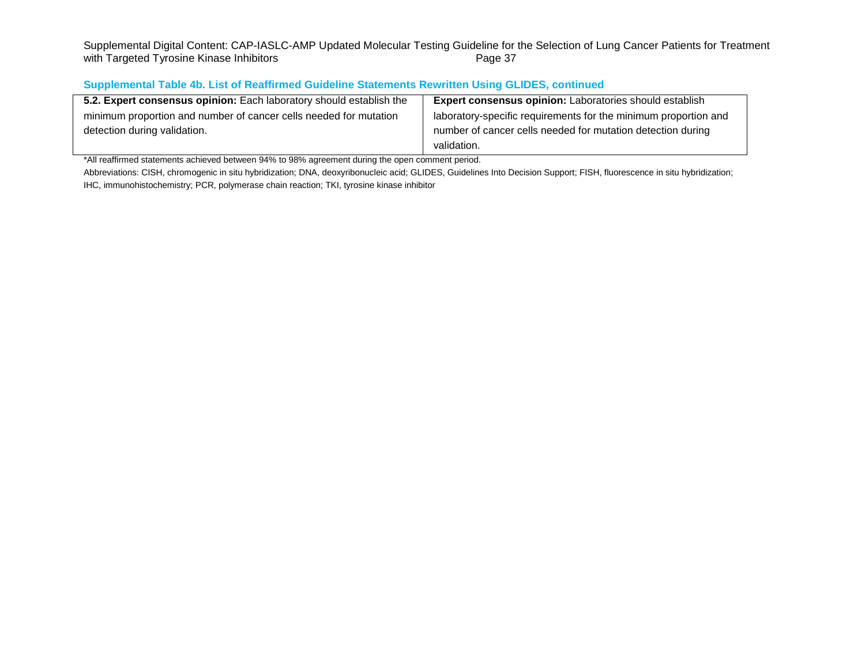Supplemental Digital Content: CAP-IASLC-AMP Updated Molecular Testing Guideline for the Selection of Lung Cancer Patients for Treatment<br>with Targeted Tyrosine Kinase Inhibitors<br>Page 37 with Targeted Tyrosine Kinase Inhibitors

# **Supplemental Table 4b. List of Reaffirmed Guideline Statements Rewritten Using GLIDES, continued**

| 5.2. Expert consensus opinion: Each laboratory should establish the | <b>Expert consensus opinion:</b> Laboratories should establish  |
|---------------------------------------------------------------------|-----------------------------------------------------------------|
| minimum proportion and number of cancer cells needed for mutation   | laboratory-specific requirements for the minimum proportion and |
| detection during validation.                                        | number of cancer cells needed for mutation detection during     |
|                                                                     | validation.                                                     |

\*All reaffirmed statements achieved between 94% to 98% agreement during the open comment period.

Abbreviations: CISH, chromogenic in situ hybridization; DNA, deoxyribonucleic acid; GLIDES, Guidelines Into Decision Support; FISH, fluorescence in situ hybridization; IHC, immunohistochemistry; PCR, polymerase chain reaction; TKI, tyrosine kinase inhibitor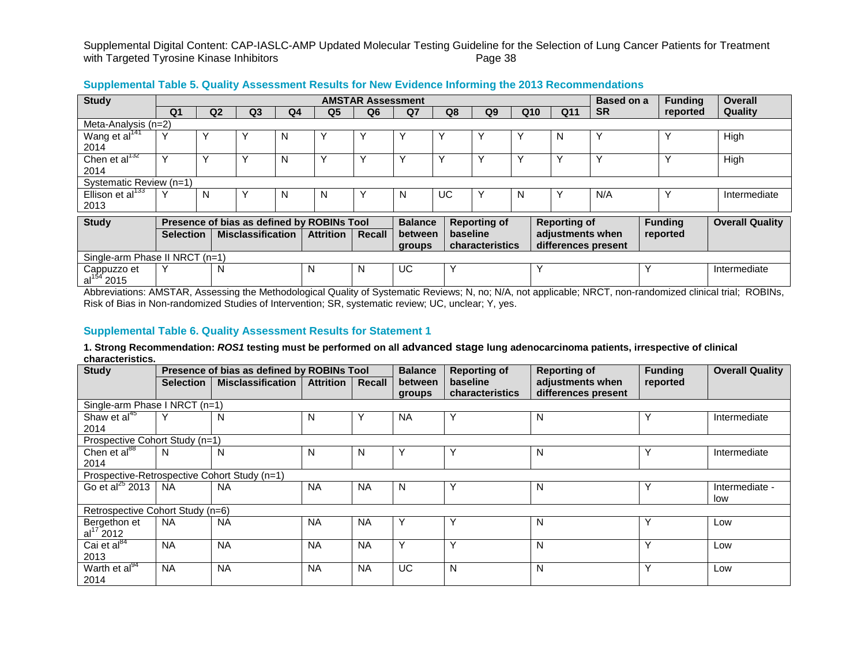| <b>Study</b>                          |                  |                |                          |                |                                            | <b>AMSTAR Assessment</b> |                |             |                     |                 |                     | Based on a |   | <b>Funding</b> | <b>Overall</b>         |
|---------------------------------------|------------------|----------------|--------------------------|----------------|--------------------------------------------|--------------------------|----------------|-------------|---------------------|-----------------|---------------------|------------|---|----------------|------------------------|
|                                       | Q <sub>1</sub>   | Q <sub>2</sub> | Q <sub>3</sub>           | Q <sub>4</sub> | Q <sub>5</sub>                             | Q <sub>6</sub>           | Q <sub>7</sub> | Q8          | Q <sub>9</sub>      | Q <sub>10</sub> | Q11                 | <b>SR</b>  |   | reported       | Quality                |
| Meta-Analysis (n=2)                   |                  |                |                          |                |                                            |                          |                |             |                     |                 |                     |            |   |                |                        |
| Wang et al <sup>141</sup>             |                  |                |                          | N              |                                            |                          |                | ν           |                     | ν               | N                   |            |   |                | High                   |
| 2014                                  |                  |                |                          |                |                                            |                          |                |             |                     |                 |                     |            |   |                |                        |
| Chen et al $^{132}$                   |                  | $\check{ }$    | $\check{ }$              | N              |                                            | $\check{ }$              |                | $\check{ }$ |                     | $\check{ }$     |                     |            |   | v              | High                   |
| 2014                                  |                  |                |                          |                |                                            |                          |                |             |                     |                 |                     |            |   |                |                        |
| Systematic Review (n=1)               |                  |                |                          |                |                                            |                          |                |             |                     |                 |                     |            |   |                |                        |
| Ellison et al <sup>133</sup>          | $\check{ }$      | N              | ν                        | N              | N                                          | 丷                        | N              | UC          | Υ                   | N               |                     | N/A        |   | N              | Intermediate           |
| 2013                                  |                  |                |                          |                |                                            |                          |                |             |                     |                 |                     |            |   |                |                        |
| <b>Study</b>                          |                  |                |                          |                | Presence of bias as defined by ROBINs Tool |                          | <b>Balance</b> |             | <b>Reporting of</b> |                 | <b>Reporting of</b> |            |   | <b>Funding</b> | <b>Overall Quality</b> |
|                                       | <b>Selection</b> |                | <b>Misclassification</b> |                | <b>Attrition</b>                           | Recall                   | between        |             | baseline            |                 | adjustments when    |            |   | reported       |                        |
|                                       |                  |                |                          |                |                                            |                          | groups         |             | characteristics     |                 | differences present |            |   |                |                        |
| Single-arm Phase II NRCT (n=1)        |                  |                |                          |                |                                            |                          |                |             |                     |                 |                     |            |   |                |                        |
|                                       | $\checkmark$     | N              |                          |                | N                                          | N                        | UC.            | v           |                     |                 | $\checkmark$        |            | Y |                | Intermediate           |
| Cappuzzo et<br>al <sup>154</sup> 2015 |                  |                |                          |                |                                            |                          |                |             |                     |                 |                     |            |   |                |                        |

### **Supplemental Table 5. Quality Assessment Results for New Evidence Informing the 2013 Recommendations**

Abbreviations: AMSTAR, Assessing the Methodological Quality of Systematic Reviews; N, no; N/A, not applicable; NRCT, non-randomized clinical trial; ROBINs, Risk of Bias in Non-randomized Studies of Intervention; SR, systematic review; UC, unclear; Y, yes.

### **Supplemental Table 6. Quality Assessment Results for Statement 1**

**1. Strong Recommendation:** *ROS1* **testing must be performed on all advanced stage lung adenocarcinoma patients, irrespective of clinical characteristics.**

| <b>Study</b>                     |                  | Presence of bias as defined by ROBINs Tool   |                  |              | <b>Balance</b> | <b>Reporting of</b>    | <b>Reporting of</b> | <b>Funding</b> | <b>Overall Quality</b> |
|----------------------------------|------------------|----------------------------------------------|------------------|--------------|----------------|------------------------|---------------------|----------------|------------------------|
|                                  | <b>Selection</b> | <b>Misclassification</b>                     | <b>Attrition</b> | Recall       | between        | <b>baseline</b>        | adjustments when    | reported       |                        |
|                                  |                  |                                              |                  |              | groups         | <b>characteristics</b> | differences present |                |                        |
| Single-arm Phase I NRCT (n=1)    |                  |                                              |                  |              |                |                        |                     |                |                        |
| Shaw et al <sup>45</sup>         |                  | N                                            | N                | $\checkmark$ | <b>NA</b>      |                        | N                   | Y              | Intermediate           |
| 2014                             |                  |                                              |                  |              |                |                        |                     |                |                        |
| Prospective Cohort Study (n=1)   |                  |                                              |                  |              |                |                        |                     |                |                        |
| Chen et al <sup>88</sup>         | N                | N                                            | N                | N            | Υ              | Υ                      | N                   | Y              | Intermediate           |
| 2014                             |                  |                                              |                  |              |                |                        |                     |                |                        |
|                                  |                  | Prospective-Retrospective Cohort Study (n=1) |                  |              |                |                        |                     |                |                        |
| Go et al $^{25}$ 2013            | <b>NA</b>        | <b>NA</b>                                    | <b>NA</b>        | <b>NA</b>    | N              |                        | N                   | Y              | Intermediate -         |
|                                  |                  |                                              |                  |              |                |                        |                     |                | low                    |
| Retrospective Cohort Study (n=6) |                  |                                              |                  |              |                |                        |                     |                |                        |
| Bergethon et                     | <b>NA</b>        | <b>NA</b>                                    | <b>NA</b>        | <b>NA</b>    | Y              | Υ                      | N                   | Υ              | Low                    |
| $al^{17}$ 2012                   |                  |                                              |                  |              |                |                        |                     |                |                        |
| Cai et al $^{84}$                | <b>NA</b>        | <b>NA</b>                                    | <b>NA</b>        | <b>NA</b>    | Υ              | v                      | N                   |                | Low                    |
| 2013                             |                  |                                              |                  |              |                |                        |                     |                |                        |
| Warth et al <sup>94</sup>        | <b>NA</b>        | <b>NA</b>                                    | <b>NA</b>        | <b>NA</b>    | UC.            | N                      | N                   | Υ              | Low                    |
| 2014                             |                  |                                              |                  |              |                |                        |                     |                |                        |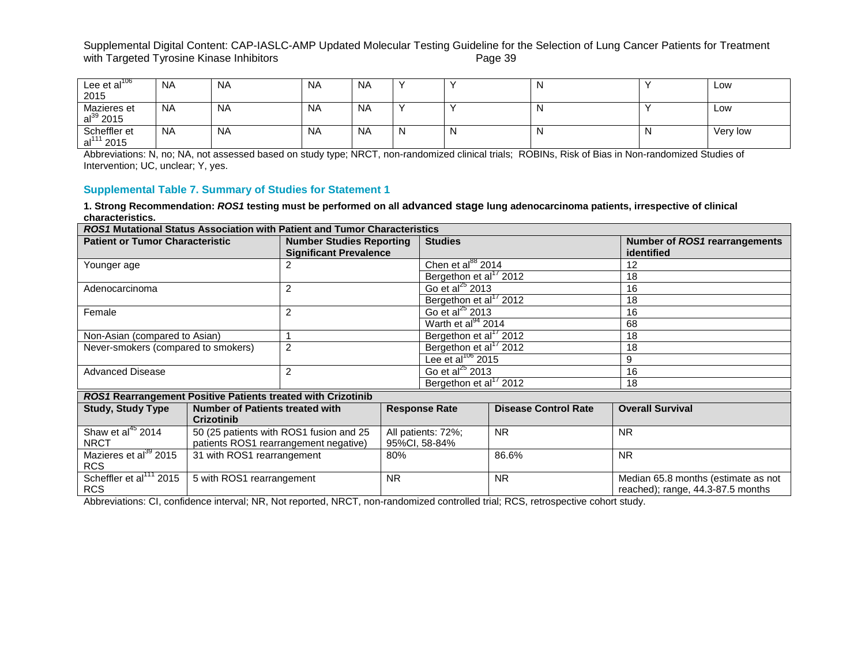| Lee et al $^{106}$<br>2015             | <b>NA</b> | <b>NA</b> | <b>NA</b> | <b>NA</b> |   | N | Low      |
|----------------------------------------|-----------|-----------|-----------|-----------|---|---|----------|
| Mazieres et<br>al $^{39}$ 2015         | <b>NA</b> | <b>NA</b> | <b>NA</b> | <b>NA</b> |   | N | Low      |
| Scheffler et<br>al <sup>111</sup> 2015 | <b>NA</b> | <b>NA</b> | <b>NA</b> | <b>NA</b> | N | N | Very low |

Abbreviations: N, no; NA, not assessed based on study type; NRCT, non-randomized clinical trials; ROBINs, Risk of Bias in Non-randomized Studies of Intervention; UC, unclear; Y, yes.

### **Supplemental Table 7. Summary of Studies for Statement 1**

**1. Strong Recommendation:** *ROS1* **testing must be performed on all advanced stage lung adenocarcinoma patients, irrespective of clinical characteristics.**

| <i>ROS1</i> Mutational Status Association with Patient and Tumor Characteristics |                                        |                                                                  |           |                                    |                                    |                                             |  |  |  |  |
|----------------------------------------------------------------------------------|----------------------------------------|------------------------------------------------------------------|-----------|------------------------------------|------------------------------------|---------------------------------------------|--|--|--|--|
| <b>Patient or Tumor Characteristic</b>                                           |                                        | <b>Number Studies Reporting</b><br><b>Significant Prevalence</b> |           | <b>Studies</b>                     |                                    | Number of ROS1 rearrangements<br>identified |  |  |  |  |
| Younger age                                                                      |                                        |                                                                  |           | Chen et al $^{88}$ 2014            |                                    | 12                                          |  |  |  |  |
|                                                                                  |                                        |                                                                  |           | Bergethon et al <sup>17</sup> 2012 |                                    | 18                                          |  |  |  |  |
| Adenocarcinoma                                                                   |                                        | 2                                                                |           | Go et al $^{25}$ 2013              |                                    | 16                                          |  |  |  |  |
|                                                                                  |                                        |                                                                  |           | Bergethon et al <sup>17</sup> 2012 |                                    | 18                                          |  |  |  |  |
| Female                                                                           |                                        | 2                                                                |           | Go et al $^{25}$ 2013              |                                    | 16                                          |  |  |  |  |
|                                                                                  |                                        |                                                                  |           | Warth et al <sup>94</sup> 2014     |                                    | 68                                          |  |  |  |  |
| Non-Asian (compared to Asian)                                                    |                                        |                                                                  |           | Bergethon et al <sup>17</sup> 2012 |                                    | 18                                          |  |  |  |  |
| Never-smokers (compared to smokers)                                              |                                        | $\overline{2}$                                                   |           |                                    | Bergethon et al <sup>17</sup> 2012 | 18                                          |  |  |  |  |
|                                                                                  |                                        |                                                                  |           | Lee et al $^{106}$ 2015            |                                    | 9                                           |  |  |  |  |
| <b>Advanced Disease</b>                                                          |                                        | 2                                                                |           |                                    | Go et al $^{25}$ 2013              | 16                                          |  |  |  |  |
|                                                                                  |                                        |                                                                  |           | Bergethon et al <sup>17</sup> 2012 |                                    | 18                                          |  |  |  |  |
| ROS1 Rearrangement Positive Patients treated with Crizotinib                     |                                        |                                                                  |           |                                    |                                    |                                             |  |  |  |  |
| <b>Study, Study Type</b>                                                         | <b>Number of Patients treated with</b> |                                                                  |           | <b>Response Rate</b>               | <b>Disease Control Rate</b>        | <b>Overall Survival</b>                     |  |  |  |  |
|                                                                                  | <b>Crizotinib</b>                      |                                                                  |           |                                    |                                    |                                             |  |  |  |  |
| Shaw et al <sup>45</sup> 2014                                                    |                                        | 50 (25 patients with ROS1 fusion and 25                          |           | All patients: 72%;                 | <b>NR</b>                          | <b>NR</b>                                   |  |  |  |  |
| <b>NRCT</b>                                                                      |                                        | patients ROS1 rearrangement negative)                            |           | 95%CI, 58-84%                      |                                    |                                             |  |  |  |  |
| Mazieres et al <sup>39</sup> 2015                                                | 31 with ROS1 rearrangement             |                                                                  | 80%       |                                    | 86.6%                              | <b>NR</b>                                   |  |  |  |  |
| <b>RCS</b>                                                                       |                                        |                                                                  |           |                                    |                                    |                                             |  |  |  |  |
| Scheffler et al <sup>111</sup> 2015                                              | 5 with ROS1 rearrangement              |                                                                  | <b>NR</b> |                                    | <b>NR</b>                          | Median 65.8 months (estimate as not         |  |  |  |  |
| <b>RCS</b>                                                                       |                                        |                                                                  |           |                                    |                                    | reached); range, 44.3-87.5 months           |  |  |  |  |

Abbreviations: CI, confidence interval; NR, Not reported, NRCT, non-randomized controlled trial; RCS, retrospective cohort study.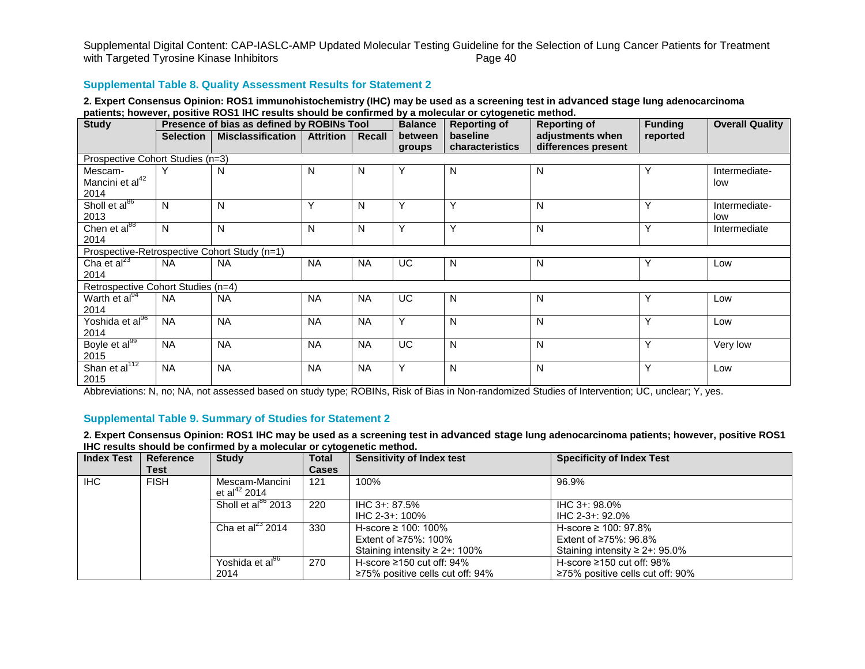#### **Supplemental Table 8. Quality Assessment Results for Statement 2**

#### **2. Expert Consensus Opinion: ROS1 immunohistochemistry (IHC) may be used as a screening test in advanced stage lung adenocarcinoma patients; however, positive ROS1 IHC results should be confirmed by a molecular or cytogenetic method.**

| <b>Study</b>                                   | Presence of bias as defined by ROBINs Tool |                                              |                  |           | <b>Balance</b>    | <b>Reporting of</b>         | <b>Reporting of</b>                     | <b>Funding</b> | <b>Overall Quality</b> |  |
|------------------------------------------------|--------------------------------------------|----------------------------------------------|------------------|-----------|-------------------|-----------------------------|-----------------------------------------|----------------|------------------------|--|
|                                                | <b>Selection</b>                           | <b>Misclassification</b>                     | <b>Attrition</b> | Recall    | between<br>groups | baseline<br>characteristics | adjustments when<br>differences present | reported       |                        |  |
| Prospective Cohort Studies (n=3)               |                                            |                                              |                  |           |                   |                             |                                         |                |                        |  |
| Mescam-<br>Mancini et al <sup>42</sup><br>2014 | Υ                                          | N                                            | N                | N         | Υ                 | N                           | N                                       | Υ              | Intermediate-<br>low   |  |
| Sholl et al <sup>86</sup><br>2013              | N                                          | N                                            | Υ                | N         | Y                 | Y                           | N                                       | Υ              | Intermediate-<br>low   |  |
| Chen et al <sup>88</sup><br>2014               | N                                          | N                                            | N                | N         | Υ                 | Y                           | N                                       | Y              | Intermediate           |  |
|                                                |                                            | Prospective-Retrospective Cohort Study (n=1) |                  |           |                   |                             |                                         |                |                        |  |
| Cha et al $^{23}$<br>2014                      | <b>NA</b>                                  | <b>NA</b>                                    | <b>NA</b>        | <b>NA</b> | UC.               | N                           | N                                       | Y              | Low                    |  |
| Retrospective Cohort Studies (n=4)             |                                            |                                              |                  |           |                   |                             |                                         |                |                        |  |
| Warth et al <sup>94</sup><br>2014              | <b>NA</b>                                  | <b>NA</b>                                    | <b>NA</b>        | <b>NA</b> | UC.               | N                           | N                                       | Υ              | Low                    |  |
| Yoshida et al <sup>96</sup><br>2014            | <b>NA</b>                                  | <b>NA</b>                                    | <b>NA</b>        | <b>NA</b> | Y                 | N                           | N                                       | Y              | Low                    |  |
| Boyle et al <sup>99</sup><br>2015              | <b>NA</b>                                  | <b>NA</b>                                    | <b>NA</b>        | <b>NA</b> | UC.               | N                           | N                                       | Y              | Very low               |  |
| Shan et al <sup>112</sup><br>2015              | <b>NA</b>                                  | <b>NA</b>                                    | <b>NA</b>        | <b>NA</b> | Y                 | N                           | N                                       | Y              | Low                    |  |

Abbreviations: N, no; NA, not assessed based on study type; ROBINs, Risk of Bias in Non-randomized Studies of Intervention; UC, unclear; Y, yes.

### **Supplemental Table 9. Summary of Studies for Statement 2**

**2. Expert Consensus Opinion: ROS1 IHC may be used as a screening test in advanced stage lung adenocarcinoma patients; however, positive ROS1 IHC results should be confirmed by a molecular or cytogenetic method.**

| <b>Index Test</b> | <b>Reference</b><br>Test | <b>Study</b>                               | <b>Total</b><br><b>Cases</b> | <b>Sensitivity of Index test</b>                                                                | <b>Specificity of Index Test</b>                                                           |
|-------------------|--------------------------|--------------------------------------------|------------------------------|-------------------------------------------------------------------------------------------------|--------------------------------------------------------------------------------------------|
| IHC               | <b>FISH</b>              | Mescam-Mancini<br>et al <sup>42</sup> 2014 | 121                          | 100%                                                                                            | 96.9%                                                                                      |
|                   |                          | Sholl et al <sup>86</sup> 2013             | 220                          | IHC 3+: 87.5%<br>IHC 2-3+: 100%                                                                 | $HC 3 + 98.0\%$<br>IHC 2-3+: 92.0%                                                         |
|                   |                          | Cha et al $^{23}$ 2014                     | 330                          | H-score $\geq$ 100: 100%<br>Extent of $\geq 75\%$ : 100%<br>Staining intensity $\geq 2 + 100\%$ | H-score $\geq$ 100: 97.8%<br>Extent of ≥75%: 96.8%<br>Staining intensity $\geq 2$ +: 95.0% |
|                   |                          | Yoshida et al <sup>96</sup><br>2014        | 270                          | H-score $\geq$ 150 cut off: 94%<br>$\geq$ 75% positive cells cut off: 94%                       | H-score $\geq$ 150 cut off: 98%<br>$\geq$ 75% positive cells cut off: 90%                  |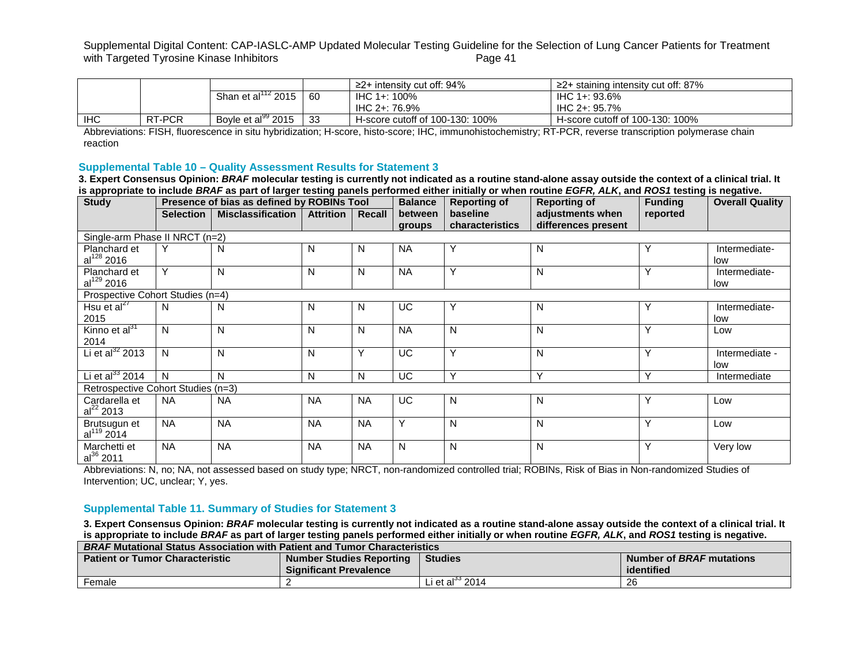|            |        |                                |     | $\geq$ 2+ intensity cut off: 94% | $\geq$ 2+ staining intensity cut off: 87% |
|------------|--------|--------------------------------|-----|----------------------------------|-------------------------------------------|
|            |        | 122015<br>Shan et al'          | -60 | IHC 1+: 100%                     | IHC 1+: 93.6%                             |
|            |        |                                |     | IHC 2+: 76.9%                    | IHC 2+: 95.7%                             |
| <b>IHC</b> | RT-PCR | Boyle et al <sup>99</sup> 2015 | -33 | H-score cutoff of 100-130: 100%  | H-score cutoff of 100-130: 100%           |

Abbreviations: FISH, fluorescence in situ hybridization; H-score, histo-score; IHC, immunohistochemistry; RT-PCR, reverse transcription polymerase chain reaction

#### **Supplemental Table 10 – Quality Assessment Results for Statement 3**

**3. Expert Consensus Opinion:** *BRAF* **molecular testing is currently not indicated as a routine stand-alone assay outside the context of a clinical trial. It is appropriate to include** *BRAF* **as part of larger testing panels performed either initially or when routine** *EGFR, ALK***, and** *ROS1* **testing is negative.**

| <b>Study</b>                           | Presence of bias as defined by ROBINs Tool |                          |                  |              | <b>Balance</b>    | <b>Reporting of</b>         | <b>Reporting of</b>                     | <b>Funding</b> | <b>Overall Quality</b> |
|----------------------------------------|--------------------------------------------|--------------------------|------------------|--------------|-------------------|-----------------------------|-----------------------------------------|----------------|------------------------|
|                                        | <b>Selection</b>                           | <b>Misclassification</b> | <b>Attrition</b> | Recall       | between<br>groups | baseline<br>characteristics | adjustments when<br>differences present | reported       |                        |
| Single-arm Phase II NRCT (n=2)         |                                            |                          |                  |              |                   |                             |                                         |                |                        |
| Planchard et<br>$al^{128}$ 2016        | Υ                                          | N                        | N                | N            | <b>NA</b>         | Υ                           | N                                       | Υ              | Intermediate-<br>low   |
| Planchard et<br>al <sup>129</sup> 2016 | Υ                                          | N                        | N                | N            | <b>NA</b>         | Y                           | N                                       | Υ              | Intermediate-<br>low   |
| Prospective Cohort Studies (n=4)       |                                            |                          |                  |              |                   |                             |                                         |                |                        |
| Hsu et al $^{27}$<br>2015              | N                                          | N                        | N                | N            | <b>UC</b>         | Υ                           | N                                       | Υ              | Intermediate-<br>low   |
| Kinno et al <sup>31</sup><br>2014      | N                                          | N                        | N                | N            | <b>NA</b>         | N                           | N                                       | Υ              | Low                    |
| Li et al $^{32}$ 2013                  | N                                          | N                        | N                | Y            | <b>UC</b>         | Y                           | N                                       | Y              | Intermediate -<br>low  |
| Li et al $^{33}$ 2014                  | N                                          | N                        | N                | $\mathsf{N}$ | UC                | Y                           | $\vee$                                  | $\checkmark$   | Intermediate           |
| Retrospective Cohort Studies (n=3)     |                                            |                          |                  |              |                   |                             |                                         |                |                        |
| Cardarella et<br>$al^{22}$ 2013        | NA.                                        | <b>NA</b>                | <b>NA</b>        | <b>NA</b>    | <b>UC</b>         | N                           | N                                       | Υ              | Low                    |
| Brutsugun et<br>al <sup>119</sup> 2014 | <b>NA</b>                                  | <b>NA</b>                | <b>NA</b>        | <b>NA</b>    | Y                 | N                           | N                                       | Υ              | Low                    |
| Marchetti et<br>$al^{36}$ 2011         | <b>NA</b>                                  | <b>NA</b>                | <b>NA</b>        | <b>NA</b>    | N                 | N                           | N                                       | Υ              | Very low               |

Abbreviations: N, no; NA, not assessed based on study type; NRCT, non-randomized controlled trial; ROBINs, Risk of Bias in Non-randomized Studies of Intervention; UC, unclear; Y, yes.

#### **Supplemental Table 11. Summary of Studies for Statement 3**

**3. Expert Consensus Opinion:** *BRAF* **molecular testing is currently not indicated as a routine stand-alone assay outside the context of a clinical trial. It is appropriate to include** *BRAF* **as part of larger testing panels performed either initially or when routine** *EGFR, ALK***, and** *ROS1* **testing is negative.**

| <b>BRAF Mutational Status Association with Patient and Tumor Characteristics</b>                                        |                               |                               |            |  |  |  |  |  |  |  |
|-------------------------------------------------------------------------------------------------------------------------|-------------------------------|-------------------------------|------------|--|--|--|--|--|--|--|
| Number of <i>BRAF</i> mutations<br>Number Studies Reporting<br><b>Studies</b><br><b>Patient or Tumor Characteristic</b> |                               |                               |            |  |  |  |  |  |  |  |
|                                                                                                                         | <b>Significant Prevalence</b> |                               | identified |  |  |  |  |  |  |  |
| Female                                                                                                                  |                               | Li et al $^{\circ\circ}$ 2014 | 26         |  |  |  |  |  |  |  |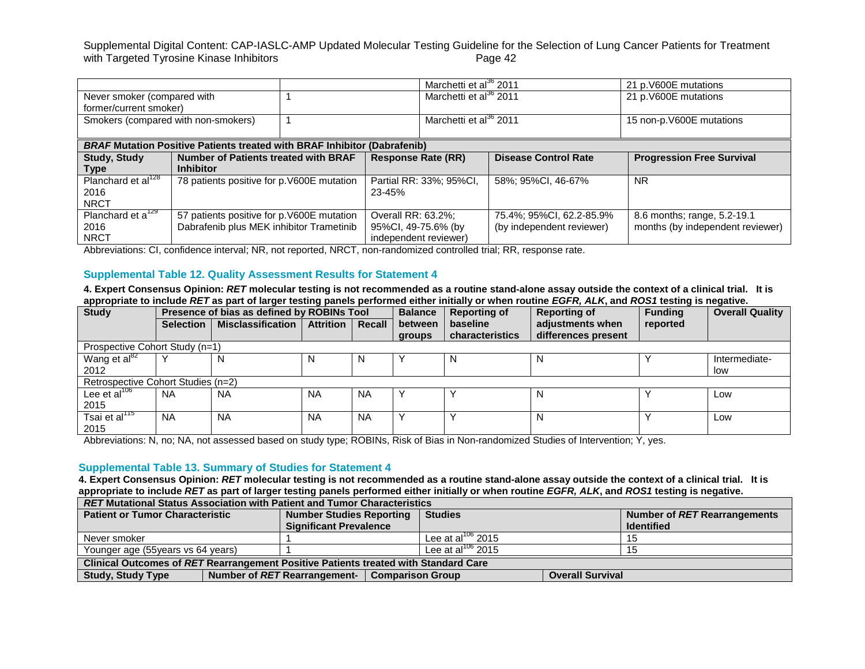|                                                                                    |                                             |                           |                         | Marchetti et al <sup>36</sup> 2011 |                                  | 21 p.V600E mutations             |  |  |  |
|------------------------------------------------------------------------------------|---------------------------------------------|---------------------------|-------------------------|------------------------------------|----------------------------------|----------------------------------|--|--|--|
| Never smoker (compared with                                                        |                                             |                           |                         | Marchetti et al <sup>36</sup> 2011 |                                  | 21 p.V600E mutations             |  |  |  |
| former/current smoker)                                                             |                                             |                           |                         |                                    |                                  |                                  |  |  |  |
| Smokers (compared with non-smokers)                                                |                                             |                           |                         | Marchetti et al <sup>36</sup> 2011 |                                  | 15 non-p.V600E mutations         |  |  |  |
|                                                                                    |                                             |                           |                         |                                    |                                  |                                  |  |  |  |
| <b>BRAF Mutation Positive Patients treated with BRAF Inhibitor</b><br>(Dabrafenib) |                                             |                           |                         |                                    |                                  |                                  |  |  |  |
| <b>Study, Study</b>                                                                | <b>Number of Patients treated with BRAF</b> | <b>Response Rate (RR)</b> |                         | <b>Disease Control Rate</b>        | <b>Progression Free Survival</b> |                                  |  |  |  |
| Type                                                                               | <b>Inhibitor</b>                            |                           |                         |                                    |                                  |                                  |  |  |  |
| Planchard et al <sup>128</sup>                                                     | 78 patients positive for p.V600E mutation   |                           | Partial RR: 33%; 95%Cl, |                                    | 58%; 95%CI, 46-67%               | <b>NR</b>                        |  |  |  |
| 2016                                                                               |                                             |                           | 23-45%                  |                                    |                                  |                                  |  |  |  |
| <b>NRCT</b>                                                                        |                                             |                           |                         |                                    |                                  |                                  |  |  |  |
| Planchard et a <sup>129</sup>                                                      | 57 patients positive for p.V600E mutation   |                           | Overall RR: 63.2%;      |                                    | 75.4%; 95%CI, 62.2-85.9%         | 8.6 months; range, 5.2-19.1      |  |  |  |
| 2016                                                                               | Dabrafenib plus MEK inhibitor Trametinib    |                           | 95%CI, 49-75.6% (by     |                                    | (by independent reviewer)        | months (by independent reviewer) |  |  |  |
| <b>NRCT</b>                                                                        |                                             |                           |                         | independent reviewer)              |                                  |                                  |  |  |  |

Abbreviations: CI, confidence interval; NR, not reported, NRCT, non-randomized controlled trial; RR, response rate.

#### **Supplemental Table 12. Quality Assessment Results for Statement 4**

**4. Expert Consensus Opinion:** *RET* **molecular testing is not recommended as a routine stand-alone assay outside the context of a clinical trial. It is appropriate to include** *RET* **as part of larger testing panels performed either initially or when routine** *EGFR, ALK***, and** *ROS1* **testing is negative.**

| <b>Study</b>                       |                                | Presence of bias as defined by ROBINs Tool |                  |           | <b>Balance</b> | <b>Reporting of</b> | <b>Reporting of</b> | <b>Funding</b> | <b>Overall Quality</b> |  |  |  |
|------------------------------------|--------------------------------|--------------------------------------------|------------------|-----------|----------------|---------------------|---------------------|----------------|------------------------|--|--|--|
|                                    | <b>Selection</b>               | <b>Misclassification</b>                   | <b>Attrition</b> | Recall    | between        | baseline            | adjustments when    | reported       |                        |  |  |  |
|                                    |                                |                                            |                  |           | groups         | characteristics     | differences present |                |                        |  |  |  |
|                                    | Prospective Cohort Study (n=1) |                                            |                  |           |                |                     |                     |                |                        |  |  |  |
| Wang et al <sup>82</sup>           |                                | N                                          | N                | N         |                |                     |                     |                | Intermediate-          |  |  |  |
| 2012                               |                                |                                            |                  |           |                |                     |                     |                | low                    |  |  |  |
| Retrospective Cohort Studies (n=2) |                                |                                            |                  |           |                |                     |                     |                |                        |  |  |  |
| Lee et al $106$                    | <b>NA</b>                      | <b>NA</b>                                  | <b>NA</b>        | <b>NA</b> |                |                     |                     |                | Low                    |  |  |  |
| 2015                               |                                |                                            |                  |           |                |                     |                     |                |                        |  |  |  |
| Tsai et al <sup>115</sup>          | <b>NA</b>                      | <b>NA</b>                                  | <b>NA</b>        | <b>NA</b> |                |                     |                     |                | Low                    |  |  |  |
| 2015                               |                                |                                            |                  |           |                |                     |                     |                |                        |  |  |  |

Abbreviations: N, no; NA, not assessed based on study type; ROBINs, Risk of Bias in Non-randomized Studies of Intervention; Y, yes.

#### **Supplemental Table 13. Summary of Studies for Statement 4**

**4. Expert Consensus Opinion:** *RET* **molecular testing is not recommended as a routine stand-alone assay outside the context of a clinical trial. It is appropriate to include** *RET* **as part of larger testing panels performed either initially or when routine** *EGFR, ALK***, and** *ROS1* **testing is negative.**

| <b>RET Mutational Status Association with Patient and Tumor Characteristics</b>     |                                                         |                               |                         |                              |  |  |  |  |  |  |  |  |
|-------------------------------------------------------------------------------------|---------------------------------------------------------|-------------------------------|-------------------------|------------------------------|--|--|--|--|--|--|--|--|
| <b>Patient or Tumor Characteristic</b>                                              | <b>Number Studies Reporting</b>                         | <b>Studies</b>                |                         | Number of RET Rearrangements |  |  |  |  |  |  |  |  |
|                                                                                     | <b>Significant Prevalence</b>                           |                               |                         | <b>Identified</b>            |  |  |  |  |  |  |  |  |
| Never smoker                                                                        |                                                         | Lee at al <sup>106</sup> 2015 |                         | 15                           |  |  |  |  |  |  |  |  |
| Younger age (55 years vs 64 years)                                                  |                                                         | Lee at al $^{106}$ 2015       |                         | 15                           |  |  |  |  |  |  |  |  |
| Clinical Outcomes of RET Rearrangement Positive Patients treated with Standard Care |                                                         |                               |                         |                              |  |  |  |  |  |  |  |  |
| <b>Study, Study Type</b>                                                            | Number of RET Rearrangement-<br><b>Comparison Group</b> |                               | <b>Overall Survival</b> |                              |  |  |  |  |  |  |  |  |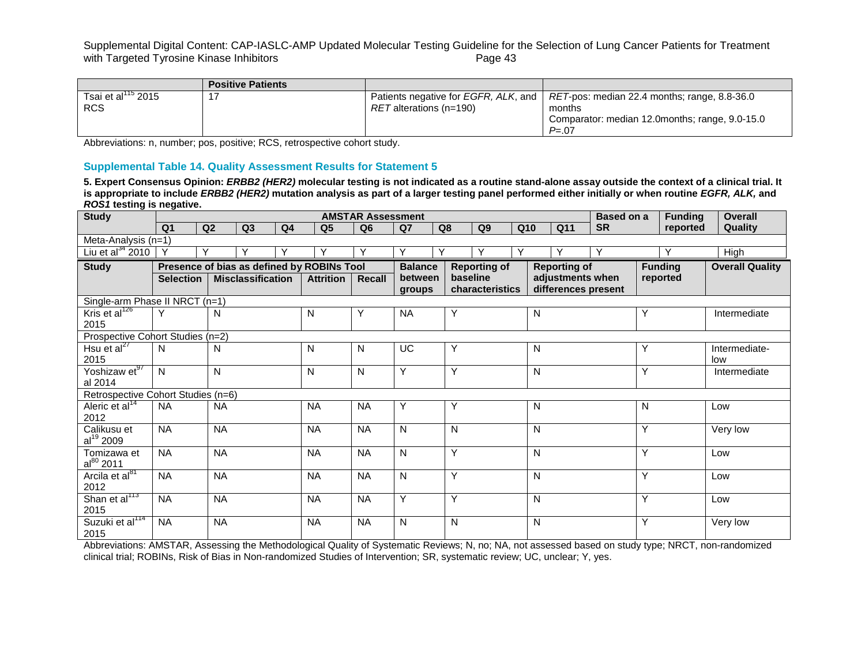Supplemental Digital Content: CAP-IASLC-AMP Updated Molecular Testing Guideline for the Selection of Lung Cancer Patients for Treatment<br>with Targeted Tyrosine Kinase Inhibitors<br>Page 43 with Targeted Tyrosine Kinase Inhibitors

|                          | <b>Positive Patients</b> |                         |                                                                                                    |
|--------------------------|--------------------------|-------------------------|----------------------------------------------------------------------------------------------------|
| Tsai et al $^{115}$ 2015 |                          |                         | Patients negative for <i>EGFR, ALK,</i> and   <i>RET</i> -pos: median 22.4 months; range, 8.8-36.0 |
| <b>RCS</b>               |                          | RET alterations (n=190) | months                                                                                             |
|                          |                          |                         | Comparator: median 12.0months; range, 9.0-15.0                                                     |
|                          |                          |                         | $P = 07$                                                                                           |

Abbreviations: n, number; pos, positive; RCS, retrospective cohort study.

# **Supplemental Table 14. Quality Assessment Results for Statement 5**

**5. Expert Consensus Opinion:** *ERBB2 (HER2)* **molecular testing is not indicated as a routine stand-alone assay outside the context of a clinical trial. It is appropriate to include** *ERBB2 (HER2)* **mutation analysis as part of a larger testing panel performed either initially or when routine** *EGFR, ALK,* **and**  *ROS1* **testing is negative.**

| <b>Study</b>                         |                                            |                |                          |                |                  | <b>AMSTAR Assessment</b> |           |                                                              |          |                 |     |                |                     | <b>Based on a</b> |                        | <b>Funding</b> | Overall       |
|--------------------------------------|--------------------------------------------|----------------|--------------------------|----------------|------------------|--------------------------|-----------|--------------------------------------------------------------|----------|-----------------|-----|----------------|---------------------|-------------------|------------------------|----------------|---------------|
|                                      | Q <sub>1</sub>                             | Q <sub>2</sub> | Q3                       | Q <sub>4</sub> | Q <sub>5</sub>   | Q <sub>6</sub>           | Q7        | Q8                                                           |          | Q9              | Q10 |                | Q11                 | <b>SR</b>         |                        | reported       | Quality       |
| Meta-Analysis (n=1)                  |                                            |                |                          |                |                  |                          |           |                                                              |          |                 |     |                |                     |                   |                        |                |               |
| Liu et al $^{34}$ 2010               | Y                                          | Υ              |                          |                |                  | Υ                        | Y         | Υ                                                            |          | Υ               | Υ   |                |                     | Υ                 |                        | Υ              | High          |
| <b>Study</b>                         | Presence of bias as defined by ROBINs Tool |                |                          |                |                  |                          |           | <b>Balance</b><br><b>Reporting of</b><br><b>Reporting of</b> |          |                 |     | <b>Funding</b> |                     |                   | <b>Overall Quality</b> |                |               |
|                                      | <b>Selection</b>                           |                | <b>Misclassification</b> |                | <b>Attrition</b> | Recall                   | between   |                                                              | baseline |                 |     |                | adjustments when    |                   |                        | reported       |               |
|                                      |                                            |                |                          |                |                  |                          | groups    |                                                              |          | characteristics |     |                | differences present |                   |                        |                |               |
| Single-arm Phase II NRCT (n=1)       |                                            |                |                          |                |                  |                          |           |                                                              |          |                 |     |                |                     |                   |                        |                |               |
| Kris et al $^{126}$                  | Υ                                          | N              |                          |                | N                | Y                        | <b>NA</b> | Y                                                            |          |                 |     | $\mathsf{N}$   |                     |                   | Υ                      |                | Intermediate  |
| 2015                                 |                                            |                |                          |                |                  |                          |           |                                                              |          |                 |     |                |                     |                   |                        |                |               |
| Prospective Cohort Studies (n=2)     |                                            |                |                          |                |                  |                          |           |                                                              |          |                 |     |                |                     |                   |                        |                |               |
| Hsu et $al^{27}$                     | N                                          | N              |                          |                | N                | N                        | UC        | Y                                                            |          |                 |     | $\mathsf{N}$   |                     |                   | Υ                      |                | Intermediate- |
| 2015                                 |                                            |                |                          |                |                  |                          |           |                                                              |          |                 |     |                |                     |                   |                        |                | low           |
| Yoshizaw et97                        | N <sub>1</sub>                             | N              |                          |                | N                | N                        | Y         | Y                                                            |          |                 |     | N              |                     |                   | Υ                      |                | Intermediate  |
| al 2014                              |                                            |                |                          |                |                  |                          |           |                                                              |          |                 |     |                |                     |                   |                        |                |               |
| Retrospective Cohort Studies (n=6)   |                                            |                |                          |                |                  |                          |           |                                                              |          |                 |     |                |                     |                   |                        |                |               |
| Aleric et al <sup>14</sup>           | <b>NA</b>                                  | <b>NA</b>      |                          |                | <b>NA</b>        | <b>NA</b>                | Y         | Y                                                            |          |                 |     | N              |                     |                   | N                      |                | Low           |
| 2012                                 |                                            |                |                          |                |                  |                          |           | N                                                            |          |                 |     | $\mathsf{N}$   |                     |                   | Y                      |                |               |
| Calikusu et<br>al <sup>19</sup> 2009 | <b>NA</b>                                  | <b>NA</b>      |                          |                | <b>NA</b>        | <b>NA</b>                | N         |                                                              |          |                 |     |                |                     |                   |                        |                | Very low      |
| Tomizawa et                          | <b>NA</b>                                  | <b>NA</b>      |                          |                | <b>NA</b>        | <b>NA</b>                | N         | Y                                                            |          |                 |     | N              |                     |                   | Υ                      |                | Low           |
| $al^{80}$ 2011                       |                                            |                |                          |                |                  |                          |           |                                                              |          |                 |     |                |                     |                   |                        |                |               |
| Arcila et al <sup>81</sup>           | <b>NA</b>                                  | <b>NA</b>      |                          |                | <b>NA</b>        | <b>NA</b>                | N         | Y                                                            |          |                 |     | N              |                     |                   | Y                      |                | Low           |
| 2012                                 |                                            |                |                          |                |                  |                          |           |                                                              |          |                 |     |                |                     |                   |                        |                |               |
| Shan et al <sup>113</sup>            | <b>NA</b>                                  | <b>NA</b>      |                          |                | <b>NA</b>        | <b>NA</b>                | Y         | Y                                                            |          |                 |     | N              |                     |                   | Υ                      |                | Low           |
| 2015                                 |                                            |                |                          |                |                  |                          |           |                                                              |          |                 |     |                |                     |                   |                        |                |               |
| Suzuki et al <sup>114</sup>          | <b>NA</b>                                  | <b>NA</b>      |                          |                | <b>NA</b>        | <b>NA</b>                | N         | N                                                            |          |                 |     | N              |                     |                   | Y                      |                | Very low      |
| 2015                                 |                                            |                |                          |                |                  |                          |           |                                                              |          |                 |     |                |                     |                   |                        |                |               |

Abbreviations: AMSTAR, Assessing the Methodological Quality of Systematic Reviews; N, no; NA, not assessed based on study type; NRCT, non-randomized clinical trial; ROBINs, Risk of Bias in Non-randomized Studies of Intervention; SR, systematic review; UC, unclear; Y, yes.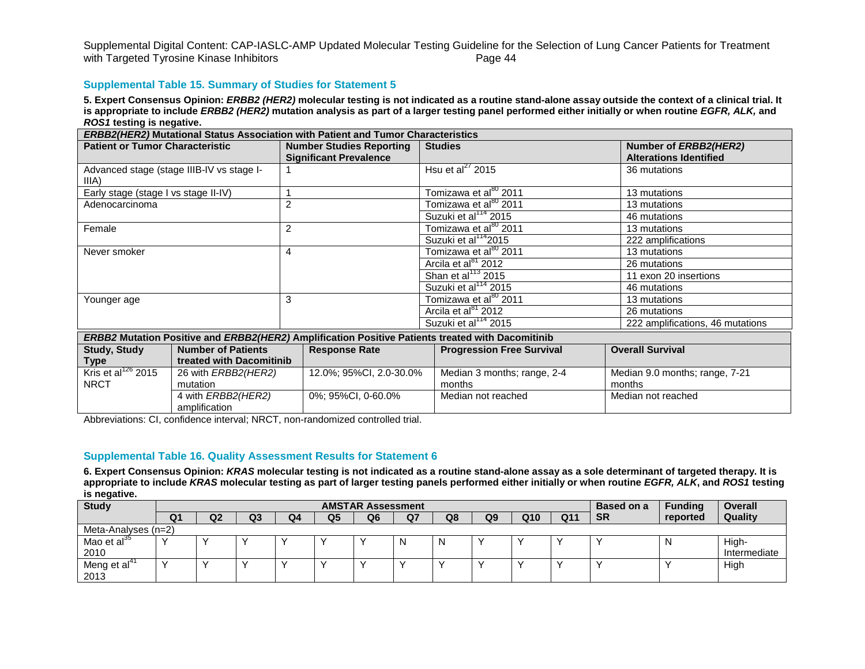## **Supplemental Table 15. Summary of Studies for Statement 5**

**5. Expert Consensus Opinion:** *ERBB2 (HER2)* **molecular testing is not indicated as a routine stand-alone assay outside the context of a clinical trial. It is appropriate to include** *ERBB2 (HER2)* **mutation analysis as part of a larger testing panel performed either initially or when routine** *EGFR, ALK,* **and**  *ROS1* **testing is negative.**

|                                        |                                           | <b>ERBB2(HER2) Mutational Status Association with Patient and Tumor Characteristics</b>          |                                   |                                                        |
|----------------------------------------|-------------------------------------------|--------------------------------------------------------------------------------------------------|-----------------------------------|--------------------------------------------------------|
| <b>Patient or Tumor Characteristic</b> |                                           | <b>Number Studies Reporting</b><br><b>Significant Prevalence</b>                                 | <b>Studies</b>                    | Number of ERBB2(HER2)<br><b>Alterations Identified</b> |
| IIIA).                                 | Advanced stage (stage IIIB-IV vs stage I- |                                                                                                  | Hsu et al <sup>27</sup> 2015      | 36 mutations                                           |
| Early stage (stage I vs stage II-IV)   |                                           |                                                                                                  | Tomizawa et al <sup>80</sup> 2011 | 13 mutations                                           |
| Adenocarcinoma                         |                                           | $\overline{2}$                                                                                   | Tomizawa et al <sup>80</sup> 2011 | 13 mutations                                           |
|                                        |                                           |                                                                                                  | Suzuki et al <sup>114</sup> 2015  | 46 mutations                                           |
| Female                                 |                                           | $\overline{2}$                                                                                   | Tomizawa et al <sup>80</sup> 2011 | 13 mutations                                           |
|                                        |                                           |                                                                                                  | Suzuki et al <sup>114</sup> 2015  | 222 amplifications                                     |
| Never smoker                           |                                           | 4                                                                                                | Tomizawa et al <sup>80</sup> 2011 | 13 mutations                                           |
|                                        |                                           |                                                                                                  | Arcila et al <sup>81</sup> 2012   | 26 mutations                                           |
|                                        |                                           |                                                                                                  | Shan et al $^{113}$ 2015          | 11 exon 20 insertions                                  |
|                                        |                                           |                                                                                                  | Suzuki et al <sup>114</sup> 2015  | 46 mutations                                           |
| Younger age                            |                                           | 3                                                                                                | Tomizawa et al <sup>80</sup> 2011 | 13 mutations                                           |
|                                        |                                           |                                                                                                  | Arcila et al <sup>81</sup> 2012   | 26 mutations                                           |
|                                        |                                           |                                                                                                  | Suzuki et al <sup>114</sup> 2015  | 222 amplifications, 46 mutations                       |
|                                        |                                           | ERBB2 Mutation Positive and ERBB2(HER2) Amplification Positive Patients treated with Dacomitinib |                                   |                                                        |
| <b>Study, Study</b>                    | <b>Number of Patients</b>                 | <b>Response Rate</b>                                                                             | <b>Progression Free Survival</b>  | <b>Overall Survival</b>                                |
| Type                                   | treated with Dacomitinib                  |                                                                                                  |                                   |                                                        |
| Kris et al $^{126}$ 2015               | 26 with <i>ERBB2(HER2)</i>                | 12.0%; 95%CI, 2.0-30.0%                                                                          | Median 3 months; range, 2-4       | Median 9.0 months; range, 7-21                         |
| <b>NRCT</b>                            | mutation                                  |                                                                                                  | months                            | months                                                 |
|                                        | 4 with ERBB2(HER2)<br>amplification       | 0%; 95%CI, 0-60.0%                                                                               | Median not reached                | Median not reached                                     |

Abbreviations: CI, confidence interval; NRCT, non-randomized controlled trial.

## **Supplemental Table 16. Quality Assessment Results for Statement 6**

**6. Expert Consensus Opinion:** *KRAS* **molecular testing is not indicated as a routine stand-alone assay as a sole determinant of targeted therapy. It is appropriate to include** *KRAS* **molecular testing as part of larger testing panels performed either initially or when routine** *EGFR, ALK***, and** *ROS1* **testing is negative.**

| <b>Study</b>        |    |                |    |    |    | <b>Based on a</b> | <b>Funding</b> | <b>Overall</b> |    |                 |     |           |          |              |
|---------------------|----|----------------|----|----|----|-------------------|----------------|----------------|----|-----------------|-----|-----------|----------|--------------|
|                     | Q1 | Q <sub>2</sub> | Q3 | Q4 | Q5 | Q6                | Q7             | Q8             | Q9 | Q <sub>10</sub> | Q11 | <b>SR</b> | reported | Quality      |
| Meta-Analyses (n=2) |    |                |    |    |    |                   |                |                |    |                 |     |           |          |              |
| Mao et al $35$      |    |                |    |    |    |                   | N              | N              |    |                 |     |           | N        | High-        |
| 2010                |    |                |    |    |    |                   |                |                |    |                 |     |           |          | Intermediate |
| Meng et al          |    |                |    |    |    |                   |                |                |    |                 |     |           |          | High         |
| 2013                |    |                |    |    |    |                   |                |                |    |                 |     |           |          |              |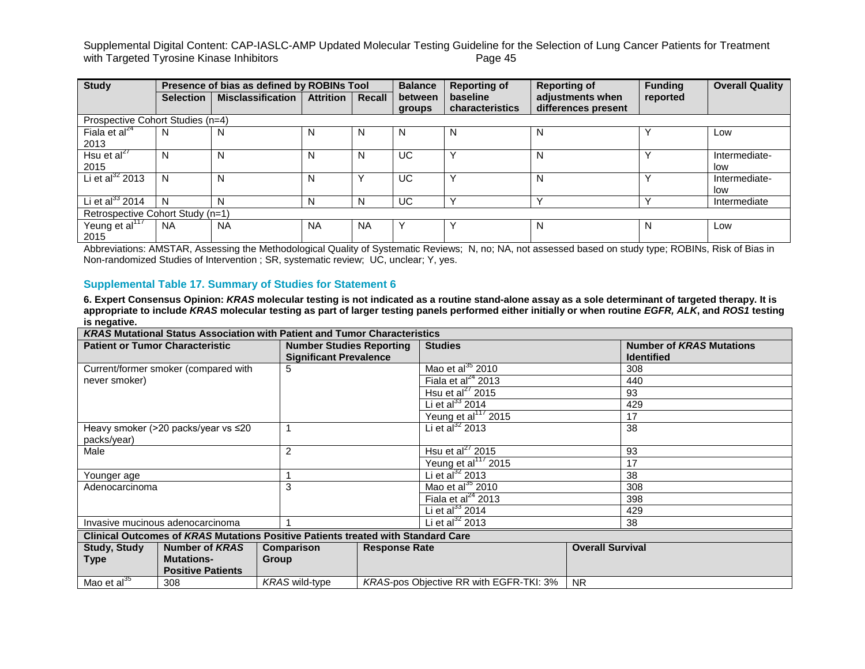Supplemental Digital Content: CAP-IASLC-AMP Updated Molecular Testing Guideline for the Selection of Lung Cancer Patients for Treatment<br>with Targeted Tyrosine Kinase Inhibitors<br>Page 45 with Targeted Tyrosine Kinase Inhibitors

| <b>Study</b>                       |                  | Presence of bias as defined by ROBINs Tool |                  |           | <b>Balance</b>    | <b>Reporting of</b>         | <b>Reporting of</b>                     | <b>Funding</b> | <b>Overall Quality</b> |  |  |  |
|------------------------------------|------------------|--------------------------------------------|------------------|-----------|-------------------|-----------------------------|-----------------------------------------|----------------|------------------------|--|--|--|
|                                    | <b>Selection</b> | <b>Misclassification</b>                   | <b>Attrition</b> | Recall    | between<br>groups | baseline<br>characteristics | adjustments when<br>differences present | reported       |                        |  |  |  |
| Prospective Cohort Studies (n=4)   |                  |                                            |                  |           |                   |                             |                                         |                |                        |  |  |  |
| Fiala et al $^{24}$<br>2013        | N                | N                                          | N                | N         | N                 | N                           | N                                       |                | Low                    |  |  |  |
| Hsu et al $^{27}$<br>2015          | N                | N                                          | N                | N         | UC.               |                             | N                                       |                | Intermediate-<br>low   |  |  |  |
| Li et al $^{32}$ 2013              | N                | N                                          | N                | Υ         | UC                |                             | N                                       |                | Intermediate-<br>low   |  |  |  |
| Li et al $^{33}$ 2014              | N                | N                                          | N                | N         | UC                |                             | $\checkmark$                            |                | Intermediate           |  |  |  |
| Retrospective Cohort Study (n=1)   |                  |                                            |                  |           |                   |                             |                                         |                |                        |  |  |  |
| Yeung et al <sup>117</sup><br>2015 | <b>NA</b>        | <b>NA</b>                                  | NA               | <b>NA</b> | $\checkmark$      |                             | N                                       | N              | Low                    |  |  |  |

Abbreviations: AMSTAR, Assessing the Methodological Quality of Systematic Reviews; N, no; NA, not assessed based on study type; ROBINs, Risk of Bias in Non-randomized Studies of Intervention ; SR, systematic review; UC, unclear; Y, yes.

### **Supplemental Table 17. Summary of Studies for Statement 6**

**6. Expert Consensus Opinion:** *KRAS* **molecular testing is not indicated as a routine stand-alone assay as a sole determinant of targeted therapy. It is appropriate to include** *KRAS* **molecular testing as part of larger testing panels performed either initially or when routine** *EGFR, ALK***, and** *ROS1* **testing is negative.**

|                     |                                        | <b>KRAS Mutational Status Association with Patient and Tumor Characteristics</b> |                      |                                                |                         |                                 |
|---------------------|----------------------------------------|----------------------------------------------------------------------------------|----------------------|------------------------------------------------|-------------------------|---------------------------------|
|                     | <b>Patient or Tumor Characteristic</b> | <b>Number Studies Reporting</b>                                                  |                      | <b>Studies</b>                                 |                         | <b>Number of KRAS Mutations</b> |
|                     |                                        | <b>Significant Prevalence</b>                                                    |                      |                                                |                         | <b>Identified</b>               |
|                     | Current/former smoker (compared with   | 5                                                                                |                      | Mao et al $^{35}$ 2010                         |                         | 308                             |
| never smoker)       |                                        |                                                                                  |                      | Fiala et al $^{24}$ 2013                       |                         | 440                             |
|                     |                                        |                                                                                  |                      | Hsu et al $^{27}$ 2015                         |                         | 93                              |
|                     |                                        |                                                                                  |                      | Li et al $^{33}$ 2014                          |                         | 429                             |
|                     |                                        |                                                                                  |                      | Yeung et al <sup>117</sup> 2015                |                         | 17                              |
|                     | Heavy smoker (>20 packs/year vs ≤20    |                                                                                  |                      | Li et al $^{32}$ 2013                          |                         | 38                              |
| packs/year)         |                                        |                                                                                  |                      |                                                |                         |                                 |
| Male                |                                        | 2                                                                                |                      | Hsu et al <sup>27</sup> 2015                   | 93                      |                                 |
|                     |                                        |                                                                                  |                      | Yeung et al <sup>117</sup> 2015                |                         | 17                              |
| Younger age         |                                        |                                                                                  |                      | Li et al $^{32}$ 2013                          | 38                      |                                 |
| Adenocarcinoma      |                                        | 3                                                                                |                      | Mao et al $^{35}$ 2010                         | 308                     |                                 |
|                     |                                        |                                                                                  |                      | Fiala et al $^{24}$ 2013                       |                         | 398                             |
|                     |                                        |                                                                                  |                      | Li et al $^{33}$ 2014                          |                         | 429                             |
|                     | Invasive mucinous adenocarcinoma       |                                                                                  |                      | Li et al $^{32}$ 2013                          |                         | 38                              |
|                     |                                        | Clinical Outcomes of KRAS Mutations Positive Patients treated with Standard Care |                      |                                                |                         |                                 |
| <b>Study, Study</b> | Number of KRAS                         | Comparison                                                                       | <b>Response Rate</b> |                                                | <b>Overall Survival</b> |                                 |
| <b>Type</b>         | <b>Mutations-</b>                      | Group                                                                            |                      |                                                |                         |                                 |
|                     | <b>Positive Patients</b>               |                                                                                  |                      |                                                |                         |                                 |
| Mao et al $^{35}$   | 308                                    | <b>KRAS</b> wild-type                                                            |                      | <b>KRAS-pos Objective RR with EGFR-TKI: 3%</b> | <b>NR</b>               |                                 |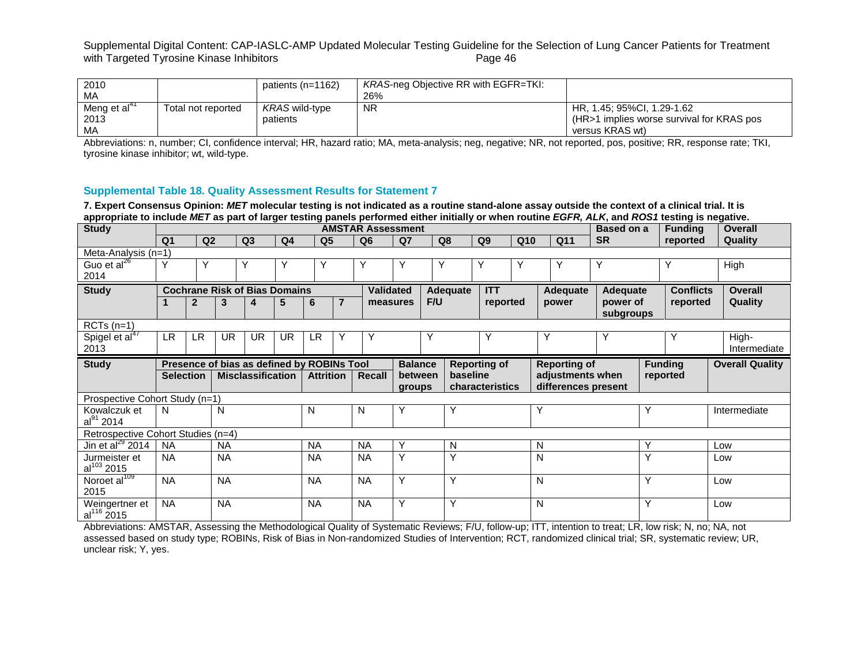| 2010           |                    | patients (n=1162) | <b>KRAS-neg Objective RR with EGFR=TKI:</b> |                                           |
|----------------|--------------------|-------------------|---------------------------------------------|-------------------------------------------|
| MA             |                    |                   | 26%                                         |                                           |
| Meng et $al41$ | Total not reported | KRAS wild-type    | <b>NR</b>                                   | HR. 1.45: 95%CI. 1.29-1.62                |
| 2013           |                    | patients          |                                             | (HR>1 implies worse survival for KRAS pos |
| MA             |                    |                   |                                             | versus KRAS wt)                           |

Abbreviations: n, number; CI, confidence interval; HR, hazard ratio; MA, meta-analysis; neg, negative; NR, not reported, pos, positive; RR, response rate; TKI, tyrosine kinase inhibitor; wt, wild-type.

## **Supplemental Table 18. Quality Assessment Results for Statement 7**

**7. Expert Consensus Opinion:** *MET* **molecular testing is not indicated as a routine stand-alone assay outside the context of a clinical trial. It is appropriate to include** *MET* **as part of larger testing panels performed either initially or when routine** *EGFR, ALK***, and** *ROS1* **testing is negative.**

| appropriate to molday mer as part or larger testing panels performed ethicr imitally or when rounded by AER, and NOOT testing is negative.<br><b>Study</b> |                  |                |           |                                            |                |                  |                | <b>AMSTAR Assessment</b> |                   |     |          |                     |     |   |                                         | Based on a            |     | <b>Funding</b>   | <b>Overall</b> |                        |
|------------------------------------------------------------------------------------------------------------------------------------------------------------|------------------|----------------|-----------|--------------------------------------------|----------------|------------------|----------------|--------------------------|-------------------|-----|----------|---------------------|-----|---|-----------------------------------------|-----------------------|-----|------------------|----------------|------------------------|
|                                                                                                                                                            | Q <sub>1</sub>   | Q2             |           | Q <sub>3</sub>                             | Q <sub>4</sub> | Q <sub>5</sub>   |                | Q <sub>6</sub>           | Q <sub>7</sub>    |     | Q8       | Q <sub>9</sub>      | Q10 |   | Q11                                     | <b>SR</b>             |     | reported         | <b>Quality</b> |                        |
| Meta-Analysis (n=1)                                                                                                                                        |                  |                |           |                                            |                |                  |                |                          |                   |     |          |                     |     |   |                                         |                       |     |                  |                |                        |
| Guo et al <sup>26</sup>                                                                                                                                    |                  | Y              |           | Y                                          | Υ              | Υ                |                | Υ                        | Υ                 | Y   |          | Y                   | Υ   |   | Y                                       | Υ                     |     |                  | High           |                        |
| 2014                                                                                                                                                       |                  |                |           |                                            |                |                  |                |                          |                   |     |          |                     |     |   |                                         |                       |     |                  |                |                        |
| <b>Study</b>                                                                                                                                               |                  |                |           | <b>Cochrane Risk of Bias Domains</b>       |                |                  |                | <b>Validated</b>         |                   |     | Adequate | <b>ITT</b>          |     |   | <b>Adequate</b>                         | Adequate              |     | <b>Conflicts</b> |                | <b>Overall</b>         |
|                                                                                                                                                            |                  | $\overline{2}$ | 3         | 4                                          | 5              | 6                | $\overline{7}$ | measures                 |                   | F/U |          | reported            |     |   | power                                   | power of<br>subgroups |     | reported         |                | Quality                |
| $RCTs$ (n=1)                                                                                                                                               |                  |                |           |                                            |                |                  |                |                          |                   |     |          |                     |     |   |                                         |                       |     |                  |                |                        |
| Spigel et al <sup>47</sup><br>2013                                                                                                                         | LR.              | LR.            | UR.       | <b>UR</b>                                  | <b>UR</b>      | <b>LR</b>        |                | Υ                        |                   |     |          |                     |     | Y |                                         | Υ                     |     | Y                | High-          | Intermediate           |
| <b>Study</b>                                                                                                                                               |                  |                |           | Presence of bias as defined by ROBINs Tool |                |                  |                |                          | <b>Balance</b>    |     |          | <b>Reporting of</b> |     |   | <b>Reporting of</b>                     |                       |     | <b>Funding</b>   |                | <b>Overall Quality</b> |
|                                                                                                                                                            | <b>Selection</b> |                |           | <b>Misclassification</b>                   |                | <b>Attrition</b> |                | Recall                   | between<br>groups |     | baseline | characteristics     |     |   | adjustments when<br>differences present |                       |     | reported         |                |                        |
| Prospective Cohort Study (n=1)                                                                                                                             |                  |                |           |                                            |                |                  |                |                          |                   |     |          |                     |     |   |                                         |                       |     |                  |                |                        |
| Kowalczuk et<br>$al^{91}$ 2014                                                                                                                             | N.               |                | N         |                                            |                | N                |                | N                        | Y                 |     | Y        |                     |     | Υ |                                         |                       | Υ   |                  | Intermediate   |                        |
| Retrospective Cohort Studies (n=4)                                                                                                                         |                  |                |           |                                            |                |                  |                |                          |                   |     |          |                     |     |   |                                         |                       |     |                  |                |                        |
| Jin et al $^{29}$ 2014                                                                                                                                     | <b>NA</b>        |                | <b>NA</b> |                                            |                | <b>NA</b>        |                | <b>NA</b>                | Υ                 |     | N        |                     |     | N |                                         |                       | Y   |                  | Low            |                        |
| Jurmeister et<br>$al^{103}$ 2015                                                                                                                           | NA.              |                | <b>NA</b> |                                            |                | <b>NA</b>        |                | <b>NA</b>                | Y                 |     | Υ        |                     |     | N |                                         | Y                     |     |                  | Low            |                        |
| Noroet al <sup>109</sup><br>2015                                                                                                                           | <b>NA</b>        |                | <b>NA</b> |                                            |                | <b>NA</b>        |                | <b>NA</b>                | Y                 |     | Y        |                     |     | N |                                         |                       | Y   |                  | Low            |                        |
| Weingertner et<br>$al116$ 2015                                                                                                                             | NA.              |                | <b>NA</b> | <b>NA</b>                                  |                |                  | <b>NA</b>      | Y<br>Y                   |                   |     |          |                     | N   |   | Y                                       |                       | Low |                  |                |                        |

Abbreviations: AMSTAR, Assessing the Methodological Quality of Systematic Reviews; F/U, follow-up; ITT, intention to treat; LR, low risk; N, no; NA, not assessed based on study type; ROBINs, Risk of Bias in Non-randomized Studies of Intervention; RCT, randomized clinical trial; SR, systematic review; UR, unclear risk; Y, yes.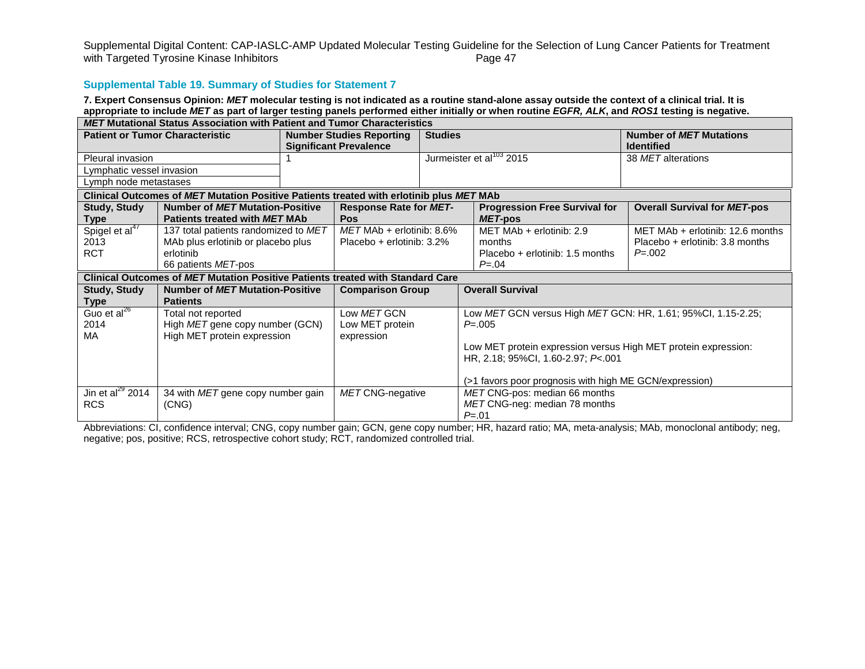# **Supplemental Table 19. Summary of Studies for Statement 7**

**7. Expert Consensus Opinion:** *MET* **molecular testing is not indicated as a routine stand-alone assay outside the context of a clinical trial. It is appropriate to include** *MET* **as part of larger testing panels performed either initially or when routine** *EGFR, ALK***, and** *ROS1* **testing is negative.** *MET* **Mutational Status Association with Patient and Tumor Characteristics** 

|                            | <u>matational otatas Association mith i ationt and Tuniol Onalactoristics</u>           |  |                                 |                  |                                                                |                                     |  |  |  |
|----------------------------|-----------------------------------------------------------------------------------------|--|---------------------------------|------------------|----------------------------------------------------------------|-------------------------------------|--|--|--|
|                            | <b>Patient or Tumor Characteristic</b>                                                  |  | <b>Number Studies Reporting</b> | <b>Studies</b>   |                                                                | <b>Number of MET Mutations</b>      |  |  |  |
|                            |                                                                                         |  | <b>Significant Prevalence</b>   |                  |                                                                | <b>Identified</b>                   |  |  |  |
| Pleural invasion           |                                                                                         |  |                                 |                  | Jurmeister et al <sup>103</sup> 2015                           | 38 MET alterations                  |  |  |  |
| Lymphatic vessel invasion  |                                                                                         |  |                                 |                  |                                                                |                                     |  |  |  |
| Lymph node metastases      |                                                                                         |  |                                 |                  |                                                                |                                     |  |  |  |
|                            | Clinical Outcomes of MET Mutation Positive Patients treated with erlotinib plus MET MAb |  |                                 |                  |                                                                |                                     |  |  |  |
| <b>Study, Study</b>        | <b>Number of MET Mutation-Positive</b>                                                  |  | <b>Response Rate for MET-</b>   |                  | <b>Progression Free Survival for</b>                           | <b>Overall Survival for MET-pos</b> |  |  |  |
| Type                       | Patients treated with MET MAb                                                           |  | Pos                             |                  | MET-pos                                                        |                                     |  |  |  |
| Spigel et al <sup>47</sup> | 137 total patients randomized to MET                                                    |  | $MET$ MAb + erlotinib: 8.6%     |                  | MET MAb + erlotinib: 2.9                                       | MET MAb $+$ erlotinib: 12.6 months  |  |  |  |
| 2013                       | MAb plus erlotinib or placebo plus                                                      |  | Placebo + erlotinib: 3.2%       |                  | months                                                         | Placebo + erlotinib: 3.8 months     |  |  |  |
| <b>RCT</b>                 | erlotinib                                                                               |  |                                 |                  | Placebo $+$ erlotinib: 1.5 months                              | $P = 0.002$                         |  |  |  |
|                            | 66 patients <i>MET</i> -pos                                                             |  |                                 |                  | $P = 0.04$                                                     |                                     |  |  |  |
|                            | Clinical Outcomes of MET Mutation Positive Patients treated with Standard Care          |  |                                 |                  |                                                                |                                     |  |  |  |
| <b>Study, Study</b>        | <b>Number of MET Mutation-Positive</b>                                                  |  | <b>Comparison Group</b>         |                  |                                                                |                                     |  |  |  |
| Type                       | <b>Patients</b>                                                                         |  |                                 |                  |                                                                |                                     |  |  |  |
| Guo et al <sup>26</sup>    | Total not reported                                                                      |  | Low MET GCN                     |                  | Low MET GCN versus High MET GCN: HR, 1.61; 95%CI, 1.15-2.25;   |                                     |  |  |  |
| 2014                       | High MET gene copy number (GCN)                                                         |  | Low MET protein                 |                  | $P = 0.005$                                                    |                                     |  |  |  |
| МA                         | High MET protein expression                                                             |  | expression                      |                  |                                                                |                                     |  |  |  |
|                            |                                                                                         |  |                                 |                  | Low MET protein expression versus High MET protein expression: |                                     |  |  |  |
|                            |                                                                                         |  |                                 |                  | HR, 2.18; 95%CI, 1.60-2.97; P<.001                             |                                     |  |  |  |
|                            |                                                                                         |  |                                 |                  |                                                                |                                     |  |  |  |
|                            |                                                                                         |  |                                 |                  | (>1 favors poor prognosis with high ME GCN/expression)         |                                     |  |  |  |
| Jin et al $^{29}$ 2014     | 34 with MET gene copy number gain                                                       |  |                                 | MET CNG-negative | MET CNG-pos: median 66 months                                  |                                     |  |  |  |
| <b>RCS</b>                 | (CNG)                                                                                   |  |                                 |                  |                                                                |                                     |  |  |  |
|                            |                                                                                         |  |                                 |                  | MET CNG-neg: median 78 months<br>$P = 01$                      |                                     |  |  |  |

Abbreviations: CI, confidence interval; CNG, copy number gain; GCN, gene copy number; HR, hazard ratio; MA, meta-analysis; MAb, monoclonal antibody; neg, negative; pos, positive; RCS, retrospective cohort study; RCT, randomized controlled trial.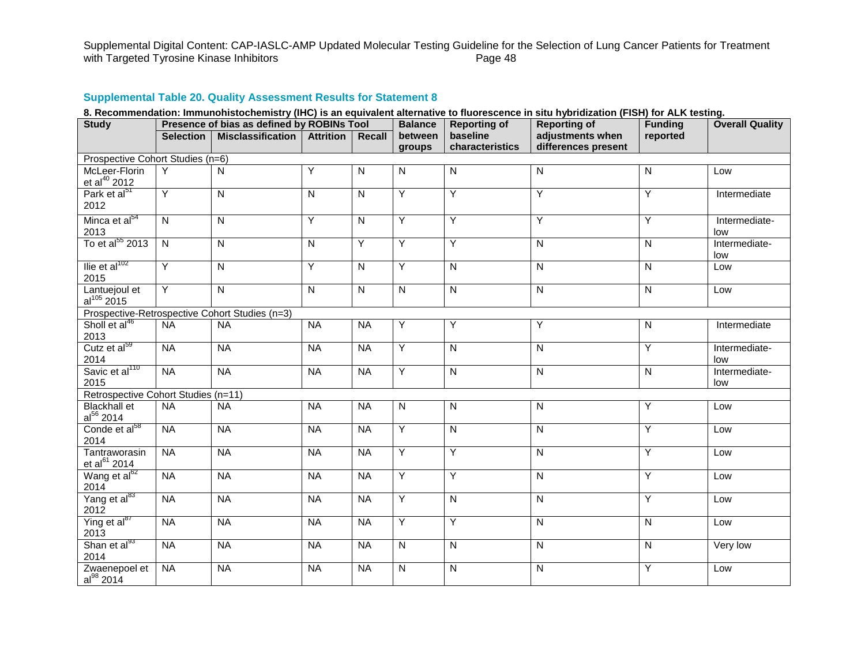Supplemental Digital Content: CAP-IASLC-AMP Updated Molecular Testing Guideline for the Selection of Lung Cancer Patients for Treatment<br>with Targeted Tyrosine Kinase Inhibitors<br>Page 48 with Targeted Tyrosine Kinase Inhibitors

# **Supplemental Table 20. Quality Assessment Results for Statement 8**

| 8. Recommendation: Immunohistochemistry (IHC) is an equivalent alternative to fluorescence in situ hybridization (FISH) for ALK testing. |  |
|------------------------------------------------------------------------------------------------------------------------------------------|--|
|------------------------------------------------------------------------------------------------------------------------------------------|--|

| <b>Study</b>                                   |                         | Presence of bias as defined by ROBINs Tool |                  |                         | <b>Balance</b> | <b>Reporting of</b> | <b>Reporting of</b>     | <b>Funding</b> | <b>Overall Quality</b> |  |  |  |
|------------------------------------------------|-------------------------|--------------------------------------------|------------------|-------------------------|----------------|---------------------|-------------------------|----------------|------------------------|--|--|--|
|                                                | <b>Selection</b>        | <b>Misclassification</b>                   | <b>Attrition</b> | Recall                  | between        | baseline            | adjustments when        | reported       |                        |  |  |  |
|                                                |                         |                                            |                  |                         | groups         | characteristics     | differences present     |                |                        |  |  |  |
| Prospective Cohort Studies (n=6)               |                         |                                            |                  |                         |                |                     |                         |                |                        |  |  |  |
| McLeer-Florin<br>et al $^{40}$ 2012            | Υ                       | $\mathsf{N}$                               | Y                | $\mathsf{N}$            | ${\sf N}$      | ${\sf N}$           | $\overline{\mathsf{N}}$ | $\overline{N}$ | Low                    |  |  |  |
| Park et al <sup>51</sup><br>2012               | Y                       | $\overline{\mathsf{N}}$                    | $\overline{N}$   | $\overline{\mathsf{N}}$ | $\overline{Y}$ | $\overline{Y}$      | Y                       | $\overline{Y}$ | Intermediate           |  |  |  |
| Minca et al <sup>54</sup><br>2013              | $\mathsf{N}$            | ${\sf N}$                                  | Y                | ${\sf N}$               | Y              | Y                   | Υ                       | Υ              | Intermediate-<br>low   |  |  |  |
| To et al <sup>55</sup> 2013                    | $\overline{\mathsf{N}}$ | ${\sf N}$                                  | ${\sf N}$        | Y                       | $\overline{Y}$ | $\overline{Y}$      | $\mathsf{N}$            | $\mathsf{N}$   | Intermediate-<br>low   |  |  |  |
| Ilie et al $102$<br>2015                       | Y                       | $\mathsf{N}$                               | $\overline{Y}$   | $\overline{N}$          | $\overline{Y}$ | $\overline{N}$      | $\overline{N}$          | $\overline{N}$ | Low                    |  |  |  |
| Lantuejoul et<br>$al^{105} 2015$               | Y                       | $\overline{N}$                             | $\overline{N}$   | $\overline{N}$          | $\overline{N}$ | $\overline{N}$      | $\overline{\mathsf{N}}$ | $\overline{N}$ | Low                    |  |  |  |
| Prospective-Retrospective Cohort Studies (n=3) |                         |                                            |                  |                         |                |                     |                         |                |                        |  |  |  |
| Sholl et al <sup>46</sup><br>2013              | <b>NA</b>               | <b>NA</b>                                  | <b>NA</b>        | <b>NA</b>               | $\overline{Y}$ | Y                   | Y                       | $\overline{N}$ | Intermediate           |  |  |  |
| Cutz et al <sup>59</sup><br>2014               | <b>NA</b>               | <b>NA</b>                                  | N <sub>A</sub>   | <b>NA</b>               | Υ              | $\mathsf{N}$        | $\overline{N}$          | Y              | Intermediate-<br>low   |  |  |  |
| Savic et al <sup>110</sup><br>2015             | <b>NA</b>               | <b>NA</b>                                  | <b>NA</b>        | <b>NA</b>               | Y              | $\overline{N}$      | N                       | $\overline{N}$ | Intermediate-<br>low   |  |  |  |
| Retrospective Cohort Studies (n=11)            |                         |                                            |                  |                         |                |                     |                         |                |                        |  |  |  |
| <b>Blackhall et</b><br>$al^{56}$ 2014          | <b>NA</b>               | <b>NA</b>                                  | <b>NA</b>        | <b>NA</b>               | ${\sf N}$      | $\overline{N}$      | $\mathsf{N}$            | Υ              | Low                    |  |  |  |
| Conde et al <sup>58</sup><br>2014              | <b>NA</b>               | <b>NA</b>                                  | N <sub>A</sub>   | N <sub>A</sub>          | Υ              | $\overline{N}$      | N                       | $\overline{Y}$ | Low                    |  |  |  |
| Tantraworasin<br>et al <sup>61</sup> 2014      | <b>NA</b>               | <b>NA</b>                                  | <b>NA</b>        | N <sub>A</sub>          | Ÿ              | $\overline{Y}$      | N                       | $\overline{Y}$ | Low                    |  |  |  |
| Wang et al <sup>62</sup><br>2014               | <b>NA</b>               | <b>NA</b>                                  | <b>NA</b>        | <b>NA</b>               | $\overline{Y}$ | Ÿ                   | $\overline{N}$          | $\overline{Y}$ | Low                    |  |  |  |
| Yang et al <sup>83</sup><br>2012               | <b>NA</b>               | <b>NA</b>                                  | <b>NA</b>        | <b>NA</b>               | Y              | $\mathsf{N}$        | N                       | $\overline{Y}$ | Low                    |  |  |  |
| Ying et al <sup>87</sup><br>2013               | <b>NA</b>               | <b>NA</b>                                  | <b>NA</b>        | <b>NA</b>               | $\overline{Y}$ | Y                   | $\mathsf{N}$            | $\overline{N}$ | Low                    |  |  |  |
| Shan et al <sup>93</sup><br>2014               | <b>NA</b>               | <b>NA</b>                                  | <b>NA</b>        | <b>NA</b>               | ${\sf N}$      | ${\sf N}$           | ${\sf N}$               | ${\sf N}$      | Very low               |  |  |  |
| Zwaenepoel et<br>$al^{98}$ 2014                | <b>NA</b>               | <b>NA</b>                                  | <b>NA</b>        | <b>NA</b>               | $\overline{N}$ | $\overline{N}$      | N                       | $\overline{Y}$ | Low                    |  |  |  |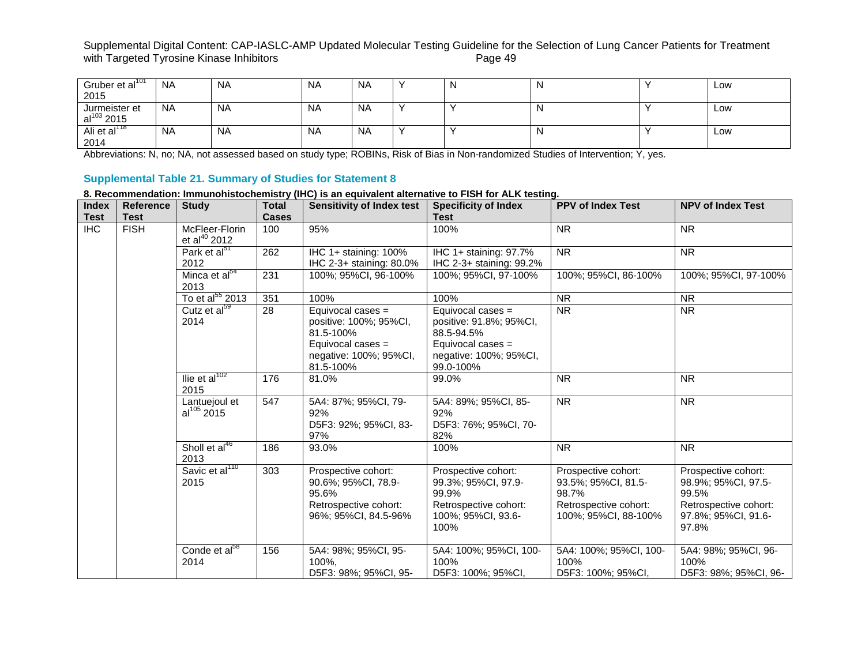# Supplemental Digital Content: CAP-IASLC-AMP Updated Molecular Testing Guideline for the Selection of Lung Cancer Patients for Treatment<br>with Targeted Tyrosine Kinase Inhibitors<br>Page 49 with Targeted Tyrosine Kinase Inhibitors

| Gruber et al <sup>101</sup> | NA        | <b>NA</b> | <b>NA</b> | <b>NA</b> |  | N | Low |
|-----------------------------|-----------|-----------|-----------|-----------|--|---|-----|
| 2015                        |           |           |           |           |  |   |     |
| Jurmeister et               | <b>NA</b> | <b>NA</b> | <b>NA</b> | <b>NA</b> |  | N | Low |
| $al^{103}$ 2015             |           |           |           |           |  |   |     |
| Ali et al <sup>118</sup>    | <b>NA</b> | <b>NA</b> | <b>NA</b> | <b>NA</b> |  | N | Low |
| 2014                        |           |           |           |           |  |   |     |

Abbreviations: N, no; NA, not assessed based on study type; ROBINs, Risk of Bias in Non-randomized Studies of Intervention; Y, yes.

# **Supplemental Table 21. Summary of Studies for Statement 8**

# **8. Recommendation: Immunohistochemistry (IHC) is an equivalent alternative to FISH for ALK testing.**

| <b>Index</b>   | <b>Reference</b> | <b>Study</b>                         | <b>Total</b> | <b>Sensitivity of Index test</b>                                                                                       | <b>Specificity of Index</b>                                                                                            | <b>PPV of Index Test</b>                                                                             | <b>NPV of Index Test</b>                                                                                     |
|----------------|------------------|--------------------------------------|--------------|------------------------------------------------------------------------------------------------------------------------|------------------------------------------------------------------------------------------------------------------------|------------------------------------------------------------------------------------------------------|--------------------------------------------------------------------------------------------------------------|
| <b>Test</b>    | <b>Test</b>      |                                      | <b>Cases</b> |                                                                                                                        | <b>Test</b>                                                                                                            |                                                                                                      |                                                                                                              |
| H <sub>C</sub> | <b>FISH</b>      | McFleer-Florin<br>et al $^{40}$ 2012 | 100          | 95%                                                                                                                    | 100%                                                                                                                   | <b>NR</b>                                                                                            | <b>NR</b>                                                                                                    |
|                |                  | Park et al <sup>51</sup>             | 262          | IHC 1+ staining: 100%                                                                                                  | IHC 1+ staining: 97.7%                                                                                                 | N <sub>R</sub>                                                                                       | <b>NR</b>                                                                                                    |
|                |                  | 2012                                 |              | IHC 2-3+ staining: 80.0%                                                                                               | IHC 2-3+ staining: 99.2%                                                                                               |                                                                                                      |                                                                                                              |
|                |                  | Minca et al <sup>54</sup><br>2013    | 231          | 100%: 95%CI, 96-100%                                                                                                   | 100%; 95%CI, 97-100%                                                                                                   | 100%; 95%CI, 86-100%                                                                                 | 100%; 95%Cl, 97-100%                                                                                         |
|                |                  | To et al <sup>55</sup> 2013          | 351          | 100%                                                                                                                   | 100%                                                                                                                   | <b>NR</b>                                                                                            | <b>NR</b>                                                                                                    |
|                |                  | Cutz et al <sup>59</sup><br>2014     | 28           | Equivocal cases =<br>positive: 100%; 95%CI,<br>81.5-100%<br>Equivocal cases $=$<br>negative: 100%; 95%Cl,<br>81.5-100% | Equivocal cases =<br>positive: 91.8%; 95%CI,<br>88.5-94.5%<br>Equivocal cases =<br>negative: 100%; 95%CI,<br>99.0-100% | <b>NR</b>                                                                                            | <b>NR</b>                                                                                                    |
|                |                  | llie et al $102$<br>2015             | 176          | 81.0%                                                                                                                  | 99.0%                                                                                                                  | <b>NR</b>                                                                                            | <b>NR</b>                                                                                                    |
|                |                  | Lantuejoul et<br>$al^{105} 2015$     | 547          | 5A4: 87%; 95%Cl, 79-<br>92%<br>D5F3: 92%; 95%CI, 83-<br>97%                                                            | 5A4: 89%; 95%CI, 85-<br>92%<br>D5F3: 76%; 95%CI, 70-<br>82%                                                            | <b>NR</b>                                                                                            | <b>NR</b>                                                                                                    |
|                |                  | Sholl et al <sup>46</sup><br>2013    | 186          | 93.0%                                                                                                                  | 100%                                                                                                                   | <b>NR</b>                                                                                            | <b>NR</b>                                                                                                    |
|                |                  | Savic et al <sup>110</sup><br>2015   | 303          | Prospective cohort:<br>90.6%; 95%CI, 78.9-<br>95.6%<br>Retrospective cohort:<br>96%; 95%CI, 84.5-96%                   | Prospective cohort:<br>99.3%; 95%CI, 97.9-<br>99.9%<br>Retrospective cohort:<br>100%; 95%CI, 93.6-<br>100%             | Prospective cohort:<br>93.5%; 95%CI, 81.5-<br>98.7%<br>Retrospective cohort:<br>100%; 95%CI, 88-100% | Prospective cohort:<br>98.9%; 95%CI, 97.5-<br>99.5%<br>Retrospective cohort:<br>97.8%; 95%CI, 91.6-<br>97.8% |
|                |                  | Conde et al <sup>58</sup><br>2014    | 156          | 5A4: 98%; 95%CI, 95-<br>100%,<br>D5F3: 98%; 95%Cl, 95-                                                                 | 5A4: 100%; 95%CI, 100-<br>100%<br>D5F3: 100%; 95%CI,                                                                   | 5A4: 100%; 95%CI, 100-<br>100%<br>D5F3: 100%; 95%CI,                                                 | 5A4: 98%; 95%CI, 96-<br>100%<br>D5F3: 98%; 95%CI, 96-                                                        |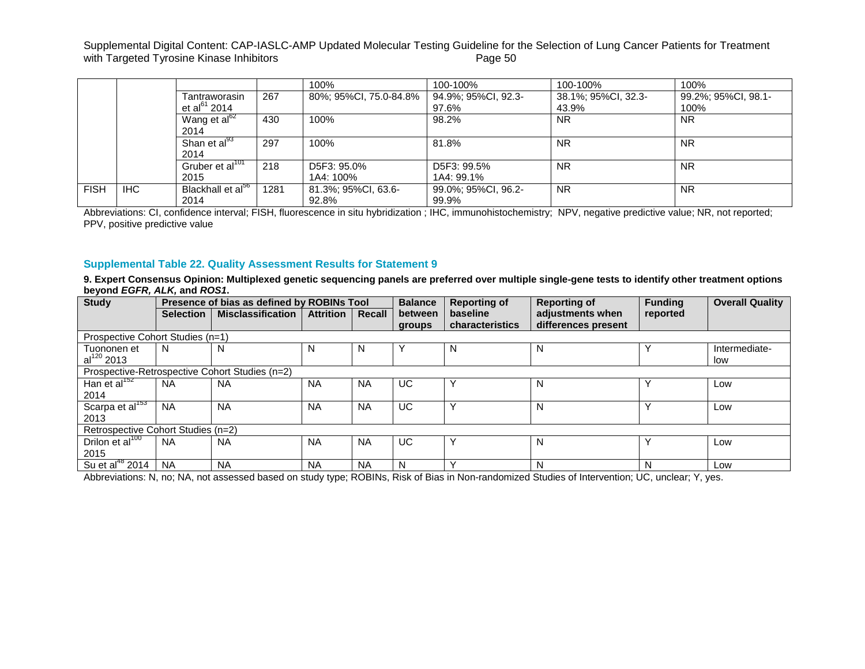|             |      |                                           |      | 100%                         | 100-100%                     | 100-100%                     | 100%                        |
|-------------|------|-------------------------------------------|------|------------------------------|------------------------------|------------------------------|-----------------------------|
|             |      | Tantraworasin<br>et al <sup>61</sup> 2014 | 267  | 80%; 95%CI, 75.0-84.8%       | 94.9%; 95%CI, 92.3-<br>97.6% | 38.1%; 95%CI, 32.3-<br>43.9% | 99.2%; 95%CI, 98.1-<br>100% |
|             |      | Wang et al <sup>62</sup><br>2014          | 430  | 100%                         | 98.2%                        | <b>NR</b>                    | <b>NR</b>                   |
|             |      | Shan et al <sup>93</sup><br>2014          | 297  | 100%                         | 81.8%                        | <b>NR</b>                    | <b>NR</b>                   |
|             |      | Gruber et al <sup>101</sup><br>2015       | 218  | D5F3: 95.0%<br>1A4: 100%     | D5F3: 99.5%<br>1A4: 99.1%    | <b>NR</b>                    | <b>NR</b>                   |
| <b>FISH</b> | IHC. | Blackhall et al <sup>56</sup><br>2014     | 1281 | 81.3%; 95%CI, 63.6-<br>92.8% | 99.0%; 95%CI, 96.2-<br>99.9% | <b>NR</b>                    | <b>NR</b>                   |

Abbreviations: CI, confidence interval; FISH, fluorescence in situ hybridization ; IHC, immunohistochemistry; NPV, negative predictive value; NR, not reported; PPV, positive predictive value

## **Supplemental Table 22. Quality Assessment Results for Statement 9**

9. Expert Consensus Opinion: Multiplexed genetic sequencing panels are preferred over multiple single-gene tests to identify other treatment options **beyond** *EGFR, ALK,* **and** *ROS1***.**

| <b>Study</b>                       |                  | Presence of bias as defined by ROBINs Tool     |                  |           | <b>Balance</b> | <b>Reporting of</b> | <b>Reporting of</b> | <b>Funding</b> | <b>Overall Quality</b> |  |  |
|------------------------------------|------------------|------------------------------------------------|------------------|-----------|----------------|---------------------|---------------------|----------------|------------------------|--|--|
|                                    | <b>Selection</b> | <b>Misclassification</b>                       | <b>Attrition</b> | Recall    | between        | baseline            | adjustments when    | reported       |                        |  |  |
|                                    |                  |                                                |                  |           | groups         | characteristics     | differences present |                |                        |  |  |
| Prospective Cohort Studies (n=1)   |                  |                                                |                  |           |                |                     |                     |                |                        |  |  |
| Tuononen et                        | N                | N                                              | N                | N         |                | N                   | N                   |                | Intermediate-          |  |  |
| $al^{120}$ 2013                    |                  |                                                |                  |           |                |                     |                     |                | low                    |  |  |
|                                    |                  | Prospective-Retrospective Cohort Studies (n=2) |                  |           |                |                     |                     |                |                        |  |  |
| Han et al $152$                    | <b>NA</b>        | <b>NA</b>                                      | <b>NA</b>        | <b>NA</b> | UC             |                     | N                   | $\checkmark$   | Low                    |  |  |
| 2014                               |                  |                                                |                  |           |                |                     |                     |                |                        |  |  |
| Scarpa et al <sup>153</sup>        | <b>NA</b>        | <b>NA</b>                                      | <b>NA</b>        | <b>NA</b> | UC.            |                     | N                   | $\check{ }$    | Low                    |  |  |
| 2013                               |                  |                                                |                  |           |                |                     |                     |                |                        |  |  |
| Retrospective Cohort Studies (n=2) |                  |                                                |                  |           |                |                     |                     |                |                        |  |  |
| Drilon et $\overline{al^{100}}$    | <b>NA</b>        | <b>NA</b>                                      | <b>NA</b>        | <b>NA</b> | UC             |                     | N                   |                | Low                    |  |  |
| 2015                               |                  |                                                |                  |           |                |                     |                     |                |                        |  |  |
| Su et al $^{48}$ 2014              | <b>NA</b>        | <b>NA</b>                                      | <b>NA</b>        | <b>NA</b> | N              |                     | N                   | N              | Low                    |  |  |

Abbreviations: N, no; NA, not assessed based on study type; ROBINs, Risk of Bias in Non-randomized Studies of Intervention; UC, unclear; Y, yes.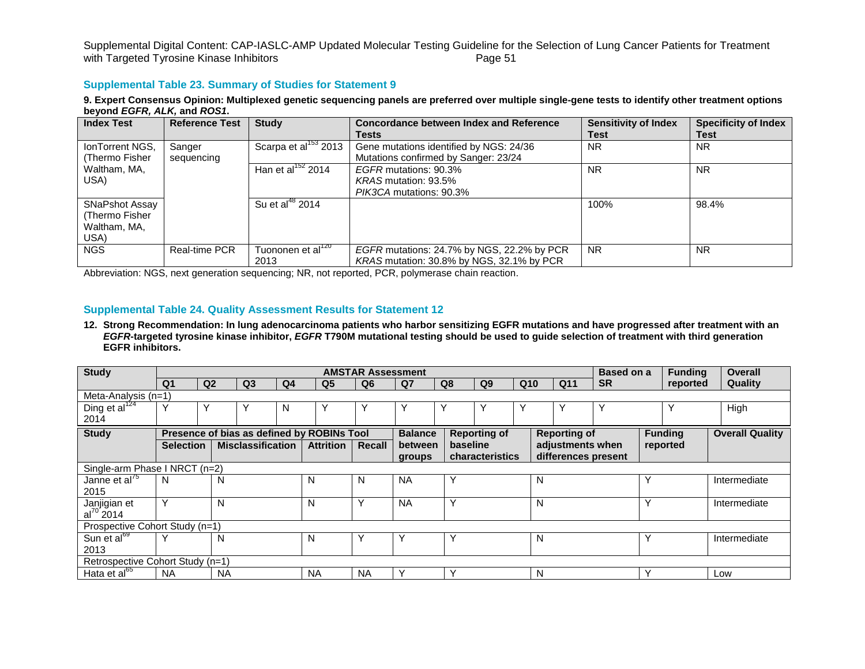### **Supplemental Table 23. Summary of Studies for Statement 9**

9. Expert Consensus Opinion: Multiplexed genetic sequencing panels are preferred over multiple single-gene tests to identify other treatment options **beyond** *EGFR, ALK,* **and** *ROS1***.**

| <b>Index Test</b>                                        | <b>Reference Test</b> | <b>Study</b>                          | <b>Concordance between Index and Reference</b><br>Tests                                 | <b>Sensitivity of Index</b><br>Test | <b>Specificity of Index</b><br>Test |
|----------------------------------------------------------|-----------------------|---------------------------------------|-----------------------------------------------------------------------------------------|-------------------------------------|-------------------------------------|
| IonTorrent NGS,<br>(Thermo Fisher)                       | Sanger<br>sequencing  | Scarpa et al <sup>153</sup> 2013      | Gene mutations identified by NGS: 24/36<br>Mutations confirmed by Sanger: 23/24         | <b>NR</b>                           | <b>NR</b>                           |
| Waltham, MA,<br>USA)                                     |                       | Han et al <sup>152</sup> 2014         | EGFR mutations: 90.3%<br>KRAS mutation: 93.5%<br>PIK3CA mutations: 90.3%                | <b>NR</b>                           | <b>NR</b>                           |
| SNaPshot Assay<br>(Thermo Fisher<br>Waltham, MA,<br>USA) |                       | Su et al <sup>48</sup> 2014           |                                                                                         | 100%                                | 98.4%                               |
| <b>NGS</b>                                               | <b>Real-time PCR</b>  | Tuononen et al <sup>120</sup><br>2013 | EGFR mutations: 24.7% by NGS, 22.2% by PCR<br>KRAS mutation: 30.8% by NGS, 32.1% by PCR | <b>NR</b>                           | <b>NR</b>                           |

Abbreviation: NGS, next generation sequencing; NR, not reported, PCR, polymerase chain reaction.

## **Supplemental Table 24. Quality Assessment Results for Statement 12**

**12. Strong Recommendation: In lung adenocarcinoma patients who harbor sensitizing EGFR mutations and have progressed after treatment with an**  *EGFR***-targeted tyrosine kinase inhibitor,** *EGFR* **T790M mutational testing should be used to guide selection of treatment with third generation EGFR inhibitors.**

| <b>Study</b>                     |                  |                |                          |    |                                            | <b>AMSTAR Assessment</b> |                |             |                        |                 |   |                     | Based on a |              | <b>Funding</b> | <b>Overall</b>         |
|----------------------------------|------------------|----------------|--------------------------|----|--------------------------------------------|--------------------------|----------------|-------------|------------------------|-----------------|---|---------------------|------------|--------------|----------------|------------------------|
|                                  | Q1               | Q <sub>2</sub> | Q <sub>3</sub>           | Q4 | Q <sub>5</sub>                             | Q <sub>6</sub>           | Q7             | Q8          | Q <sub>9</sub>         | Q <sub>10</sub> |   | Q11                 | <b>SR</b>  |              | reported       | Quality                |
| Meta-Analysis $(n=1)$            |                  |                |                          |    |                                            |                          |                |             |                        |                 |   |                     |            |              |                |                        |
| Ding et al <sup>124</sup>        | $\checkmark$     | Υ              |                          | N  |                                            |                          | Y              | Y           | Y                      |                 |   |                     |            |              |                | High                   |
| 2014                             |                  |                |                          |    |                                            |                          |                |             |                        |                 |   |                     |            |              |                |                        |
| <b>Study</b>                     |                  |                |                          |    | Presence of bias as defined by ROBINs Tool |                          | <b>Balance</b> |             | <b>Reporting of</b>    |                 |   | <b>Reporting of</b> |            |              | <b>Funding</b> | <b>Overall Quality</b> |
|                                  | <b>Selection</b> |                | <b>Misclassification</b> |    | <b>Attrition</b>                           | Recall                   | between        | baseline    |                        |                 |   | adjustments when    |            |              | reported       |                        |
|                                  |                  |                |                          |    |                                            |                          | groups         |             | <b>characteristics</b> |                 |   | differences present |            |              |                |                        |
| Single-arm Phase I NRCT (n=2)    |                  |                |                          |    |                                            |                          |                |             |                        |                 |   |                     |            |              |                |                        |
| Janne et al <sup>75</sup>        | N                | N              |                          |    | N                                          | N                        | <b>NA</b>      | Υ           |                        |                 | N |                     |            | $\checkmark$ |                | Intermediate           |
| 2015                             |                  |                |                          |    |                                            |                          |                |             |                        |                 |   |                     |            |              |                |                        |
| Janjigian et                     | ٧                | N              |                          |    | N                                          |                          | <b>NA</b>      | Υ           |                        |                 | N |                     |            | $\checkmark$ |                | Intermediate           |
| $al^{70}$ 2014                   |                  |                |                          |    |                                            |                          |                |             |                        |                 |   |                     |            |              |                |                        |
| Prospective Cohort Study (n=1)   |                  |                |                          |    |                                            |                          |                |             |                        |                 |   |                     |            |              |                |                        |
| Sun et al <sup>69</sup>          | $\checkmark$     | N              |                          |    | N                                          |                          |                | Υ           |                        |                 | N |                     |            | $\checkmark$ |                | Intermediate           |
| 2013                             |                  |                |                          |    |                                            |                          |                |             |                        |                 |   |                     |            |              |                |                        |
| Retrospective Cohort Study (n=1) |                  |                |                          |    |                                            |                          |                |             |                        |                 |   |                     |            |              |                |                        |
| Hata et al <sup>65</sup>         | <b>NA</b>        | <b>NA</b>      |                          |    | <b>NA</b>                                  | <b>NA</b>                | v              | $\check{ }$ |                        |                 | N |                     |            | $\checkmark$ |                | Low                    |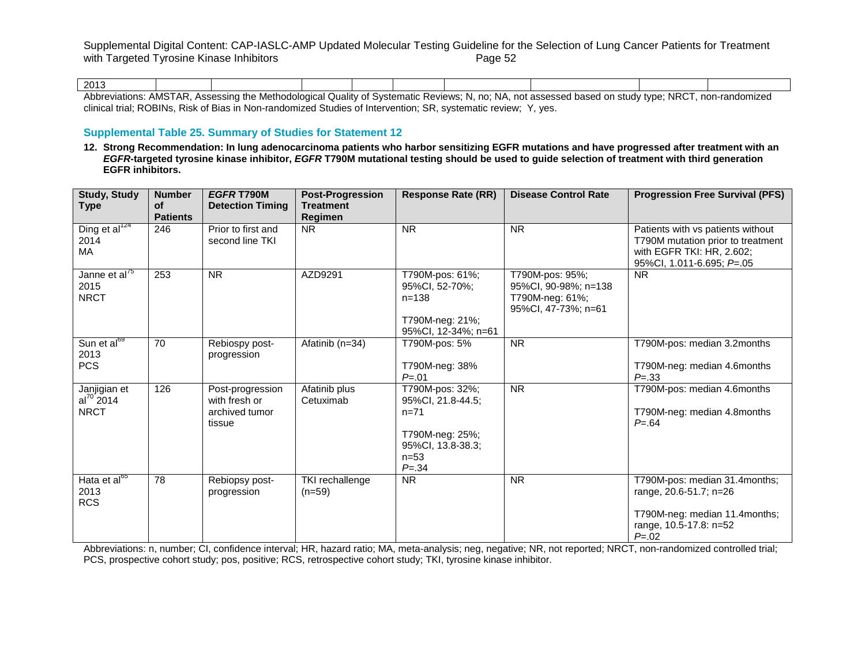| 2013                            |                                                        |                            |                    |               |            |                      |                                              |                           |                |
|---------------------------------|--------------------------------------------------------|----------------------------|--------------------|---------------|------------|----------------------|----------------------------------------------|---------------------------|----------------|
| Abbre <sup>,</sup><br>⁄iations: | $n$ cco<br>$\Delta$ $\Delta$ $\Delta$ $\sim$<br>ו שורו | ം;sessind "<br>Meth<br>the | logical<br>Quality | of Systematic | . Reviews: | 'NA.<br>no<br>w<br>. | not assessed<br>nn<br>. haear<br>vastu<br>vı | <b>NRC</b><br>study type: | non-randomized |

clinical trial; ROBINs, Risk of Bias in Non-randomized Studies of Intervention; SR, systematic review; Y, yes.

## **Supplemental Table 25. Summary of Studies for Statement 12**

**12. Strong Recommendation: In lung adenocarcinoma patients who harbor sensitizing EGFR mutations and have progressed after treatment with an**  *EGFR***-targeted tyrosine kinase inhibitor,** *EGFR* **T790M mutational testing should be used to guide selection of treatment with third generation EGFR inhibitors.**

| <b>Study, Study</b><br>Type                      | <b>Number</b><br><b>of</b><br><b>Patients</b> | EGFR T790M<br><b>Detection Timing</b>                         | <b>Post-Progression</b><br><b>Treatment</b><br>Regimen | <b>Response Rate (RR)</b>                                                                                      | <b>Disease Control Rate</b>                                                       | <b>Progression Free Survival (PFS)</b>                                                                                           |
|--------------------------------------------------|-----------------------------------------------|---------------------------------------------------------------|--------------------------------------------------------|----------------------------------------------------------------------------------------------------------------|-----------------------------------------------------------------------------------|----------------------------------------------------------------------------------------------------------------------------------|
| Ding et al $^{124}$<br>2014<br>MA                | 246                                           | Prior to first and<br>second line TKI                         | <b>NR</b>                                              | <b>NR</b>                                                                                                      | <b>NR</b>                                                                         | Patients with vs patients without<br>T790M mutation prior to treatment<br>with EGFR TKI: HR, 2.602;<br>95%CI, 1.011-6.695; P=.05 |
| Janne et al <sup>75</sup><br>2015<br><b>NRCT</b> | 253                                           | <b>NR</b>                                                     | AZD9291                                                | T790M-pos: 61%;<br>95%CI, 52-70%;<br>$n = 138$<br>T790M-neg: 21%;<br>95%CI, 12-34%; n=61                       | T790M-pos: 95%;<br>95%CI, 90-98%; n=138<br>T790M-neg: 61%;<br>95%Cl, 47-73%; n=61 | <b>NR</b>                                                                                                                        |
| Sun et al <sup>69</sup><br>2013<br><b>PCS</b>    | 70                                            | Rebiospy post-<br>progression                                 | Afatinib (n=34)                                        | T790M-pos: 5%<br>T790M-neg: 38%<br>$P = 01$                                                                    | <b>NR</b>                                                                         | T790M-pos: median 3.2months<br>T790M-neg: median 4.6months<br>$P = .33$                                                          |
| Janjigian et<br>$al^{70}$ 2014<br><b>NRCT</b>    | 126                                           | Post-progression<br>with fresh or<br>archived tumor<br>tissue | Afatinib plus<br>Cetuximab                             | T790M-pos: 32%;<br>95%CI, 21.8-44.5;<br>$n=71$<br>T790M-neg: 25%;<br>95%Cl, 13.8-38.3;<br>$n = 53$<br>$P = 34$ | <b>NR</b>                                                                         | T790M-pos: median 4.6months<br>T790M-neg: median 4.8months<br>$P = 64$                                                           |
| Hata et al <sup>65</sup><br>2013<br><b>RCS</b>   | 78                                            | Rebiopsy post-<br>progression                                 | TKI rechallenge<br>$(n=59)$                            | <b>NR</b>                                                                                                      | <b>NR</b>                                                                         | T790M-pos: median 31.4months;<br>range, 20.6-51.7; n=26<br>T790M-neg: median 11.4months;<br>range, 10.5-17.8: n=52<br>$P = 0.02$ |

Abbreviations: n, number; CI, confidence interval; HR, hazard ratio; MA, meta-analysis; neg, negative; NR, not reported; NRCT, non-randomized controlled trial; PCS, prospective cohort study; pos, positive; RCS, retrospective cohort study; TKI, tyrosine kinase inhibitor.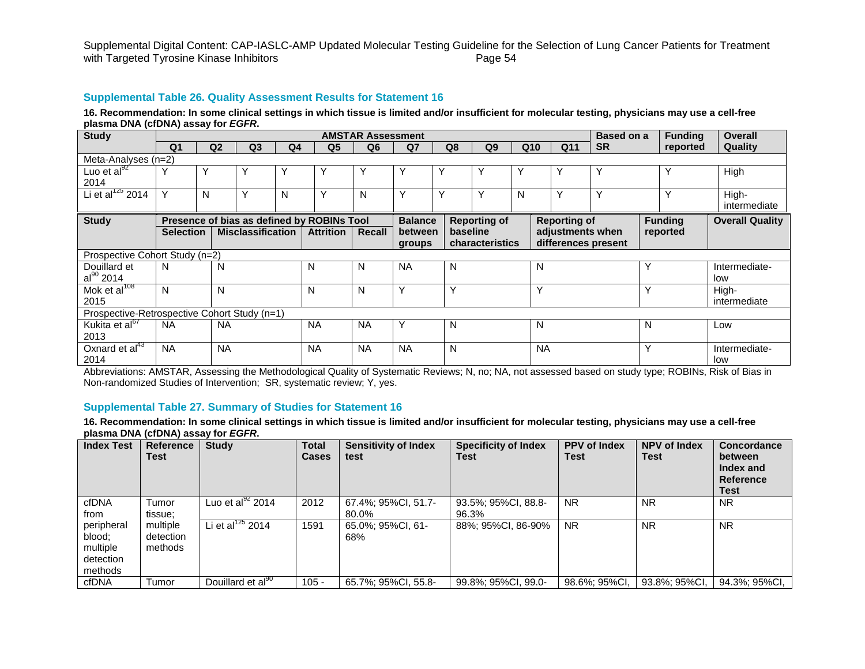#### **Supplemental Table 26. Quality Assessment Results for Statement 16**

16. Recommendation: In some clinical settings in which tissue is limited and/or insufficient for molecular testing, physicians may use a cell-free **plasma DNA (cfDNA) assay for** *EGFR***.**

| <b>Study</b>                                 |                  |                |                          |                |                                            | <b>AMSTAR Assessment</b> |                |    |                     |   |                     | <b>Based on a</b> |   | <b>Funding</b> | <b>Overall</b>         |
|----------------------------------------------|------------------|----------------|--------------------------|----------------|--------------------------------------------|--------------------------|----------------|----|---------------------|---|---------------------|-------------------|---|----------------|------------------------|
|                                              | Q <sub>1</sub>   | Q <sub>2</sub> | Q <sub>3</sub>           | Q <sub>4</sub> | Q5                                         | Q <sub>6</sub>           | Q7             | Q8 | Q <sub>9</sub>      |   | Q10<br>Q11          | <b>SR</b>         |   | reported       | Quality                |
| Meta-Analyses (n=2)                          |                  |                |                          |                |                                            |                          |                |    |                     |   |                     |                   |   |                |                        |
| Luo et al $^{92}$                            |                  | v              | $\check{ }$              |                |                                            | Y                        | ν              | Y  | Υ                   | ٧ | Υ                   | $\checkmark$      |   | Υ              | High                   |
| 2014                                         |                  |                |                          |                |                                            |                          |                |    |                     |   |                     |                   |   |                |                        |
| Li et al $^{125}$ 2014                       | Υ                | N              | Y                        | N              | Υ                                          | N                        | Υ              | Υ  | Y                   | N | Υ                   | $\checkmark$      |   | Υ              | High-                  |
|                                              |                  |                |                          |                |                                            |                          |                |    |                     |   |                     |                   |   |                | intermediate           |
| <b>Study</b>                                 |                  |                |                          |                | Presence of bias as defined by ROBINs Tool |                          | <b>Balance</b> |    | <b>Reporting of</b> |   | <b>Reporting of</b> |                   |   | <b>Funding</b> | <b>Overall Quality</b> |
|                                              | <b>Selection</b> |                | <b>Misclassification</b> |                | <b>Attrition</b>                           | Recall                   | between        |    | baseline            |   | adjustments when    |                   |   | reported       |                        |
|                                              |                  |                |                          |                |                                            |                          | groups         |    | characteristics     |   | differences present |                   |   |                |                        |
| Prospective Cohort Study (n=2)               |                  |                |                          |                |                                            |                          |                |    |                     |   |                     |                   |   |                |                        |
| Douillard et                                 | N                | N              |                          |                | N                                          | N                        | <b>NA</b>      | N  |                     |   | N                   |                   | Υ |                | Intermediate-          |
| $al^{90}$ 2014                               |                  |                |                          |                |                                            |                          |                |    |                     |   |                     |                   |   |                | low                    |
| Mok et al <sup>108</sup>                     | N                | N              |                          |                | N                                          | N                        | Υ              | v  |                     |   | Y                   |                   | Υ |                | High-                  |
| 2015                                         |                  |                |                          |                |                                            |                          |                |    |                     |   |                     |                   |   |                | intermediate           |
| Prospective-Retrospective Cohort Study (n=1) |                  |                |                          |                |                                            |                          |                |    |                     |   |                     |                   |   |                |                        |
| Kukita et al <sup>67</sup>                   | <b>NA</b>        | <b>NA</b>      |                          |                | <b>NA</b>                                  | <b>NA</b>                | Υ              | N  |                     |   | N                   |                   | N |                | Low                    |
| 2013                                         |                  |                |                          |                |                                            |                          |                |    |                     |   |                     |                   |   |                |                        |
| Oxnard et $al43$                             | <b>NA</b>        | <b>NA</b>      |                          |                | <b>NA</b>                                  | <b>NA</b>                | <b>NA</b>      | N  |                     |   | <b>NA</b>           |                   | Y |                | Intermediate-          |
| 2014                                         |                  |                |                          |                |                                            |                          |                |    |                     |   |                     |                   |   |                | low                    |

Abbreviations: AMSTAR, Assessing the Methodological Quality of Systematic Reviews; N, no; NA, not assessed based on study type; ROBINs, Risk of Bias in Non-randomized Studies of Intervention; SR, systematic review; Y, yes.

## **Supplemental Table 27. Summary of Studies for Statement 16**

16. Recommendation: In some clinical settings in which tissue is limited and/or insufficient for molecular testing, physicians may use a cell-free **plasma DNA (cfDNA) assay for** *EGFR***.**

| <b>Index Test</b>                                        | Reference<br>Test                | <b>Study</b>                  | <b>Total</b><br><b>Cases</b> | <b>Sensitivity of Index</b><br>test | <b>Specificity of Index</b><br>Test | <b>PPV of Index</b><br><b>Test</b> | <b>NPV of Index</b><br><b>Test</b> | Concordance<br>between<br>Index and<br>Reference<br><b>Test</b> |
|----------------------------------------------------------|----------------------------------|-------------------------------|------------------------------|-------------------------------------|-------------------------------------|------------------------------------|------------------------------------|-----------------------------------------------------------------|
| cfDNA<br>from                                            | Tumor<br>tissue:                 | Luo et al $^{92}$ 2014        | 2012                         | 67.4%; 95%CI, 51.7-<br>80.0%        | 93.5%; 95%CI, 88.8-<br>96.3%        | <b>NR</b>                          | <b>NR</b>                          | <b>NR</b>                                                       |
| peripheral<br>blood:<br>multiple<br>detection<br>methods | multiple<br>detection<br>methods | Li et al <sup>125</sup> 2014  | 1591                         | 65.0%; 95%CI, 61-<br>68%            | 88%; 95%CI, 86-90%                  | <b>NR</b>                          | <b>NR</b>                          | <b>NR</b>                                                       |
| cfDNA                                                    | Tumor                            | Douillard et al <sup>90</sup> | $105 -$                      | 65.7%; 95%CI, 55.8-                 | 99.8%; 95%CI, 99.0-                 | 98.6%; 95%CI,                      | 93.8%; 95%CI.                      | 94.3%; 95%CI,                                                   |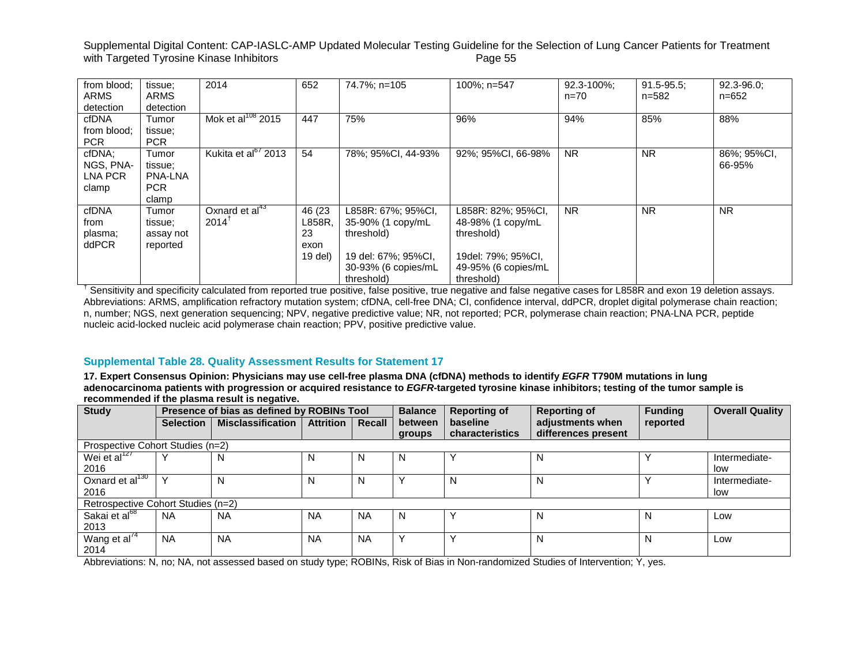| from blood:<br><b>ARMS</b><br>detection | tissue;<br><b>ARMS</b><br>detection                       | 2014                                           | 652                                        | 74.7%; n=105                                                                                                      | 100%; n=547                                                                                                      | 92.3-100%;<br>$n = 70$ | $91.5 - 95.5$ ;<br>n=582 | $92.3 - 96.0$ ;<br>n=652 |
|-----------------------------------------|-----------------------------------------------------------|------------------------------------------------|--------------------------------------------|-------------------------------------------------------------------------------------------------------------------|------------------------------------------------------------------------------------------------------------------|------------------------|--------------------------|--------------------------|
| cfDNA<br>from blood;<br><b>PCR</b>      | Tumor<br>tissue;<br><b>PCR</b>                            | Mok et al <sup>108</sup> 2015                  | 447                                        | 75%                                                                                                               | 96%                                                                                                              | 94%                    | 85%                      | 88%                      |
| cfDNA;<br>NGS, PNA-<br>LNA PCR<br>clamp | Tumor<br>tissue:<br><b>PNA-LNA</b><br><b>PCR</b><br>clamp | Kukita et al <sup>67</sup> 2013                | 54                                         | 78%; 95%CI, 44-93%                                                                                                | 92%; 95%CI, 66-98%                                                                                               | <b>NR</b>              | <b>NR</b>                | 86%; 95%CI,<br>66-95%    |
| cfDNA<br>from<br>plasma;<br>ddPCR       | Tumor<br>tissue;<br>assay not<br>reported                 | Oxnard et al <sup>43</sup><br>$2014^{\dagger}$ | 46 (23)<br>L858R.<br>23<br>exon<br>19 del) | L858R: 67%; 95%CI,<br>35-90% (1 copy/mL<br>threshold)<br>19 del: 67%; 95%CI,<br>30-93% (6 copies/mL<br>threshold) | L858R: 82%; 95%CI,<br>48-98% (1 copy/mL<br>threshold)<br>19del: 79%; 95%CI,<br>49-95% (6 copies/mL<br>threshold) | <b>NR</b>              | <b>NR</b>                | <b>NR</b>                |

 $^{\dagger}$  Sensitivity and specificity calculated from reported true positive, false positive, true negative and false negative cases for L858R and exon 19 deletion assays. Abbreviations: ARMS, amplification refractory mutation system; cfDNA, cell-free DNA; CI, confidence interval, ddPCR, droplet digital polymerase chain reaction; n, number; NGS, next generation sequencing; NPV, negative predictive value; NR, not reported; PCR, polymerase chain reaction; PNA-LNA PCR, peptide nucleic acid-locked nucleic acid polymerase chain reaction; PPV, positive predictive value.

## **Supplemental Table 28. Quality Assessment Results for Statement 17**

17. Expert Consensus Opinion: Physicians may use cell-free plasma DNA (cfDNA) methods to identify EGFR T790M mutations in lung adenocarcinoma patients with progression or acquired resistance to EGFR-targeted tyrosine kinase inhibitors; testing of the tumor sample is **recommended if the plasma result is negative.**

| <b>Study</b>                       | Presence of bias as defined by ROBINs Tool |                          |                  |           | <b>Balance</b> | <b>Reporting of</b> | <b>Reporting of</b> | <b>Funding</b> | <b>Overall Quality</b> |
|------------------------------------|--------------------------------------------|--------------------------|------------------|-----------|----------------|---------------------|---------------------|----------------|------------------------|
|                                    | <b>Selection</b>                           | <b>Misclassification</b> | <b>Attrition</b> | Recall    | between        | baseline            | adjustments when    | reported       |                        |
|                                    |                                            |                          |                  |           | groups         | characteristics     | differences present |                |                        |
| Prospective Cohort Studies (n=2)   |                                            |                          |                  |           |                |                     |                     |                |                        |
| Wei et al $^{127}$                 |                                            | N                        | N                | N         | N              |                     | N                   |                | Intermediate-          |
| 2016                               |                                            |                          |                  |           |                |                     |                     |                | low                    |
| Oxnard et al $130$                 |                                            |                          | N                | N         |                | N                   | N                   |                | Intermediate-          |
| 2016                               |                                            |                          |                  |           |                |                     |                     |                | low                    |
| Retrospective Cohort Studies (n=2) |                                            |                          |                  |           |                |                     |                     |                |                        |
| Sakai et al <sup>68</sup>          | <b>NA</b>                                  | <b>NA</b>                | <b>NA</b>        | <b>NA</b> | N              |                     | N                   | N              | Low                    |
| 2013                               |                                            |                          |                  |           |                |                     |                     |                |                        |
| Wang et al <sup>74</sup>           | <b>NA</b>                                  | <b>NA</b>                | <b>NA</b>        | <b>NA</b> | $\checkmark$   |                     | N                   |                | Low                    |
| 2014                               |                                            |                          |                  |           |                |                     |                     |                |                        |

Abbreviations: N, no; NA, not assessed based on study type; ROBINs, Risk of Bias in Non-randomized Studies of Intervention; Y, yes.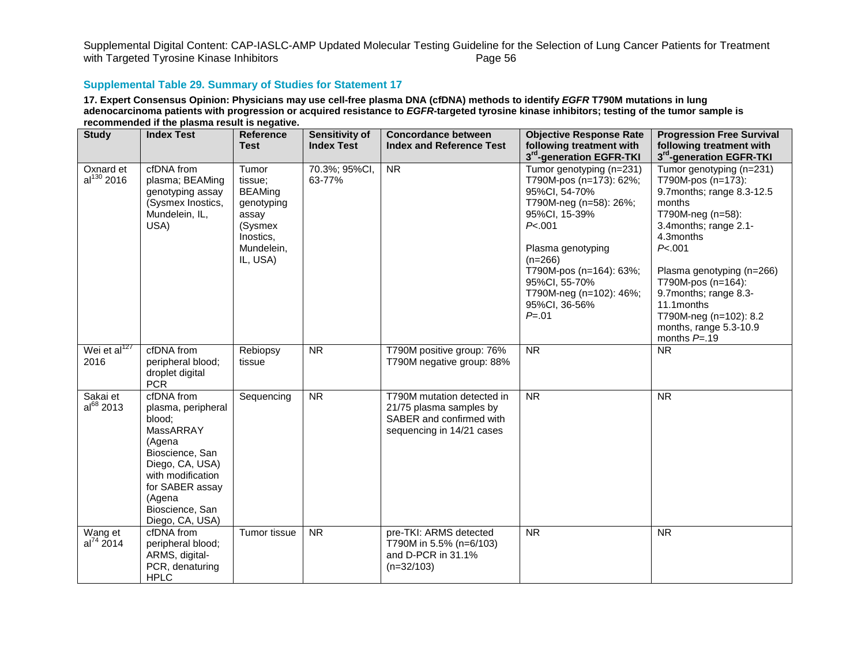# **Supplemental Table 29. Summary of Studies for Statement 17**

17. Expert Consensus Opinion: Physicians may use cell-free plasma DNA (cfDNA) methods to identify EGFR T790M mutations in lung adenocarcinoma patients with progression or acquired resistance to EGFR-targeted tyrosine kinase inhibitors; testing of the tumor sample is **recommended if the plasma result is negative.**

| <b>Study</b>                 | <b>Index Test</b>                                                                                                                                                                               | <b>Reference</b><br><b>Test</b>                                                                             | <b>Sensitivity of</b><br><b>Index Test</b> | <b>Concordance between</b><br><b>Index and Reference Test</b>                                                  | <b>Objective Response Rate</b><br>following treatment with<br>3 <sup>rd</sup> -generation EGFR-TKI                                                                                                                                                                | <b>Progression Free Survival</b><br>following treatment with<br>3rd-generation EGFR-TKI                                                                                                                                                                                                                                      |
|------------------------------|-------------------------------------------------------------------------------------------------------------------------------------------------------------------------------------------------|-------------------------------------------------------------------------------------------------------------|--------------------------------------------|----------------------------------------------------------------------------------------------------------------|-------------------------------------------------------------------------------------------------------------------------------------------------------------------------------------------------------------------------------------------------------------------|------------------------------------------------------------------------------------------------------------------------------------------------------------------------------------------------------------------------------------------------------------------------------------------------------------------------------|
| Oxnard et<br>$al^{130}$ 2016 | cfDNA from<br>plasma; BEAMing<br>genotyping assay<br>(Sysmex Inostics,<br>Mundelein, IL,<br>USA)                                                                                                | Tumor<br>tissue;<br><b>BEAMing</b><br>genotyping<br>assay<br>(Sysmex<br>Inostics,<br>Mundelein,<br>IL, USA) | 70.3%; 95%CI,<br>63-77%                    | <b>NR</b>                                                                                                      | Tumor genotyping (n=231)<br>T790M-pos (n=173): 62%;<br>95%CI, 54-70%<br>T790M-neg (n=58): 26%;<br>95%CI, 15-39%<br>P< 0.001<br>Plasma genotyping<br>$(n=266)$<br>T790M-pos (n=164): 63%;<br>95%CI, 55-70%<br>T790M-neg (n=102): 46%;<br>95%CI, 36-56%<br>$P = 01$ | Tumor genotyping (n=231)<br>T790M-pos (n=173):<br>9.7months; range 8.3-12.5<br>months<br>T790M-neg (n=58):<br>3.4months; range 2.1-<br>4.3months<br>P<.001<br>Plasma genotyping (n=266)<br>T790M-pos (n=164):<br>9.7months; range 8.3-<br>11.1months<br>T790M-neg (n=102): 8.2<br>months, range 5.3-10.9<br>months $P = .19$ |
| Wei et al $^{127}$<br>2016   | cfDNA from<br>peripheral blood;<br>droplet digital<br><b>PCR</b>                                                                                                                                | Rebiopsy<br>tissue                                                                                          | $\overline{\text{NR}}$                     | T790M positive group: 76%<br>T790M negative group: 88%                                                         | $\overline{\text{NR}}$                                                                                                                                                                                                                                            | <b>NR</b>                                                                                                                                                                                                                                                                                                                    |
| Sakai et<br>$al^{68}$ 2013   | cfDNA from<br>plasma, peripheral<br>blood;<br>MassARRAY<br>(Agena<br>Bioscience, San<br>Diego, CA, USA)<br>with modification<br>for SABER assay<br>(Agena<br>Bioscience, San<br>Diego, CA, USA) | Sequencing                                                                                                  | <b>NR</b>                                  | T790M mutation detected in<br>21/75 plasma samples by<br>SABER and confirmed with<br>sequencing in 14/21 cases | $\overline{\text{NR}}$                                                                                                                                                                                                                                            | $\overline{\text{NR}}$                                                                                                                                                                                                                                                                                                       |
| Wang et<br>$al^{74} 2014$    | cfDNA from<br>peripheral blood;<br>ARMS, digital-<br>PCR, denaturing<br><b>HPLC</b>                                                                                                             | Tumor tissue                                                                                                | <b>NR</b>                                  | pre-TKI: ARMS detected<br>T790M in 5.5% (n=6/103)<br>and D-PCR in 31.1%<br>$(n=32/103)$                        | <b>NR</b>                                                                                                                                                                                                                                                         | <b>NR</b>                                                                                                                                                                                                                                                                                                                    |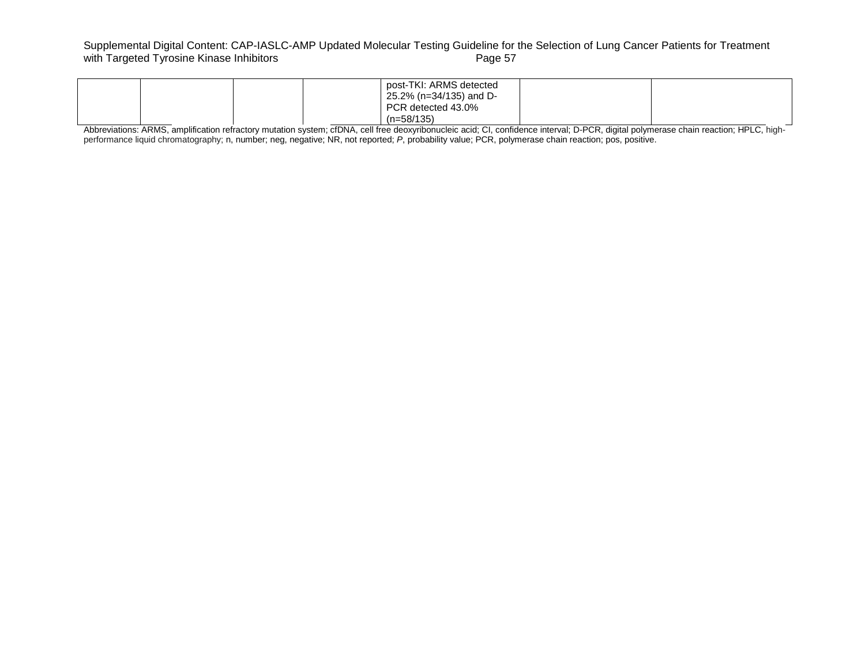# Supplemental Digital Content: CAP-IASLC-AMP Updated Molecular Testing Guideline for the Selection of Lung Cancer Patients for Treatment<br>with Targeted Tyrosine Kinase Inhibitors<br>Page 57 with Targeted Tyrosine Kinase Inhibitors

|  |  | post-TKI: ARMS detected<br>25.2% (n=34/135) and D- |  |
|--|--|----------------------------------------------------|--|
|  |  | PCR detected 43.0%<br>(n=58/135)                   |  |

Abbreviations: ARMS, amplification refractory mutation system; cfDNA, cell free deoxyribonucleic acid; CI, confidence interval; D-PCR, digital polymerase chain reaction; HPLC, highperformance liquid chromatography; n, number; neg, negative; NR, not reported; P, probability value; PCR, polymerase chain reaction; pos, positive.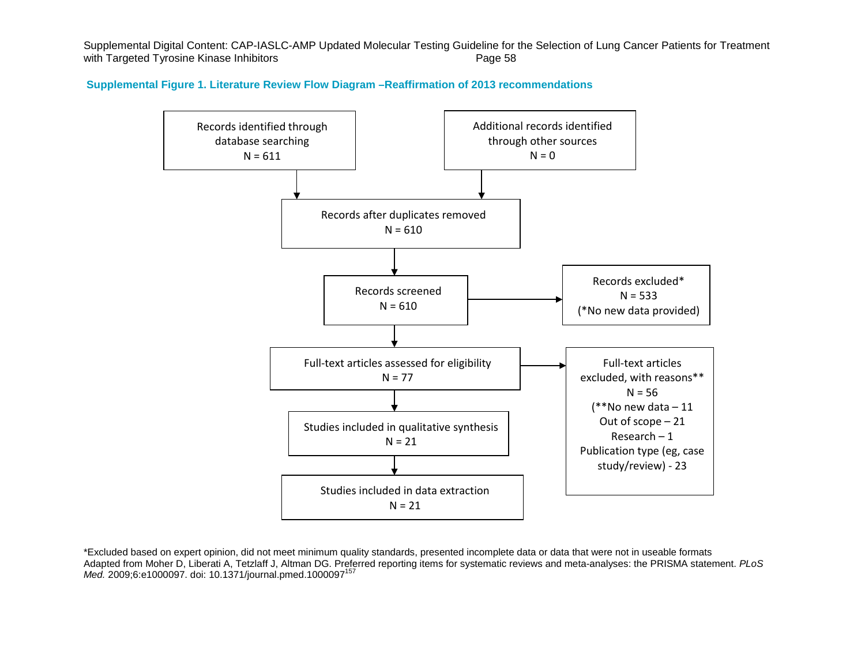**Supplemental Figure 1. Literature Review Flow Diagram –Reaffirmation of 2013 recommendations**



\*Excluded based on expert opinion, did not meet minimum quality standards, presented incomplete data or data that were not in useable formats Adapted from Moher D, Liberati A, Tetzlaff J, Altman DG. Preferred reporting items for systematic reviews and meta-analyses: the PRISMA statement. *PLoS Med.* 2009;6:e1000097. doi: 10.1371/journal.pmed.1000097157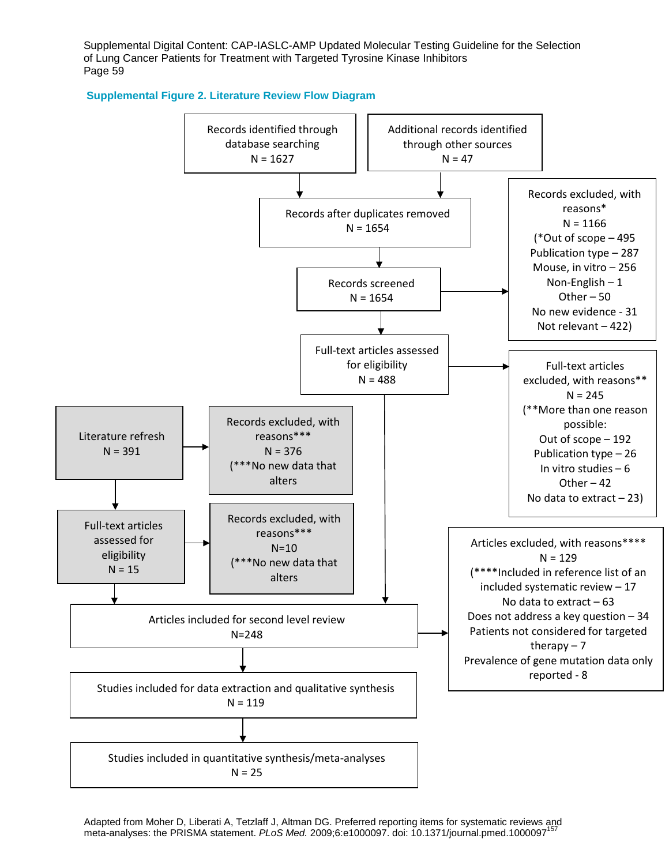

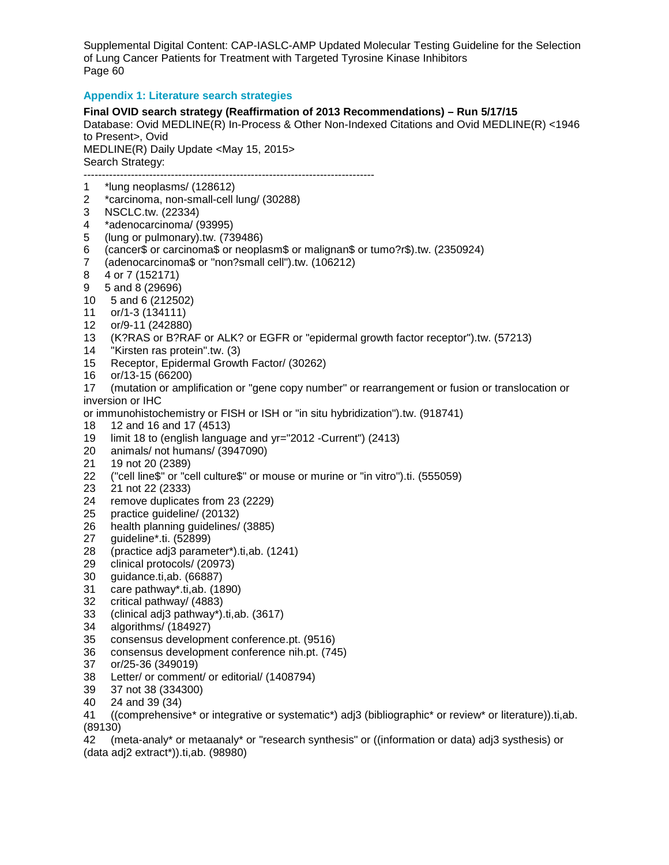# **Appendix 1: Literature search strategies**

**Final OVID search strategy (Reaffirmation of 2013 Recommendations) – Run 5/17/15**  Database: Ovid MEDLINE(R) In-Process & Other Non-Indexed Citations and Ovid MEDLINE(R) <1946 to Present>, Ovid MEDLINE(R) Daily Update <May 15, 2015> Search Strategy: --------------------------------------------------------------------------------

- 1 \*lung neoplasms/ (128612)<br>2 \*carcinoma, non-small-cell l
- 2 \*carcinoma, non-small-cell lung/ (30288)
- 3 NSCLC.tw. (22334)
- 4 \*adenocarcinoma/ (93995)<br>5 (lung or pulmonary).tw. (73
- 5 (lung or pulmonary).tw. (739486)
- 6 (cancer\$ or carcinoma\$ or neoplasm\$ or malignan\$ or tumo?r\$).tw. (2350924)
- 7 (adenocarcinoma\$ or "non?small cell").tw. (106212)
- 8 4 or 7 (152171)
- 9 5 and 8 (29696)
- 10 5 and 6 (212502)
- 11 or/1-3 (134111)
- 12 or/9-11 (242880)
- 13 (K?RAS or B?RAF or ALK? or EGFR or "epidermal growth factor receptor").tw. (57213)
- 14 "Kirsten ras protein".tw. (3)
- 15 Receptor, Epidermal Growth Factor/ (30262)
- 
- 16 or/13-15 (66200) 17 (mutation or amplification or "gene copy number" or rearrangement or fusion or translocation or inversion or IHC

or immunohistochemistry or FISH or ISH or "in situ hybridization").tw. (918741)

- 18 12 and 16 and 17 (4513)
- 19 limit 18 to (english language and yr="2012 -Current") (2413)
- 20 animals/ not humans/ (3947090)
- 21 19 not 20 (2389)
- 22 ("cell line\$" or "cell culture\$" or mouse or murine or "in vitro").ti. (555059)
- 23 21 not 22 (2333)
- remove duplicates from 23 (2229)
- 25 practice guideline/ (20132)<br>26 health planning guidelines/
- health planning guidelines/ (3885)
- 27 guideline\*.ti. (52899)
- 28 (practice adj3 parameter\*).ti,ab. (1241)<br>29 clinical protocols/ (20973)
- clinical protocols/ (20973)
- 30 guidance.ti,ab. (66887)
- 31 care pathway\*.ti,ab. (1890)
- 32 critical pathway/ (4883)
- 33 (clinical adj3 pathway\*).ti,ab. (3617)
- 34 algorithms/ (184927)
- 35 consensus development conference.pt. (9516)
- 36 consensus development conference nih.pt. (745)
- 37 or/25-36 (349019)
- 38 Letter/ or comment/ or editorial/ (1408794)
- 39 37 not 38 (334300)
- 40 24 and 39 (34)<br>41 ((comprehensiv
- 41 ((comprehensive\* or integrative or systematic\*) adj3 (bibliographic\* or review\* or literature)).ti,ab. (89130)

42 (meta-analy\* or metaanaly\* or "research synthesis" or ((information or data) adj3 systhesis) or (data adj2 extract\*)).ti,ab. (98980)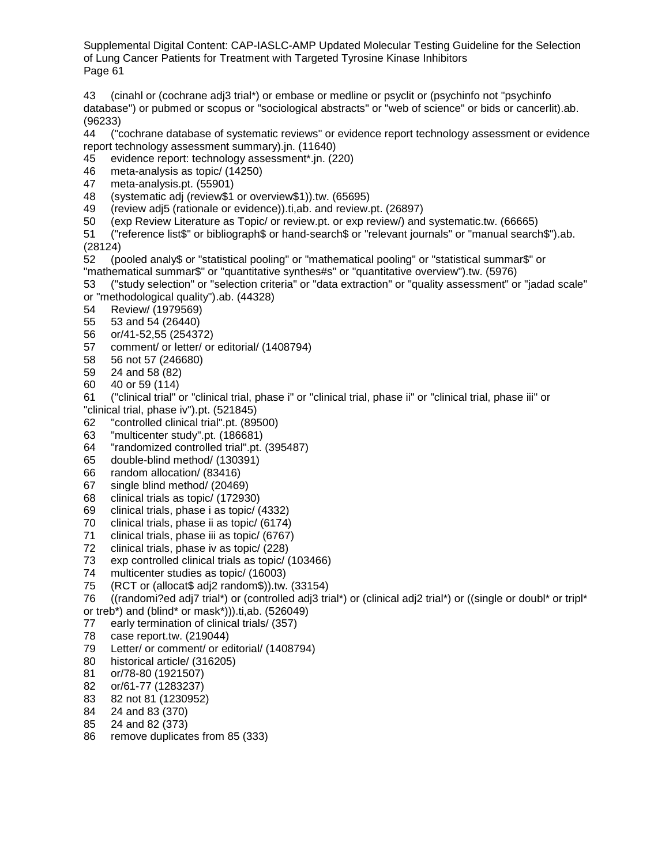43 (cinahl or (cochrane adj3 trial\*) or embase or medline or psyclit or (psychinfo not "psychinfo database") or pubmed or scopus or "sociological abstracts" or "web of science" or bids or cancerlit).ab. (96233)

44 ("cochrane database of systematic reviews" or evidence report technology assessment or evidence report technology assessment summary).jn. (11640)

- 45 evidence report: technology assessment\*.jn. (220)
- 46 meta-analysis as topic/ (14250)
- 47 meta-analysis.pt. (55901)
- 48 (systematic adj (review\$1 or overview\$1)).tw. (65695)
- 49 (review adj5 (rationale or evidence)).ti,ab. and review.pt. (26897)
- 50 (exp Review Literature as Topic/ or review.pt. or exp review/) and systematic.tw. (66665)

51 ("reference list\$" or bibliograph\$ or hand-search\$ or "relevant journals" or "manual search\$").ab. (28124)

52 (pooled analy\$ or "statistical pooling" or "mathematical pooling" or "statistical summar\$" or "mathematical summar\$" or "quantitative synthes#s" or "quantitative overview").tw. (5976)

53 ("study selection" or "selection criteria" or "data extraction" or "quality assessment" or "jadad scale" or "methodological quality").ab. (44328)

- 54 Review/ (1979569)
- 55 53 and 54 (26440)
- 
- 56 or/41-52,55 (254372) 57 comment/ or letter/ or editorial/ (1408794)
- 58 56 not 57 (246680)
- 59 24 and 58 (82)<br>60 40 or 59 (114)
- 60 40 or 59 (114)

61 ("clinical trial" or "clinical trial, phase i" or "clinical trial, phase ii" or "clinical trial, phase iii" or "clinical trial, phase iv").pt. (521845)

- 62 "controlled clinical trial".pt. (89500)
- 63 "multicenter study".pt. (186681)
- 64 "randomized controlled trial".pt. (395487)
- 65 double-blind method/ (130391)
- 
- 66 random allocation/ (83416) single blind method/ (20469)
- 68 clinical trials as topic/ (172930)
- 
- 69 clinical trials, phase i as topic/ (4332)
- 70 clinical trials, phase ii as topic/ (6174)<br>71 clinical trials, phase iii as topic/ (6767) clinical trials, phase iii as topic/ (6767)
- 72 clinical trials, phase iv as topic/ (228)<br>73 exp controlled clinical trials as topic/ (
- exp controlled clinical trials as topic/ (103466)
- 74 multicenter studies as topic/ (16003)
- 75 (RCT or (allocat\$ adj2 random\$)).tw. (33154)
- 76 ((randomi?ed adj7 trial\*) or (controlled adj3 trial\*) or (clinical adj2 trial\*) or ((single or doubl\* or tripl\*
- or treb\*) and (blind\* or mask\*))).ti,ab. (526049)
- 77 early termination of clinical trials/ (357)<br>78 case report.tw. (219044)
- case report.tw. (219044)
- 79 Letter/ or comment/ or editorial/ (1408794)
- 80 historical article/ (316205)
- 81 or/78-80 (1921507)
- 82 or/61-77 (1283237)
- 83 82 not 81 (1230952)
- 84 24 and 83 (370)
- 85 24 and 82 (373)
- 86 remove duplicates from 85 (333)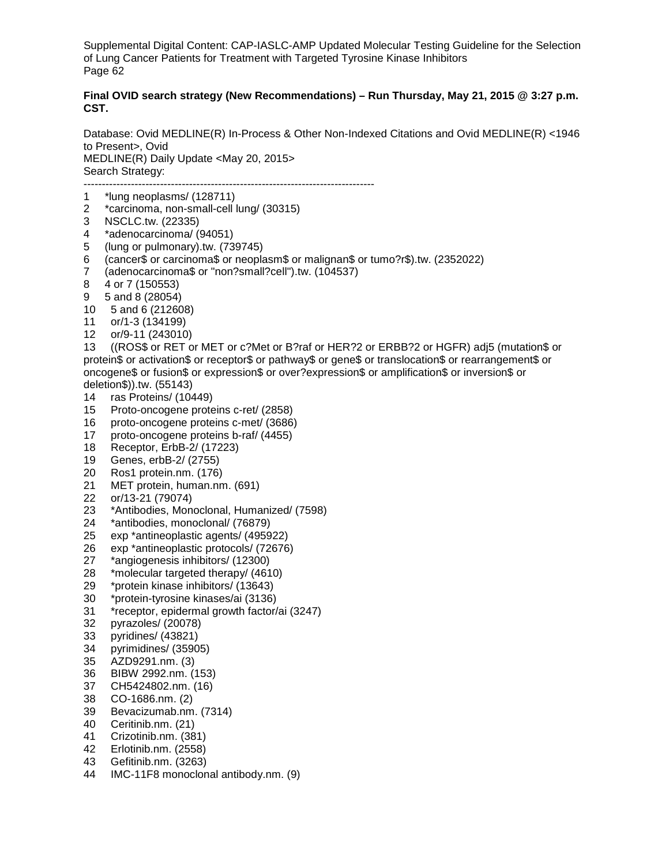# **Final OVID search strategy (New Recommendations) – Run Thursday, May 21, 2015 @ 3:27 p.m. CST.**

Database: Ovid MEDLINE(R) In-Process & Other Non-Indexed Citations and Ovid MEDLINE(R) <1946 to Present>, Ovid MEDLINE(R) Daily Update <May 20, 2015> Search Strategy: --------------------------------------------------------------------------------

1 \*lung neoplasms/ (128711)

- 2 \*carcinoma, non-small-cell lung/ (30315)
- 
- 3 NSCLC.tw. (22335)<br>4 \*adenocarcinoma/ (9
- 4 \*adenocarcinoma/ (94051)<br>5 (lung or pulmonary).tw. (73 5 (lung or pulmonary).tw. (739745)
- 6 (cancer\$ or carcinoma\$ or neoplasm\$ or malignan\$ or tumo?r\$).tw. (2352022)
- 7 (adenocarcinoma\$ or "non?small?cell").tw. (104537)
- 8 4 or 7 (150553)
- 9 5 and 8 (28054)
- 10 5 and 6 (212608)
- 11 or/1-3 (134199)
- 12 or/9-11 (243010)

13 ((ROS\$ or RET or MET or c?Met or B?raf or HER?2 or ERBB?2 or HGFR) adj5 (mutation\$ or protein\$ or activation\$ or receptor\$ or pathway\$ or gene\$ or translocation\$ or rearrangement\$ or oncogene\$ or fusion\$ or expression\$ or over?expression\$ or amplification\$ or inversion\$ or deletion\$)).tw. (55143)

- 14 ras Proteins/ (10449)
- 15 Proto-oncogene proteins c-ret/ (2858)
- 16 proto-oncogene proteins c-met/ (3686)
- 17 proto-oncogene proteins b-raf/ (4455)
- 18 Receptor, ErbB-2/ (17223)
- 19 Genes, erbB-2/ (2755)
- 20 Ros1 protein.nm. (176)
- MET protein, human.nm. (691)
- 22 or/13-21 (79074)
- 23 \*Antibodies, Monoclonal, Humanized/ (7598)<br>24 \*antibodies, monoclonal/ (76879)
- 24 \* antibodies, monoclonal/ (76879)<br>25 exp \* antineoplastic agents/ (4959
- 25 exp \*antineoplastic agents/ (495922)
- 26 exp \*antineoplastic protocols/ (72676)<br>27 \*angiogenesis inhibitors/ (12300)
- \*angiogenesis inhibitors/ (12300)
- 28 \*molecular targeted therapy/ (4610)
- 29 \*protein kinase inhibitors/ (13643)
- 30 \*protein-tyrosine kinases/ai (3136)
- 31 \*receptor, epidermal growth factor/ai (3247)
- 
- 32 pyrazoles/ (20078) pyridines/ (43821)
- 34 pyrimidines/ (35905)
- 35 AZD9291.nm. (3)
- 36 BIBW 2992.nm. (153)
- CH5424802.nm. (16)
- 38 CO-1686.nm. (2)
- 39 Bevacizumab.nm. (7314)
- 40 Ceritinib.nm. (21)
- 41 Crizotinib.nm. (381)
- 42 Erlotinib.nm. (2558)
- 43 Gefitinib.nm. (3263)
- 44 IMC-11F8 monoclonal antibody.nm. (9)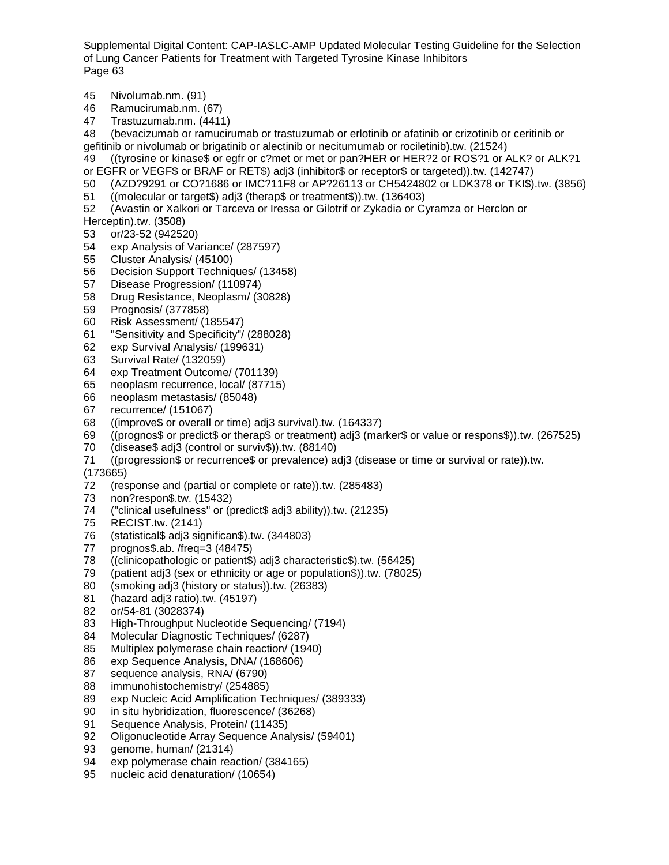- 45 Nivolumab.nm. (91)
- 46 Ramucirumab.nm. (67)<br>47 Trastuzumab.nm. (4411
- 47 Trastuzumab.nm. (4411)

48 (bevacizumab or ramucirumab or trastuzumab or erlotinib or afatinib or crizotinib or ceritinib or gefitinib or nivolumab or brigatinib or alectinib or necitumumab or rociletinib).tw. (21524)

- 49 ((tyrosine or kinase\$ or egfr or c?met or met or pan?HER or HER?2 or ROS?1 or ALK? or ALK?1
- or EGFR or VEGF\$ or BRAF or RET\$) adj3 (inhibitor\$ or receptor\$ or targeted)).tw. (142747)
- 50 (AZD?9291 or CO?1686 or IMC?11F8 or AP?26113 or CH5424802 or LDK378 or TKI\$).tw. (3856)
- 51 ((molecular or target\$) adj3 (therap\$ or treatment\$)).tw. (136403)

52 (Avastin or Xalkori or Tarceva or Iressa or Gilotrif or Zykadia or Cyramza or Herclon or Herceptin).tw. (3508)

- 53 or/23-52 (942520)
- 54 exp Analysis of Variance/ (287597)
- 
- 55 Cluster Analysis/ (45100) 56 Decision Support Techniques/ (13458)
- 57 Disease Progression/ (110974)
- 58 Drug Resistance, Neoplasm/ (30828)
- 59 Prognosis/ (377858)
- 60 Risk Assessment/ (185547)
- 61 "Sensitivity and Specificity"/ (288028)
- 62 exp Survival Analysis/ (199631)
- 63 Survival Rate/ (132059)
- 64 exp Treatment Outcome/ (701139)<br>65 neoplasm recurrence, local/ (87715)
- neoplasm recurrence, local/ (87715)
- 66 neoplasm metastasis/ (85048)
- 67 recurrence/ (151067)<br>68 ((improve\$ or overall)
- ((improve\$ or overall or time) adj3 survival).tw. (164337)
- 69 ((prognos\$ or predict\$ or therap\$ or treatment) adj3 (marker\$ or value or respons\$)).tw. (267525)
- 70 (disease\$ adj3 (control or surviv\$)).tw. (88140)
- 71 ((progression\$ or recurrence\$ or prevalence) adj3 (disease or time or survival or rate)).tw.

- (173665) (response and (partial or complete or rate)).tw. (285483)
- 73 non?respon\$.tw. (15432)
- 74 ("clinical usefulness" or (predict\$ adj3 ability)).tw. (21235)
- 75 RECIST.tw. (2141)<br>76 (statistical\$ adj3 sig
- 76 (statistical\$ adj3 significan\$).tw. (344803)
- 77 prognos\$.ab. /freq=3 (48475)<br>78 (Clinicopathologic or patient\$)
- $((\text{clinicopathologic or patient}\$)$  adj3 characteristic $$)$ .tw. (56425)
- 79 (patient adj3 (sex or ethnicity or age or population\$)).tw. (78025)
- 80 (smoking adj3 (history or status)).tw. (26383)
- 81 (hazard adj3 ratio).tw. (45197)
- 82 or/54-81 (3028374)
- 83 High-Throughput Nucleotide Sequencing/ (7194)<br>84 Molecular Diagnostic Techniques/ (6287)
- Molecular Diagnostic Techniques/ (6287)
- 85 Multiplex polymerase chain reaction/ (1940)
- 86 exp Sequence Analysis, DNA/ (168606)<br>87 sequence analysis, RNA/ (6790)
- sequence analysis, RNA/ (6790)
- 88 immunohistochemistry/ (254885)
- 89 exp Nucleic Acid Amplification Techniques/ (389333)
- 90 in situ hybridization, fluorescence/ (36268)
- 91 Sequence Analysis, Protein/ (11435)
- 92 Oligonucleotide Array Sequence Analysis/ (59401)
- 93 genome, human/ (21314)
- 94 exp polymerase chain reaction/ (384165)
- 95 nucleic acid denaturation/ (10654)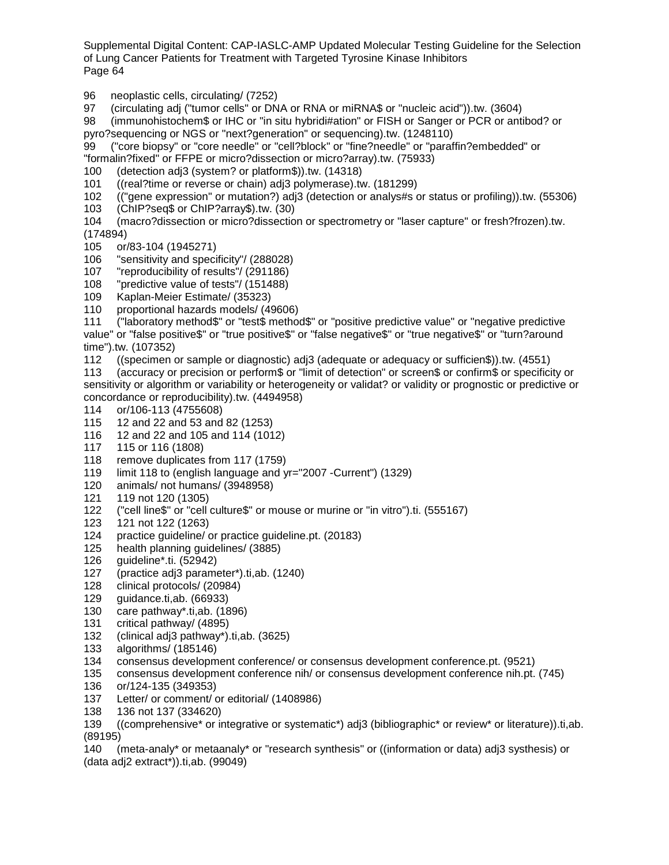96 neoplastic cells, circulating/ (7252)

97 (circulating adj ("tumor cells" or DNA or RNA or miRNA\$ or "nucleic acid")).tw. (3604)<br>98 (immunohistochem\$ or IHC or "in situ hybridi#ation" or FISH or Sanger or PCR or anti

98 (immunohistochem\$ or IHC or "in situ hybridi#ation" or FISH or Sanger or PCR or antibod? or pyro?sequencing or NGS or "next?generation" or sequencing).tw. (1248110)

99 ("core biopsy" or "core needle" or "cell?block" or "fine?needle" or "paraffin?embedded" or "formalin?fixed" or FFPE or micro?dissection or micro?array).tw. (75933)

100 (detection adj3 (system? or platform\$)).tw. (14318)

101 ((real?time or reverse or chain) adj3 polymerase).tw. (181299)

- 102 (("gene expression" or mutation?) adj3 (detection or analys#s or status or profiling)).tw. (55306)
- 103 (ChIP?seq\$ or ChIP?array\$).tw. (30)
- 104 (macro?dissection or micro?dissection or spectrometry or "laser capture" or fresh?frozen).tw. (174894)
- 105 or/83-104 (1945271)
- 106 "sensitivity and specificity"/ (288028)<br>107 "reproducibility of results"/ (291186)
- "reproducibility of results"/ (291186)
- 108 "predictive value of tests"/ (151488)
- 109 Kaplan-Meier Estimate/ (35323)
- 110 proportional hazards models/ (49606)
- 111 ("laboratory method\$" or "test\$ method\$" or "positive predictive value" or "negative predictive value" or "false positive\$" or "true positive\$" or "false negative\$" or "true negative\$" or "turn?around time").tw. (107352)
- 112 ((specimen or sample or diagnostic) adj3 (adequate or adequacy or sufficien\$)).tw. (4551)

113 (accuracy or precision or perform\$ or "limit of detection" or screen\$ or confirm\$ or specificity or sensitivity or algorithm or variability or heterogeneity or validat? or validity or prognostic or predictive or concordance or reproducibility).tw. (4494958)

- 114 or/106-113 (4755608)
- 12 and 22 and 53 and 82 (1253)
- 116 12 and 22 and 105 and 114 (1012)
- 117 115 or 116 (1808)
- 118 remove duplicates from 117 (1759)
- 119 limit 118 to (english language and yr="2007 -Current") (1329)<br>120 animals/ not humans/ (3948958)
- animals/ not humans/ (3948958)
- 121 119 not 120 (1305)
- 122 ("cell line\$" or "cell culture\$" or mouse or murine or "in vitro").ti. (555167)<br>123 121 not 122 (1263)
- 123 121 not 122 (1263)
- practice guideline/ or practice guideline.pt. (20183)
- 125 health planning guidelines/ (3885)<br>126 guideline\*.ti. (52942)
- 126 guideline\*.ti. (52942)
- 127 (practice adj3 parameter\*).ti,ab. (1240)
- 128 clinical protocols/ (20984)
- 129 guidance.ti,ab. (66933)
- 130 care pathway\*.ti,ab. (1896)
- 131 critical pathway/ (4895)<br>132 (clinical adj3 pathway\*).
- 132 (clinical adj3 pathway\*).ti,ab. (3625)
- 133 algorithms/ (185146)
- 134 consensus development conference/ or consensus development conference.pt. (9521)<br>135 consensus development conference nih/ or consensus development conference nih.pt.
- 135 consensus development conference nih/ or consensus development conference nih.pt. (745)
- 136 or/124-135 (349353)
- 137 Letter/ or comment/ or editorial/ (1408986)
- 138 136 not 137 (334620)

139 ((comprehensive\* or integrative or systematic\*) adj3 (bibliographic\* or review\* or literature)).ti,ab. (89195)

140 (meta-analy\* or metaanaly\* or "research synthesis" or ((information or data) adj3 systhesis) or (data adj2 extract\*)).ti,ab. (99049)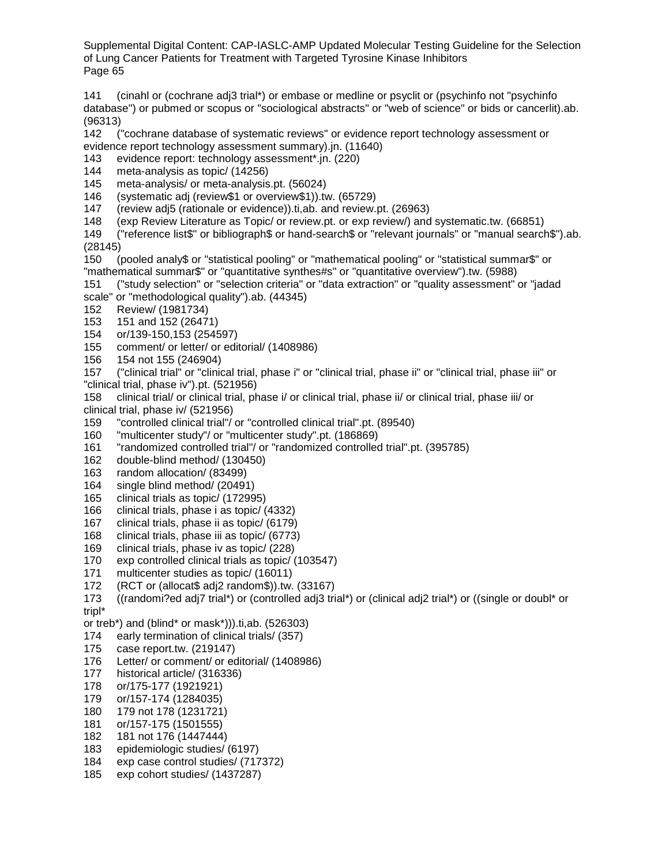141 (cinahl or (cochrane adj3 trial\*) or embase or medline or psyclit or (psychinfo not "psychinfo database") or pubmed or scopus or "sociological abstracts" or "web of science" or bids or cancerlit).ab. (96313)

142 ("cochrane database of systematic reviews" or evidence report technology assessment or evidence report technology assessment summary).jn. (11640)

143 evidence report: technology assessment\*.jn. (220)

- 144 meta-analysis as topic/ (14256)
- 145 meta-analysis/ or meta-analysis.pt. (56024)
- 146 (systematic adj (review\$1 or overview\$1)).tw. (65729)
- 147 (review adj5 (rationale or evidence)).ti,ab. and review.pt. (26963)
- 148 (exp Review Literature as Topic/ or review.pt. or exp review/) and systematic.tw. (66851)

149 ("reference list\$" or bibliograph\$ or hand-search\$ or "relevant journals" or "manual search\$").ab. (28145)

150 (pooled analy\$ or "statistical pooling" or "mathematical pooling" or "statistical summar\$" or "mathematical summar\$" or "quantitative synthes#s" or "quantitative overview").tw. (5988)

- 151 ("study selection" or "selection criteria" or "data extraction" or "quality assessment" or "jadad scale" or "methodological quality").ab. (44345)
- 152 Review/ (1981734)
- 153 151 and 152 (26471)
- 154 or/139-150,153 (254597)
- 155 comment/ or letter/ or editorial/ (1408986)
- 156 154 not 155 (246904)

157 ("clinical trial" or "clinical trial, phase i" or "clinical trial, phase ii" or "clinical trial, phase iii" or "clinical trial, phase iv").pt. (521956)

158 clinical trial/ or clinical trial, phase i/ or clinical trial, phase ii/ or clinical trial, phase iii/ or clinical trial, phase iv/ (521956)

- 159 "controlled clinical trial"/ or "controlled clinical trial".pt. (89540)
- 160 "multicenter study"/ or "multicenter study".pt. (186869)
- 161 "randomized controlled trial"/ or "randomized controlled trial".pt. (395785)
- 162 double-blind method/ (130450)
- 163 random allocation/ (83499)<br>164 single blind method/ (20491
- single blind method/ (20491)
- 165 clinical trials as topic/ (172995)
- 166 clinical trials, phase i as topic/ (4332)<br>167 clinical trials, phase ii as topic/ (6179)
- clinical trials, phase ii as topic/ (6179)
- 168 clinical trials, phase iii as topic/ (6773)
- 169 clinical trials, phase iv as topic/ (228)<br>170 exp controlled clinical trials as topic/ (
- exp controlled clinical trials as topic/ (103547)
- 171 multicenter studies as topic/ (16011)
- 172 (RCT or (allocat\$ adj2 random\$)).tw. (33167)
- 173 ((randomi?ed adj7 trial\*) or (controlled adj3 trial\*) or (clinical adj2 trial\*) or ((single or doubl\* or tripl\*
- or treb\*) and (blind\* or mask\*))).ti,ab. (526303)
- 174 early termination of clinical trials/ (357)
- 175 case report.tw. (219147)
- 176 Letter/ or comment/ or editorial/ (1408986)
- 177 historical article/ (316336)
- 178 or/175-177 (1921921)
- 179 or/157-174 (1284035)
- 180 179 not 178 (1231721)
- 181 or/157-175 (1501555)
- 182 181 not 176 (1447444)
- 183 epidemiologic studies/ (6197)
- 184 exp case control studies/ (717372)
- 185 exp cohort studies/ (1437287)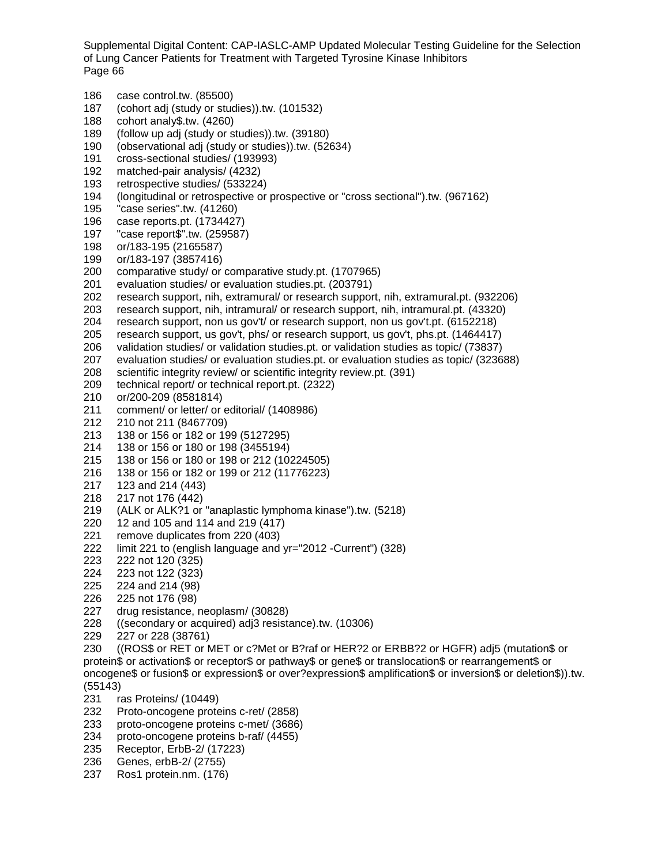186 case control.tw. (85500) 187 (cohort adj (study or studies)).tw. (101532) 188 cohort analy\$.tw. (4260) 189 (follow up adj (study or studies)).tw. (39180) 190 (observational adj (study or studies)).tw. (52634) 191 cross-sectional studies/ (193993) 192 matched-pair analysis/ (4232) 193 retrospective studies/ (533224) 194 (longitudinal or retrospective or prospective or "cross sectional").tw. (967162) 195 "case series".tw. (41260) 196 case reports.pt. (1734427)<br>197 "case report\$".tw. (259587  $"case report$  $".tw. (259587)$ 198 or/183-195 (2165587) 199 or/183-197 (3857416) comparative study/ or comparative study.pt. (1707965) 201 evaluation studies/ or evaluation studies.pt. (203791) 202 research support, nih, extramural/ or research support, nih, extramural.pt. (932206) 203 research support, nih, intramural/ or research support, nih, intramural.pt. (43320) 204 research support, non us gov't/ or research support, non us gov't.pt. (6152218) 205 research support, us gov't, phs/ or research support, us gov't, phs.pt. (1464417) 206 validation studies/ or validation studies.pt. or validation studies as topic/ (73837) 207 evaluation studies/ or evaluation studies.pt. or evaluation studies as topic/ (323688) 208 scientific integrity review/ or scientific integrity review.pt. (391)<br>209 technical report/ or technical report.pt. (2322) technical report/ or technical report.pt. (2322) 210 or/200-209 (8581814) 211 comment/ or letter/ or editorial/ (1408986)<br>212 210 not 211 (8467709) 212 210 not 211 (8467709) 213 138 or 156 or 182 or 199 (5127295) 214 138 or 156 or 180 or 198 (3455194) 215 138 or 156 or 180 or 198 or 212 (10224505) 216 138 or 156 or 182 or 199 or 212 (11776223)<br>217 123 and 214 (443) 123 and 214 (443) 218 217 not 176 (442) 219 (ALK or ALK?1 or "anaplastic lymphoma kinase").tw.  $(5218)$ <br>220 12 and 105 and 114 and 219 (417) 12 and 105 and 114 and 219 (417) 221 remove duplicates from 220 (403) 222 limit 221 to (english language and yr="2012 -Current") (328) 222 not 120 (325) 224 223 not 122 (323) 225 224 and 214 (98) 226 225 not 176 (98) 227 drug resistance, neoplasm/ (30828) 228 ((secondary or acquired) adj3 resistance).tw. (10306) 229 227 or 228 (38761) 230 ((ROS\$ or RET or MET or c?Met or B?raf or HER?2 or ERBB?2 or HGFR) adj5 (mutation\$ or protein\$ or activation\$ or receptor\$ or pathway\$ or gene\$ or translocation\$ or rearrangement\$ or oncogene\$ or fusion\$ or expression\$ or over?expression\$ amplification\$ or inversion\$ or deletion\$)).tw. (55143) 231 ras Proteins/ (10449) 232 Proto-oncogene proteins c-ret/ (2858) 233 proto-oncogene proteins c-met/ (3686) 234 proto-oncogene proteins b-raf/ (4455) 235 Receptor, ErbB-2/ (17223)

- 236 Genes, erbB-2/ (2755)
- 237 Ros1 protein.nm. (176)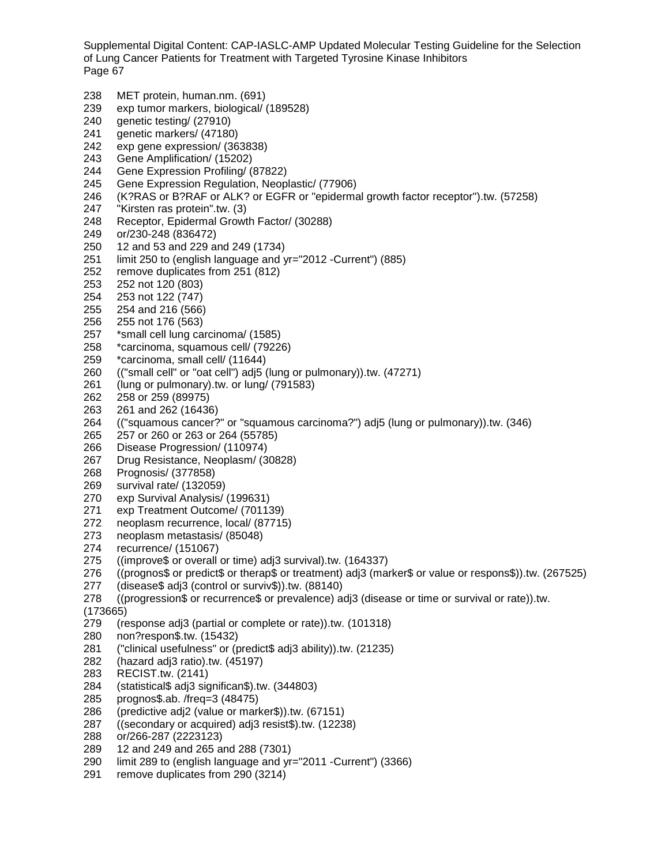238 MET protein, human.nm. (691) 239 exp tumor markers, biological/ (189528) 240 genetic testing/ (27910) 241 genetic markers/ (47180) 242 exp gene expression/ (363838) 243 Gene Amplification/ (15202) 244 Gene Expression Profiling/ (87822) 245 Gene Expression Regulation, Neoplastic/ (77906) 246 (K?RAS or B?RAF or ALK? or EGFR or "epidermal growth factor receptor").tw. (57258) 247 "Kirsten ras protein".tw. (3) 248 Receptor, Epidermal Growth Factor/ (30288) 249 or/230-248 (836472) 250 12 and 53 and 229 and 249 (1734) 251 limit 250 to (english language and yr="2012 -Current") (885) 252 remove duplicates from 251 (812) 253 252 not 120 (803) 254 253 not 122 (747) 255 254 and 216 (566) 256 255 not 176 (563) 257 \*small cell lung carcinoma/ (1585) 258 \*carcinoma, squamous cell/ (79226) 259 \*carcinoma, small cell/ (11644)<br>260 (("small cell" or "oat cell") adj5 ( 260 (("small cell" or "oat cell") adj5 (lung or pulmonary)).tw. (47271)<br>261 (lung or pulmonary).tw. or lung/ (791583) (lung or pulmonary).tw. or lung/ (791583) 262 258 or 259 (89975) 263 261 and 262 (16436)<br>264 ("squamous cancer? 264 (("squamous cancer?" or "squamous carcinoma?") adj5 (lung or pulmonary)).tw. (346) 265 257 or 260 or 263 or 264 (55785) 266 Disease Progression/ (110974) 267 Drug Resistance, Neoplasm/ (30828) 268 Prognosis/ (377858) 269 survival rate/ (132059)<br>270 exp Survival Analysis/ exp Survival Analysis/ (199631) 271 exp Treatment Outcome/ (701139)<br>272 neoplasm recurrence, local/ (87715) neoplasm recurrence, local/ (87715) 273 neoplasm metastasis/ (85048) 274 recurrence/ (151067)<br>275 ((improve\$ or overall  $($ improve\$ or overall or time) adj3 survival $)$ .tw. (164337) 276 ((prognos\$ or predict\$ or therap\$ or treatment) adj3 (marker\$ or value or respons\$)).tw. (267525) 277 (disease\$ adj3 (control or surviv\$)).tw. (88140) 278 ((progression\$ or recurrence\$ or prevalence) adj3 (disease or time or survival or rate)).tw. (173665) 279 (response adj3 (partial or complete or rate)).tw. (101318)<br>280 non?respon\$.tw. (15432) non?respon\$.tw. (15432) 281 ("clinical usefulness" or (predict\$ adj3 ability)).tw. (21235) 282 (hazard adj3 ratio).tw. (45197) 283 RECIST.tw. (2141) 284 (statistical\$ adj3 significan\$).tw. (344803) 285 prognos\$.ab. /freq=3 (48475) 286 (predictive adj2 (value or marker\$)).tw. (67151) 287 ((secondary or acquired) adj3 resist\$).tw. (12238) 288 or/266-287 (2223123) 289 12 and 249 and 265 and 288 (7301)

- 290 limit 289 to (english language and yr="2011 -Current") (3366)
- 291 remove duplicates from 290 (3214)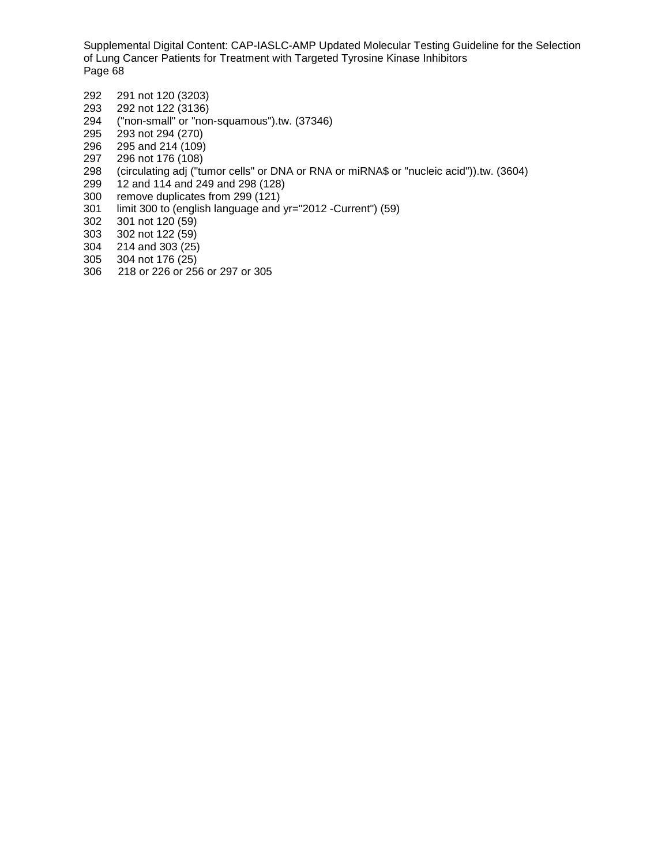- 292 291 not 120 (3203)
- 293 292 not 122 (3136)<br>294 ("non-small" or "nor
- 294 ("non-small" or "non-squamous").tw. (37346)
- 295 293 not 294 (270)<br>296 295 and 214 (109)
- 296 295 and 214 (109)<br>297 296 not 176 (108)
- 297 296 not 176 (108)
- 298 (circulating adj ("tumor cells" or DNA or RNA or miRNA\$ or "nucleic acid")).tw. (3604)
- 299 12 and 114 and 249 and 298 (128)<br>300 remove duplicates from 299 (121)
- remove duplicates from 299 (121)
- 301 limit 300 to (english language and yr="2012 -Current") (59)
- 302 301 not 120 (59)
- 303 302 not 122 (59)
- 304 214 and 303 (25)
- 305 304 not 176 (25)
- 218 or 226 or 256 or 297 or 305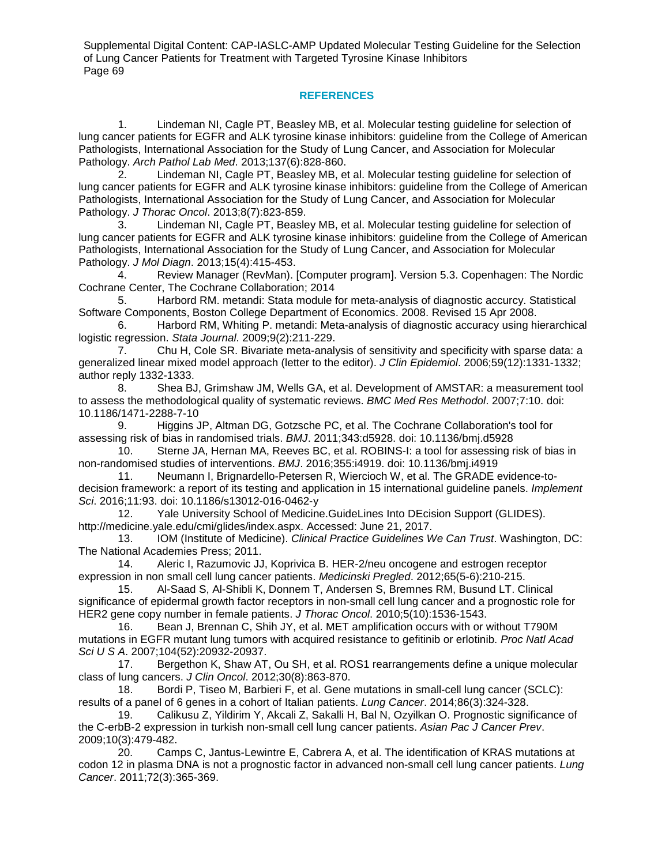# **REFERENCES**

1. Lindeman NI, Cagle PT, Beasley MB, et al. Molecular testing guideline for selection of lung cancer patients for EGFR and ALK tyrosine kinase inhibitors: guideline from the College of American Pathologists, International Association for the Study of Lung Cancer, and Association for Molecular Pathology. *Arch Pathol Lab Med*. 2013;137(6):828-860.

2. Lindeman NI, Cagle PT, Beasley MB, et al. Molecular testing guideline for selection of lung cancer patients for EGFR and ALK tyrosine kinase inhibitors: guideline from the College of American Pathologists, International Association for the Study of Lung Cancer, and Association for Molecular Pathology. *J Thorac Oncol*. 2013;8(7):823-859.

3. Lindeman NI, Cagle PT, Beasley MB, et al. Molecular testing guideline for selection of lung cancer patients for EGFR and ALK tyrosine kinase inhibitors: guideline from the College of American Pathologists, International Association for the Study of Lung Cancer, and Association for Molecular Pathology. *J Mol Diagn*. 2013;15(4):415-453.

4. Review Manager (RevMan). [Computer program]. Version 5.3. Copenhagen: The Nordic Cochrane Center, The Cochrane Collaboration; 2014

5. Harbord RM. metandi: Stata module for meta-analysis of diagnostic accurcy. Statistical Software Components, Boston College Department of Economics. 2008. Revised 15 Apr 2008.

6. Harbord RM, Whiting P. metandi: Meta-analysis of diagnostic accuracy using hierarchical logistic regression. *Stata Journal*. 2009;9(2):211-229.

7. Chu H, Cole SR. Bivariate meta-analysis of sensitivity and specificity with sparse data: a generalized linear mixed model approach (letter to the editor). *J Clin Epidemiol*. 2006;59(12):1331-1332; author reply 1332-1333.

8. Shea BJ, Grimshaw JM, Wells GA, et al. Development of AMSTAR: a measurement tool to assess the methodological quality of systematic reviews. *BMC Med Res Methodol*. 2007;7:10. doi: 10.1186/1471-2288-7-10

9. Higgins JP, Altman DG, Gotzsche PC, et al. The Cochrane Collaboration's tool for assessing risk of bias in randomised trials. *BMJ*. 2011;343:d5928. doi: 10.1136/bmj.d5928

10. Sterne JA, Hernan MA, Reeves BC, et al. ROBINS-I: a tool for assessing risk of bias in non-randomised studies of interventions. *BMJ*. 2016;355:i4919. doi: 10.1136/bmj.i4919

11. Neumann I, Brignardello-Petersen R, Wiercioch W, et al. The GRADE evidence-todecision framework: a report of its testing and application in 15 international guideline panels. *Implement Sci*. 2016;11:93. doi: 10.1186/s13012-016-0462-y

12. Yale University School of Medicine.GuideLines Into DEcision Support (GLIDES). http://medicine.yale.edu/cmi/glides/index.aspx. Accessed: June 21, 2017.

13. IOM (Institute of Medicine). *Clinical Practice Guidelines We Can Trust*. Washington, DC: The National Academies Press; 2011.<br>14. Aleric I, Razumovic JJ

14. Aleric I, Razumovic JJ, Koprivica B. HER-2/neu oncogene and estrogen receptor expression in non small cell lung cancer patients. *Medicinski Pregled*. 2012;65(5-6):210-215.

15. Al-Saad S, Al-Shibli K, Donnem T, Andersen S, Bremnes RM, Busund LT. Clinical significance of epidermal growth factor receptors in non-small cell lung cancer and a prognostic role for HER2 gene copy number in female patients. *J Thorac Oncol*. 2010;5(10):1536-1543.

16. Bean J, Brennan C, Shih JY, et al. MET amplification occurs with or without T790M mutations in EGFR mutant lung tumors with acquired resistance to gefitinib or erlotinib. *Proc Natl Acad Sci U S A*. 2007;104(52):20932-20937.

17. Bergethon K, Shaw AT, Ou SH, et al. ROS1 rearrangements define a unique molecular class of lung cancers. *J Clin Oncol*. 2012;30(8):863-870.

18. Bordi P, Tiseo M, Barbieri F, et al. Gene mutations in small-cell lung cancer (SCLC): results of a panel of 6 genes in a cohort of Italian patients. *Lung Cancer*. 2014;86(3):324-328.

19. Calikusu Z, Yildirim Y, Akcali Z, Sakalli H, Bal N, Ozyilkan O. Prognostic significance of the C-erbB-2 expression in turkish non-small cell lung cancer patients. *Asian Pac J Cancer Prev*. 2009;10(3):479-482.

20. Camps C, Jantus-Lewintre E, Cabrera A, et al. The identification of KRAS mutations at codon 12 in plasma DNA is not a prognostic factor in advanced non-small cell lung cancer patients. *Lung Cancer*. 2011;72(3):365-369.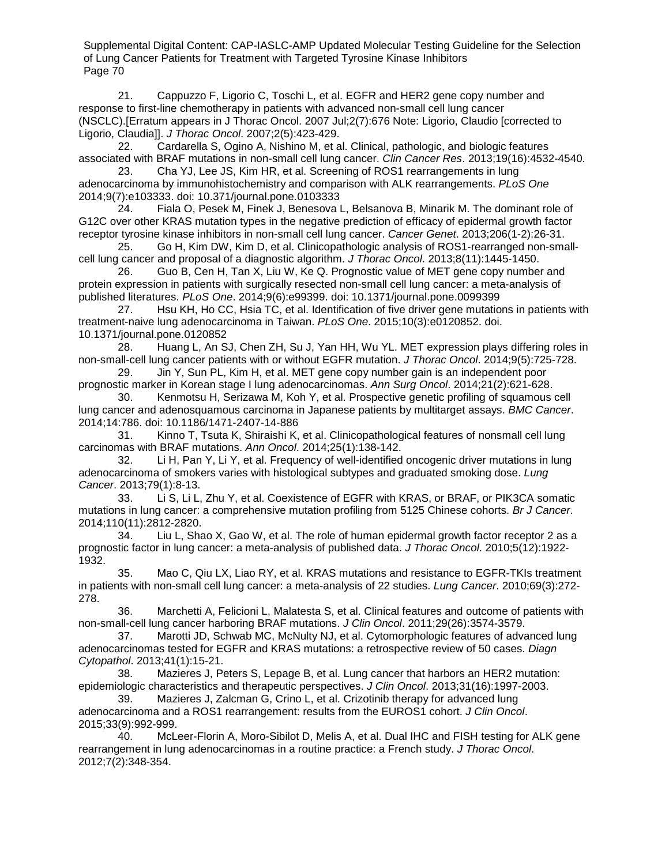21. Cappuzzo F, Ligorio C, Toschi L, et al. EGFR and HER2 gene copy number and response to first-line chemotherapy in patients with advanced non-small cell lung cancer (NSCLC).[Erratum appears in J Thorac Oncol. 2007 Jul;2(7):676 Note: Ligorio, Claudio [corrected to Ligorio, Claudia]]. *J Thorac Oncol*. 2007;2(5):423-429.

22. Cardarella S, Ogino A, Nishino M, et al. Clinical, pathologic, and biologic features associated with BRAF mutations in non-small cell lung cancer. *Clin Cancer Res*. 2013;19(16):4532-4540.

23. Cha YJ, Lee JS, Kim HR, et al. Screening of ROS1 rearrangements in lung adenocarcinoma by immunohistochemistry and comparison with ALK rearrangements. *PLoS One*  2014;9(7):e103333. doi: 10.371/journal.pone.0103333

24. Fiala O, Pesek M, Finek J, Benesova L, Belsanova B, Minarik M. The dominant role of G12C over other KRAS mutation types in the negative prediction of efficacy of epidermal growth factor receptor tyrosine kinase inhibitors in non-small cell lung cancer. *Cancer Genet*. 2013;206(1-2):26-31.

25. Go H, Kim DW, Kim D, et al. Clinicopathologic analysis of ROS1-rearranged non-smallcell lung cancer and proposal of a diagnostic algorithm. *J Thorac Oncol*. 2013;8(11):1445-1450.

26. Guo B, Cen H, Tan X, Liu W, Ke Q. Prognostic value of MET gene copy number and protein expression in patients with surgically resected non-small cell lung cancer: a meta-analysis of published literatures. *PLoS One*. 2014;9(6):e99399. doi: 10.1371/journal.pone.0099399

27. Hsu KH, Ho CC, Hsia TC, et al. Identification of five driver gene mutations in patients with treatment-naive lung adenocarcinoma in Taiwan. *PLoS One*. 2015;10(3):e0120852. doi. 10.1371/journal.pone.0120852

28. Huang L, An SJ, Chen ZH, Su J, Yan HH, Wu YL. MET expression plays differing roles in non-small-cell lung cancer patients with or without EGFR mutation. *J Thorac Oncol*. 2014;9(5):725-728.

29. Jin Y, Sun PL, Kim H, et al. MET gene copy number gain is an independent poor prognostic marker in Korean stage I lung adenocarcinomas. *Ann Surg Oncol*. 2014;21(2):621-628.

30. Kenmotsu H, Serizawa M, Koh Y, et al. Prospective genetic profiling of squamous cell lung cancer and adenosquamous carcinoma in Japanese patients by multitarget assays. *BMC Cancer*. 2014;14:786. doi: 10.1186/1471-2407-14-886

31. Kinno T, Tsuta K, Shiraishi K, et al. Clinicopathological features of nonsmall cell lung carcinomas with BRAF mutations. *Ann Oncol*. 2014;25(1):138-142.

32. Li H, Pan Y, Li Y, et al. Frequency of well-identified oncogenic driver mutations in lung adenocarcinoma of smokers varies with histological subtypes and graduated smoking dose. *Lung Cancer*. 2013;79(1):8-13.

33. Li S, Li L, Zhu Y, et al. Coexistence of EGFR with KRAS, or BRAF, or PIK3CA somatic mutations in lung cancer: a comprehensive mutation profiling from 5125 Chinese cohorts. *Br J Cancer*. 2014;110(11):2812-2820.

34. Liu L, Shao X, Gao W, et al. The role of human epidermal growth factor receptor 2 as a prognostic factor in lung cancer: a meta-analysis of published data. *J Thorac Oncol*. 2010;5(12):1922- 1932.

35. Mao C, Qiu LX, Liao RY, et al. KRAS mutations and resistance to EGFR-TKIs treatment in patients with non-small cell lung cancer: a meta-analysis of 22 studies. *Lung Cancer*. 2010;69(3):272- 278.

36. Marchetti A, Felicioni L, Malatesta S, et al. Clinical features and outcome of patients with non-small-cell lung cancer harboring BRAF mutations. *J Clin Oncol*. 2011;29(26):3574-3579.

37. Marotti JD, Schwab MC, McNulty NJ, et al. Cytomorphologic features of advanced lung adenocarcinomas tested for EGFR and KRAS mutations: a retrospective review of 50 cases. *Diagn Cytopathol*. 2013;41(1):15-21.

38. Mazieres J, Peters S, Lepage B, et al. Lung cancer that harbors an HER2 mutation: epidemiologic characteristics and therapeutic perspectives. *J Clin Oncol*. 2013;31(16):1997-2003.

39. Mazieres J, Zalcman G, Crino L, et al. Crizotinib therapy for advanced lung adenocarcinoma and a ROS1 rearrangement: results from the EUROS1 cohort. *J Clin Oncol*. 2015;33(9):992-999.

40. McLeer-Florin A, Moro-Sibilot D, Melis A, et al. Dual IHC and FISH testing for ALK gene rearrangement in lung adenocarcinomas in a routine practice: a French study. *J Thorac Oncol*. 2012;7(2):348-354.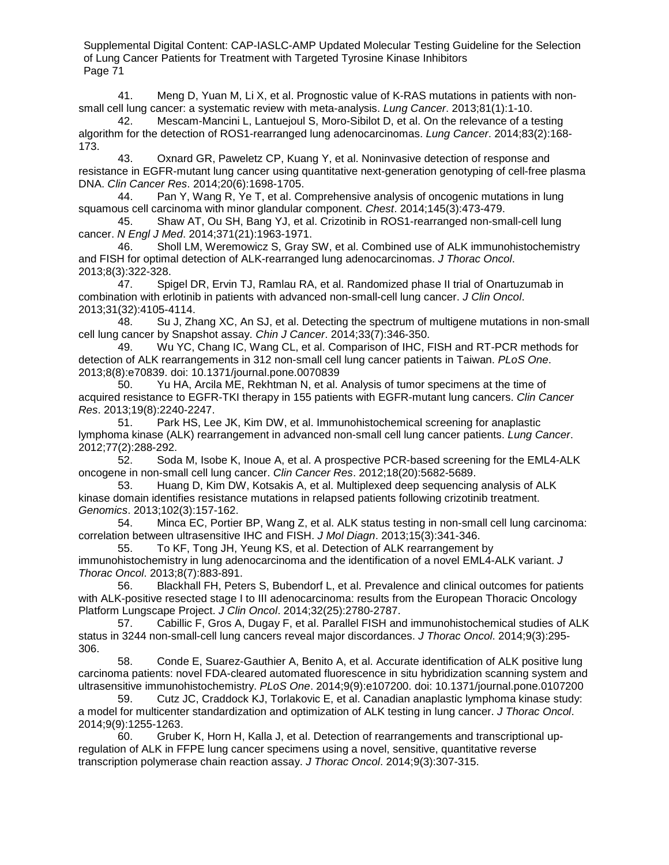41. Meng D, Yuan M, Li X, et al. Prognostic value of K-RAS mutations in patients with nonsmall cell lung cancer: a systematic review with meta-analysis. *Lung Cancer*. 2013;81(1):1-10.

42. Mescam-Mancini L, Lantuejoul S, Moro-Sibilot D, et al. On the relevance of a testing algorithm for the detection of ROS1-rearranged lung adenocarcinomas. *Lung Cancer*. 2014;83(2):168- 173.

43. Oxnard GR, Paweletz CP, Kuang Y, et al. Noninvasive detection of response and resistance in EGFR-mutant lung cancer using quantitative next-generation genotyping of cell-free plasma DNA. *Clin Cancer Res*. 2014;20(6):1698-1705.

44. Pan Y, Wang R, Ye T, et al. Comprehensive analysis of oncogenic mutations in lung squamous cell carcinoma with minor glandular component. *Chest*. 2014;145(3):473-479.

45. Shaw AT, Ou SH, Bang YJ, et al. Crizotinib in ROS1-rearranged non-small-cell lung cancer. *N Engl J Med*. 2014;371(21):1963-1971.

46. Sholl LM, Weremowicz S, Gray SW, et al. Combined use of ALK immunohistochemistry and FISH for optimal detection of ALK-rearranged lung adenocarcinomas. *J Thorac Oncol*. 2013;8(3):322-328.

47. Spigel DR, Ervin TJ, Ramlau RA, et al. Randomized phase II trial of Onartuzumab in combination with erlotinib in patients with advanced non-small-cell lung cancer. *J Clin Oncol*. 2013;31(32):4105-4114.

48. Su J, Zhang XC, An SJ, et al. Detecting the spectrum of multigene mutations in non-small cell lung cancer by Snapshot assay. *Chin J Cancer*. 2014;33(7):346-350.

49. Wu YC, Chang IC, Wang CL, et al. Comparison of IHC, FISH and RT-PCR methods for detection of ALK rearrangements in 312 non-small cell lung cancer patients in Taiwan. *PLoS One*. 2013;8(8):e70839. doi: 10.1371/journal.pone.0070839

50. Yu HA, Arcila ME, Rekhtman N, et al. Analysis of tumor specimens at the time of acquired resistance to EGFR-TKI therapy in 155 patients with EGFR-mutant lung cancers. *Clin Cancer Res*. 2013;19(8):2240-2247.

51. Park HS, Lee JK, Kim DW, et al. Immunohistochemical screening for anaplastic lymphoma kinase (ALK) rearrangement in advanced non-small cell lung cancer patients. *Lung Cancer*. 2012;77(2):288-292.

52. Soda M, Isobe K, Inoue A, et al. A prospective PCR-based screening for the EML4-ALK oncogene in non-small cell lung cancer. *Clin Cancer Res*. 2012;18(20):5682-5689.

53. Huang D, Kim DW, Kotsakis A, et al. Multiplexed deep sequencing analysis of ALK kinase domain identifies resistance mutations in relapsed patients following crizotinib treatment. *Genomics*. 2013;102(3):157-162.

Minca EC, Portier BP, Wang Z, et al. ALK status testing in non-small cell lung carcinoma: correlation between ultrasensitive IHC and FISH. *J Mol Diagn*. 2013;15(3):341-346.

55. To KF, Tong JH, Yeung KS, et al. Detection of ALK rearrangement by immunohistochemistry in lung adenocarcinoma and the identification of a novel EML4-ALK variant. *J Thorac Oncol*. 2013;8(7):883-891.

56. Blackhall FH, Peters S, Bubendorf L, et al. Prevalence and clinical outcomes for patients with ALK-positive resected stage I to III adenocarcinoma: results from the European Thoracic Oncology Platform Lungscape Project. *J Clin Oncol*. 2014;32(25):2780-2787.

57. Cabillic F, Gros A, Dugay F, et al. Parallel FISH and immunohistochemical studies of ALK status in 3244 non-small-cell lung cancers reveal major discordances. *J Thorac Oncol*. 2014;9(3):295- 306.

58. Conde E, Suarez-Gauthier A, Benito A, et al. Accurate identification of ALK positive lung carcinoma patients: novel FDA-cleared automated fluorescence in situ hybridization scanning system and ultrasensitive immunohistochemistry. *PLoS One*. 2014;9(9):e107200. doi: 10.1371/journal.pone.0107200

59. Cutz JC, Craddock KJ, Torlakovic E, et al. Canadian anaplastic lymphoma kinase study: a model for multicenter standardization and optimization of ALK testing in lung cancer. *J Thorac Oncol*. 2014;9(9):1255-1263.

60. Gruber K, Horn H, Kalla J, et al. Detection of rearrangements and transcriptional upregulation of ALK in FFPE lung cancer specimens using a novel, sensitive, quantitative reverse transcription polymerase chain reaction assay. *J Thorac Oncol*. 2014;9(3):307-315.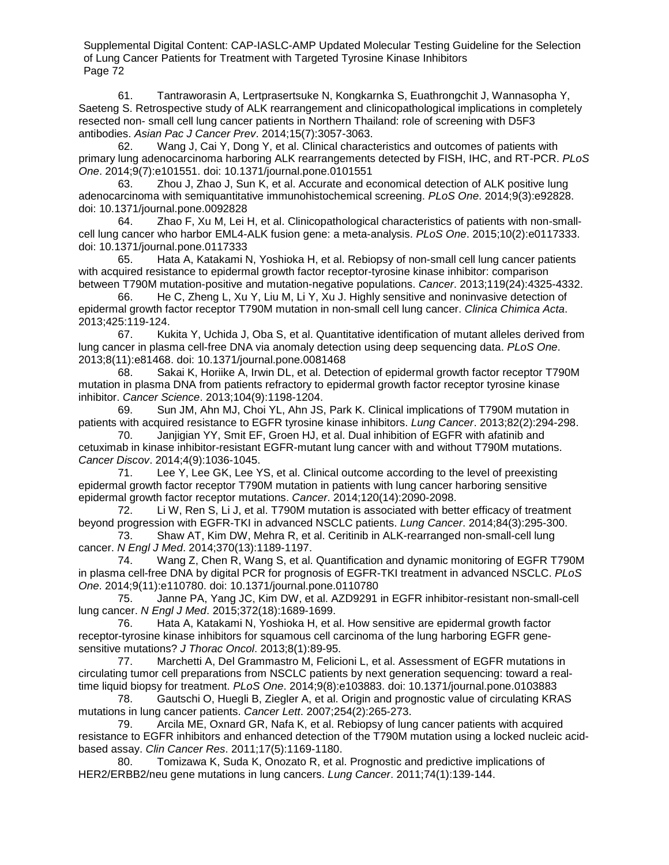61. Tantraworasin A, Lertprasertsuke N, Kongkarnka S, Euathrongchit J, Wannasopha Y, Saeteng S. Retrospective study of ALK rearrangement and clinicopathological implications in completely resected non- small cell lung cancer patients in Northern Thailand: role of screening with D5F3 antibodies. *Asian Pac J Cancer Prev*. 2014;15(7):3057-3063.

62. Wang J, Cai Y, Dong Y, et al. Clinical characteristics and outcomes of patients with primary lung adenocarcinoma harboring ALK rearrangements detected by FISH, IHC, and RT-PCR. *PLoS One*. 2014;9(7):e101551. doi: 10.1371/journal.pone.0101551

63. Zhou J, Zhao J, Sun K, et al. Accurate and economical detection of ALK positive lung adenocarcinoma with semiquantitative immunohistochemical screening. *PLoS One*. 2014;9(3):e92828. doi: 10.1371/journal.pone.0092828

64. Zhao F, Xu M, Lei H, et al. Clinicopathological characteristics of patients with non-smallcell lung cancer who harbor EML4-ALK fusion gene: a meta-analysis. *PLoS One*. 2015;10(2):e0117333. doi: 10.1371/journal.pone.0117333

65. Hata A, Katakami N, Yoshioka H, et al. Rebiopsy of non-small cell lung cancer patients with acquired resistance to epidermal growth factor receptor-tyrosine kinase inhibitor: comparison between T790M mutation-positive and mutation-negative populations. *Cancer*. 2013;119(24):4325-4332.

66. He C, Zheng L, Xu Y, Liu M, Li Y, Xu J. Highly sensitive and noninvasive detection of epidermal growth factor receptor T790M mutation in non-small cell lung cancer. *Clinica Chimica Acta*. 2013;425:119-124.

67. Kukita Y, Uchida J, Oba S, et al. Quantitative identification of mutant alleles derived from lung cancer in plasma cell-free DNA via anomaly detection using deep sequencing data. *PLoS One*. 2013;8(11):e81468. doi: 10.1371/journal.pone.0081468

68. Sakai K, Horiike A, Irwin DL, et al. Detection of epidermal growth factor receptor T790M mutation in plasma DNA from patients refractory to epidermal growth factor receptor tyrosine kinase inhibitor. *Cancer Science*. 2013;104(9):1198-1204.

69. Sun JM, Ahn MJ, Choi YL, Ahn JS, Park K. Clinical implications of T790M mutation in patients with acquired resistance to EGFR tyrosine kinase inhibitors. *Lung Cancer*. 2013;82(2):294-298.

70. Janjigian YY, Smit EF, Groen HJ, et al. Dual inhibition of EGFR with afatinib and cetuximab in kinase inhibitor-resistant EGFR-mutant lung cancer with and without T790M mutations. *Cancer Discov*. 2014;4(9):1036-1045.

71. Lee Y, Lee GK, Lee YS, et al. Clinical outcome according to the level of preexisting epidermal growth factor receptor T790M mutation in patients with lung cancer harboring sensitive epidermal growth factor receptor mutations. *Cancer*. 2014;120(14):2090-2098.

72. Li W, Ren S, Li J, et al. T790M mutation is associated with better efficacy of treatment beyond progression with EGFR-TKI in advanced NSCLC patients. *Lung Cancer*. 2014;84(3):295-300.

73. Shaw AT, Kim DW, Mehra R, et al. Ceritinib in ALK-rearranged non-small-cell lung cancer. *N Engl J Med*. 2014;370(13):1189-1197.

74. Wang Z, Chen R, Wang S, et al. Quantification and dynamic monitoring of EGFR T790M in plasma cell-free DNA by digital PCR for prognosis of EGFR-TKI treatment in advanced NSCLC. *PLoS One*. 2014;9(11):e110780. doi: 10.1371/journal.pone.0110780

75. Janne PA, Yang JC, Kim DW, et al. AZD9291 in EGFR inhibitor-resistant non-small-cell lung cancer. *N Engl J Med*. 2015;372(18):1689-1699.

76. Hata A, Katakami N, Yoshioka H, et al. How sensitive are epidermal growth factor receptor-tyrosine kinase inhibitors for squamous cell carcinoma of the lung harboring EGFR genesensitive mutations? *J Thorac Oncol*. 2013;8(1):89-95.

77. Marchetti A, Del Grammastro M, Felicioni L, et al. Assessment of EGFR mutations in circulating tumor cell preparations from NSCLC patients by next generation sequencing: toward a realtime liquid biopsy for treatment. *PLoS One*. 2014;9(8):e103883. doi: 10.1371/journal.pone.0103883

78. Gautschi O, Huegli B, Ziegler A, et al. Origin and prognostic value of circulating KRAS mutations in lung cancer patients. *Cancer Lett*. 2007;254(2):265-273.

79. Arcila ME, Oxnard GR, Nafa K, et al. Rebiopsy of lung cancer patients with acquired resistance to EGFR inhibitors and enhanced detection of the T790M mutation using a locked nucleic acidbased assay. *Clin Cancer Res*. 2011;17(5):1169-1180.

80. Tomizawa K, Suda K, Onozato R, et al. Prognostic and predictive implications of HER2/ERBB2/neu gene mutations in lung cancers. *Lung Cancer*. 2011;74(1):139-144.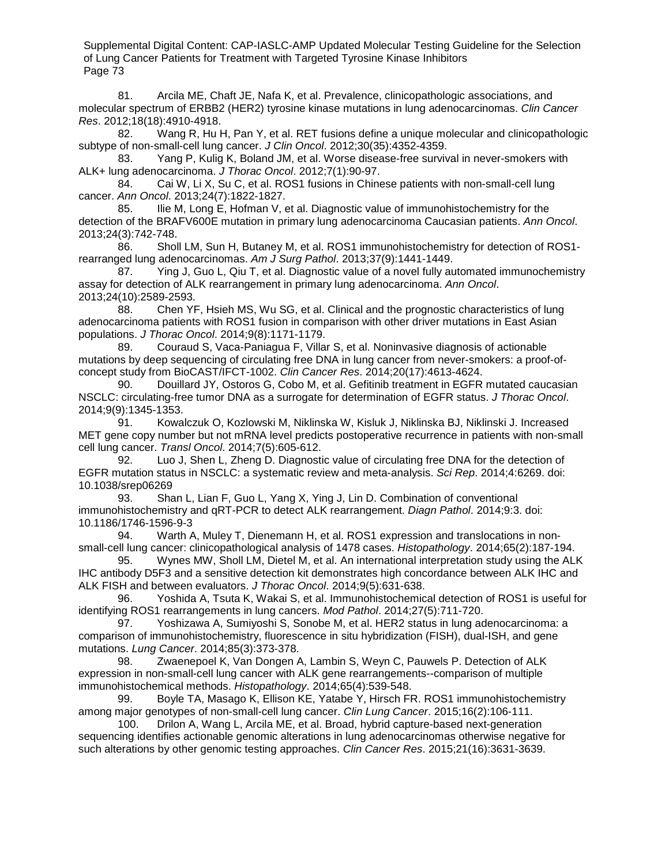81. Arcila ME, Chaft JE, Nafa K, et al. Prevalence, clinicopathologic associations, and molecular spectrum of ERBB2 (HER2) tyrosine kinase mutations in lung adenocarcinomas. *Clin Cancer Res*. 2012;18(18):4910-4918.

82. Wang R, Hu H, Pan Y, et al. RET fusions define a unique molecular and clinicopathologic subtype of non-small-cell lung cancer. *J Clin Oncol*. 2012;30(35):4352-4359.

83. Yang P, Kulig K, Boland JM, et al. Worse disease-free survival in never-smokers with ALK+ lung adenocarcinoma. *J Thorac Oncol*. 2012;7(1):90-97.

84. Cai W, Li X, Su C, et al. ROS1 fusions in Chinese patients with non-small-cell lung cancer. *Ann Oncol*. 2013;24(7):1822-1827.

85. Ilie M, Long E, Hofman V, et al. Diagnostic value of immunohistochemistry for the detection of the BRAFV600E mutation in primary lung adenocarcinoma Caucasian patients. *Ann Oncol*. 2013;24(3):742-748.

86. Sholl LM, Sun H, Butaney M, et al. ROS1 immunohistochemistry for detection of ROS1 rearranged lung adenocarcinomas. *Am J Surg Pathol*. 2013;37(9):1441-1449.

87. Ying J, Guo L, Qiu T, et al. Diagnostic value of a novel fully automated immunochemistry assay for detection of ALK rearrangement in primary lung adenocarcinoma. *Ann Oncol*. 2013;24(10):2589-2593.

88. Chen YF, Hsieh MS, Wu SG, et al. Clinical and the prognostic characteristics of lung adenocarcinoma patients with ROS1 fusion in comparison with other driver mutations in East Asian populations. *J Thorac Oncol*. 2014;9(8):1171-1179.

89. Couraud S, Vaca-Paniagua F, Villar S, et al. Noninvasive diagnosis of actionable mutations by deep sequencing of circulating free DNA in lung cancer from never-smokers: a proof-ofconcept study from BioCAST/IFCT-1002. *Clin Cancer Res*. 2014;20(17):4613-4624.

90. Douillard JY, Ostoros G, Cobo M, et al. Gefitinib treatment in EGFR mutated caucasian NSCLC: circulating-free tumor DNA as a surrogate for determination of EGFR status. *J Thorac Oncol*. 2014;9(9):1345-1353.

91. Kowalczuk O, Kozlowski M, Niklinska W, Kisluk J, Niklinska BJ, Niklinski J. Increased MET gene copy number but not mRNA level predicts postoperative recurrence in patients with non-small cell lung cancer. *Transl Oncol*. 2014;7(5):605-612.

92. Luo J, Shen L, Zheng D. Diagnostic value of circulating free DNA for the detection of EGFR mutation status in NSCLC: a systematic review and meta-analysis. *Sci Rep*. 2014;4:6269. doi: 10.1038/srep06269

93. Shan L, Lian F, Guo L, Yang X, Ying J, Lin D. Combination of conventional immunohistochemistry and qRT-PCR to detect ALK rearrangement. *Diagn Pathol*. 2014;9:3. doi: 10.1186/1746-1596-9-3

94. Warth A, Muley T, Dienemann H, et al. ROS1 expression and translocations in nonsmall-cell lung cancer: clinicopathological analysis of 1478 cases. *Histopathology*. 2014;65(2):187-194.

95. Wynes MW, Sholl LM, Dietel M, et al. An international interpretation study using the ALK IHC antibody D5F3 and a sensitive detection kit demonstrates high concordance between ALK IHC and ALK FISH and between evaluators. *J Thorac Oncol*. 2014;9(5):631-638.

96. Yoshida A, Tsuta K, Wakai S, et al. Immunohistochemical detection of ROS1 is useful for identifying ROS1 rearrangements in lung cancers. *Mod Pathol*. 2014;27(5):711-720.

97. Yoshizawa A, Sumiyoshi S, Sonobe M, et al. HER2 status in lung adenocarcinoma: a comparison of immunohistochemistry, fluorescence in situ hybridization (FISH), dual-ISH, and gene mutations. *Lung Cancer*. 2014;85(3):373-378.

98. Zwaenepoel K, Van Dongen A, Lambin S, Weyn C, Pauwels P. Detection of ALK expression in non-small-cell lung cancer with ALK gene rearrangements--comparison of multiple immunohistochemical methods. *Histopathology*. 2014;65(4):539-548.

99. Boyle TA, Masago K, Ellison KE, Yatabe Y, Hirsch FR. ROS1 immunohistochemistry among major genotypes of non-small-cell lung cancer. *Clin Lung Cancer*. 2015;16(2):106-111.

100. Drilon A, Wang L, Arcila ME, et al. Broad, hybrid capture-based next-generation sequencing identifies actionable genomic alterations in lung adenocarcinomas otherwise negative for such alterations by other genomic testing approaches. *Clin Cancer Res*. 2015;21(16):3631-3639.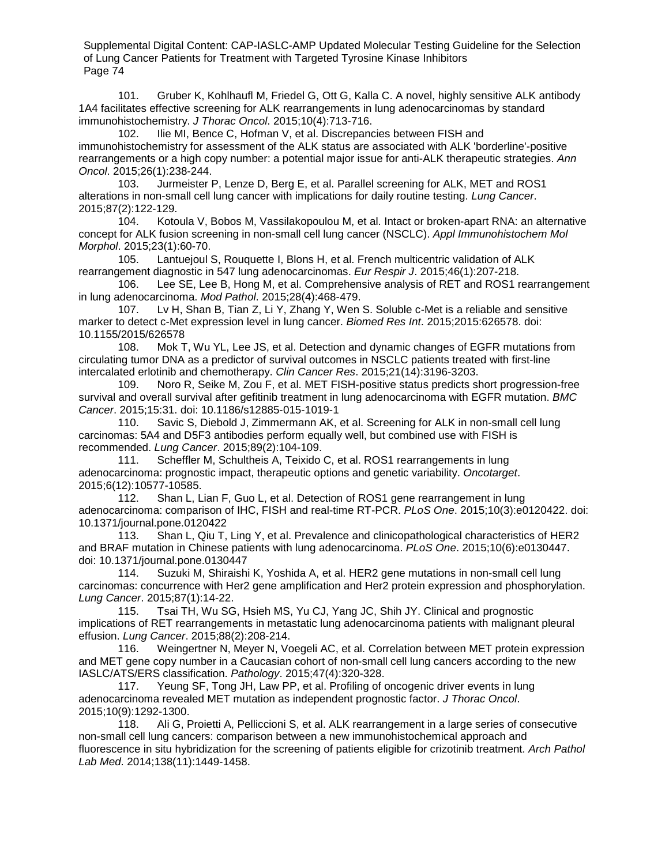101. Gruber K, Kohlhaufl M, Friedel G, Ott G, Kalla C. A novel, highly sensitive ALK antibody 1A4 facilitates effective screening for ALK rearrangements in lung adenocarcinomas by standard immunohistochemistry. *J Thorac Oncol*. 2015;10(4):713-716.

102. Ilie MI, Bence C, Hofman V, et al. Discrepancies between FISH and immunohistochemistry for assessment of the ALK status are associated with ALK 'borderline'-positive rearrangements or a high copy number: a potential major issue for anti-ALK therapeutic strategies. *Ann Oncol*. 2015;26(1):238-244.

103. Jurmeister P, Lenze D, Berg E, et al. Parallel screening for ALK, MET and ROS1 alterations in non-small cell lung cancer with implications for daily routine testing. *Lung Cancer*. 2015;87(2):122-129.

104. Kotoula V, Bobos M, Vassilakopoulou M, et al. Intact or broken-apart RNA: an alternative concept for ALK fusion screening in non-small cell lung cancer (NSCLC). *Appl Immunohistochem Mol Morphol*. 2015;23(1):60-70.

105. Lantuejoul S, Rouquette I, Blons H, et al. French multicentric validation of ALK rearrangement diagnostic in 547 lung adenocarcinomas. *Eur Respir J*. 2015;46(1):207-218.

106. Lee SE, Lee B, Hong M, et al. Comprehensive analysis of RET and ROS1 rearrangement in lung adenocarcinoma. *Mod Pathol*. 2015;28(4):468-479.

107. Lv H, Shan B, Tian Z, Li Y, Zhang Y, Wen S. Soluble c-Met is a reliable and sensitive marker to detect c-Met expression level in lung cancer. *Biomed Res Int*. 2015;2015:626578. doi: 10.1155/2015/626578

108. Mok T, Wu YL, Lee JS, et al. Detection and dynamic changes of EGFR mutations from circulating tumor DNA as a predictor of survival outcomes in NSCLC patients treated with first-line intercalated erlotinib and chemotherapy. *Clin Cancer Res*. 2015;21(14):3196-3203.

109. Noro R, Seike M, Zou F, et al. MET FISH-positive status predicts short progression-free survival and overall survival after gefitinib treatment in lung adenocarcinoma with EGFR mutation. *BMC Cancer*. 2015;15:31. doi: 10.1186/s12885-015-1019-1

110. Savic S, Diebold J, Zimmermann AK, et al. Screening for ALK in non-small cell lung carcinomas: 5A4 and D5F3 antibodies perform equally well, but combined use with FISH is recommended. *Lung Cancer*. 2015;89(2):104-109.

111. Scheffler M, Schultheis A, Teixido C, et al. ROS1 rearrangements in lung adenocarcinoma: prognostic impact, therapeutic options and genetic variability. *Oncotarget*. 2015;6(12):10577-10585.

112. Shan L, Lian F, Guo L, et al. Detection of ROS1 gene rearrangement in lung adenocarcinoma: comparison of IHC, FISH and real-time RT-PCR. *PLoS One*. 2015;10(3):e0120422. doi: 10.1371/journal.pone.0120422

113. Shan L, Qiu T, Ling Y, et al. Prevalence and clinicopathological characteristics of HER2 and BRAF mutation in Chinese patients with lung adenocarcinoma. *PLoS One*. 2015;10(6):e0130447. doi: 10.1371/journal.pone.0130447

114. Suzuki M, Shiraishi K, Yoshida A, et al. HER2 gene mutations in non-small cell lung carcinomas: concurrence with Her2 gene amplification and Her2 protein expression and phosphorylation. *Lung Cancer*. 2015;87(1):14-22.

115. Tsai TH, Wu SG, Hsieh MS, Yu CJ, Yang JC, Shih JY. Clinical and prognostic implications of RET rearrangements in metastatic lung adenocarcinoma patients with malignant pleural effusion. *Lung Cancer*. 2015;88(2):208-214.

116. Weingertner N, Meyer N, Voegeli AC, et al. Correlation between MET protein expression and MET gene copy number in a Caucasian cohort of non-small cell lung cancers according to the new IASLC/ATS/ERS classification. *Pathology*. 2015;47(4):320-328.

117. Yeung SF, Tong JH, Law PP, et al. Profiling of oncogenic driver events in lung adenocarcinoma revealed MET mutation as independent prognostic factor. *J Thorac Oncol*. 2015;10(9):1292-1300.

118. Ali G, Proietti A, Pelliccioni S, et al. ALK rearrangement in a large series of consecutive non-small cell lung cancers: comparison between a new immunohistochemical approach and fluorescence in situ hybridization for the screening of patients eligible for crizotinib treatment. *Arch Pathol Lab Med*. 2014;138(11):1449-1458.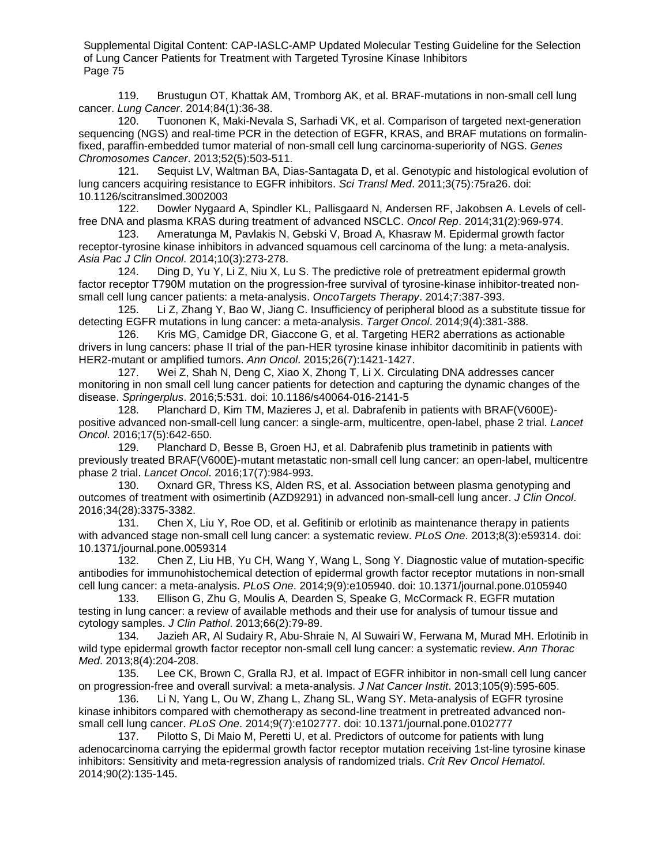119. Brustugun OT, Khattak AM, Tromborg AK, et al. BRAF-mutations in non-small cell lung cancer. *Lung Cancer*. 2014;84(1):36-38.

Tuononen K, Maki-Nevala S, Sarhadi VK, et al. Comparison of targeted next-generation sequencing (NGS) and real-time PCR in the detection of EGFR, KRAS, and BRAF mutations on formalinfixed, paraffin-embedded tumor material of non-small cell lung carcinoma-superiority of NGS. *Genes Chromosomes Cancer*. 2013;52(5):503-511.

121. Sequist LV, Waltman BA, Dias-Santagata D, et al. Genotypic and histological evolution of lung cancers acquiring resistance to EGFR inhibitors. *Sci Transl Med*. 2011;3(75):75ra26. doi: 10.1126/scitranslmed.3002003

122. Dowler Nygaard A, Spindler KL, Pallisgaard N, Andersen RF, Jakobsen A. Levels of cellfree DNA and plasma KRAS during treatment of advanced NSCLC. *Oncol Rep*. 2014;31(2):969-974.

Ameratunga M, Pavlakis N, Gebski V, Broad A, Khasraw M. Epidermal growth factor receptor-tyrosine kinase inhibitors in advanced squamous cell carcinoma of the lung: a meta-analysis. *Asia Pac J Clin Oncol*. 2014;10(3):273-278.

124. Ding D, Yu Y, Li Z, Niu X, Lu S. The predictive role of pretreatment epidermal growth factor receptor T790M mutation on the progression-free survival of tyrosine-kinase inhibitor-treated nonsmall cell lung cancer patients: a meta-analysis. *OncoTargets Therapy*. 2014;7:387-393.

125. Li Z, Zhang Y, Bao W, Jiang C. Insufficiency of peripheral blood as a substitute tissue for detecting EGFR mutations in lung cancer: a meta-analysis. *Target Oncol*. 2014;9(4):381-388.

126. Kris MG, Camidge DR, Giaccone G, et al. Targeting HER2 aberrations as actionable drivers in lung cancers: phase II trial of the pan-HER tyrosine kinase inhibitor dacomitinib in patients with HER2-mutant or amplified tumors. *Ann Oncol*. 2015;26(7):1421-1427.

127. Wei Z, Shah N, Deng C, Xiao X, Zhong T, Li X. Circulating DNA addresses cancer monitoring in non small cell lung cancer patients for detection and capturing the dynamic changes of the disease. *Springerplus*. 2016;5:531. doi: 10.1186/s40064-016-2141-5

128. Planchard D, Kim TM, Mazieres J, et al. Dabrafenib in patients with BRAF(V600E) positive advanced non-small-cell lung cancer: a single-arm, multicentre, open-label, phase 2 trial. *Lancet Oncol*. 2016;17(5):642-650.

129. Planchard D, Besse B, Groen HJ, et al. Dabrafenib plus trametinib in patients with previously treated BRAF(V600E)-mutant metastatic non-small cell lung cancer: an open-label, multicentre phase 2 trial. *Lancet Oncol*. 2016;17(7):984-993.

130. Oxnard GR, Thress KS, Alden RS, et al. Association between plasma genotyping and outcomes of treatment with osimertinib (AZD9291) in advanced non-small-cell lung ancer. *J Clin Oncol*. 2016;34(28):3375-3382.

Chen X, Liu Y, Roe OD, et al. Gefitinib or erlotinib as maintenance therapy in patients with advanced stage non-small cell lung cancer: a systematic review. *PLoS One*. 2013;8(3):e59314. doi: 10.1371/journal.pone.0059314

132. Chen Z, Liu HB, Yu CH, Wang Y, Wang L, Song Y. Diagnostic value of mutation-specific antibodies for immunohistochemical detection of epidermal growth factor receptor mutations in non-small cell lung cancer: a meta-analysis. *PLoS One*. 2014;9(9):e105940. doi: 10.1371/journal.pone.0105940

133. Ellison G, Zhu G, Moulis A, Dearden S, Speake G, McCormack R. EGFR mutation testing in lung cancer: a review of available methods and their use for analysis of tumour tissue and cytology samples. *J Clin Pathol*. 2013;66(2):79-89.

134. Jazieh AR, Al Sudairy R, Abu-Shraie N, Al Suwairi W, Ferwana M, Murad MH. Erlotinib in wild type epidermal growth factor receptor non-small cell lung cancer: a systematic review. *Ann Thorac Med*. 2013;8(4):204-208.

135. Lee CK, Brown C, Gralla RJ, et al. Impact of EGFR inhibitor in non-small cell lung cancer on progression-free and overall survival: a meta-analysis. *J Nat Cancer Instit*. 2013;105(9):595-605.

136. Li N, Yang L, Ou W, Zhang L, Zhang SL, Wang SY. Meta-analysis of EGFR tyrosine kinase inhibitors compared with chemotherapy as second-line treatment in pretreated advanced nonsmall cell lung cancer. *PLoS One*. 2014;9(7):e102777. doi: 10.1371/journal.pone.0102777

137. Pilotto S, Di Maio M, Peretti U, et al. Predictors of outcome for patients with lung adenocarcinoma carrying the epidermal growth factor receptor mutation receiving 1st-line tyrosine kinase inhibitors: Sensitivity and meta-regression analysis of randomized trials. *Crit Rev Oncol Hematol*. 2014;90(2):135-145.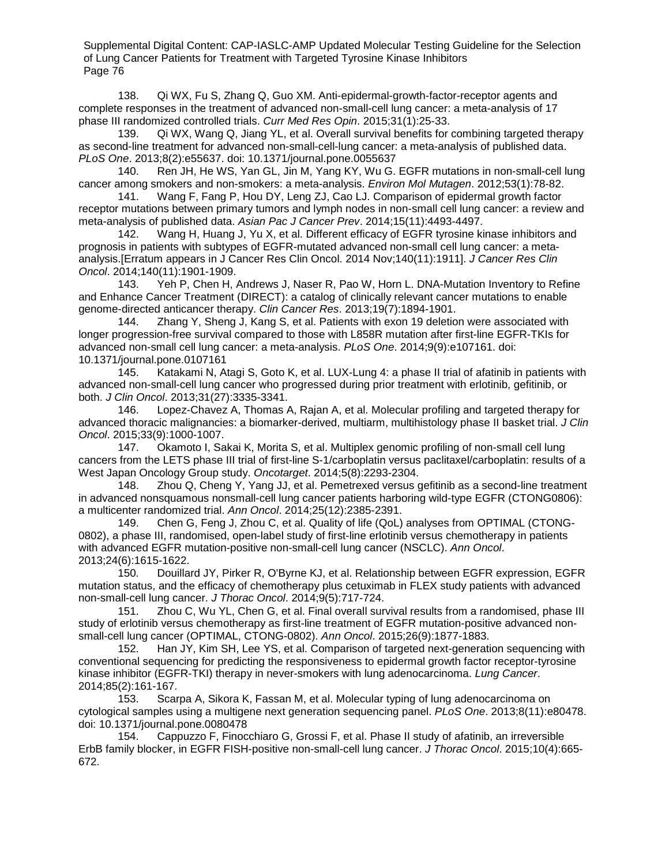138. Qi WX, Fu S, Zhang Q, Guo XM. Anti-epidermal-growth-factor-receptor agents and complete responses in the treatment of advanced non-small-cell lung cancer: a meta-analysis of 17 phase III randomized controlled trials. *Curr Med Res Opin*. 2015;31(1):25-33.

139. Qi WX, Wang Q, Jiang YL, et al. Overall survival benefits for combining targeted therapy as second-line treatment for advanced non-small-cell-lung cancer: a meta-analysis of published data. *PLoS One*. 2013;8(2):e55637. doi: 10.1371/journal.pone.0055637

140. Ren JH, He WS, Yan GL, Jin M, Yang KY, Wu G. EGFR mutations in non-small-cell lung cancer among smokers and non-smokers: a meta-analysis. *Environ Mol Mutagen*. 2012;53(1):78-82.

141. Wang F, Fang P, Hou DY, Leng ZJ, Cao LJ. Comparison of epidermal growth factor receptor mutations between primary tumors and lymph nodes in non-small cell lung cancer: a review and meta-analysis of published data. *Asian Pac J Cancer Prev*. 2014;15(11):4493-4497.

142. Wang H, Huang J, Yu X, et al. Different efficacy of EGFR tyrosine kinase inhibitors and prognosis in patients with subtypes of EGFR-mutated advanced non-small cell lung cancer: a metaanalysis.[Erratum appears in J Cancer Res Clin Oncol. 2014 Nov;140(11):1911]. *J Cancer Res Clin Oncol*. 2014;140(11):1901-1909.

143. Yeh P, Chen H, Andrews J, Naser R, Pao W, Horn L. DNA-Mutation Inventory to Refine and Enhance Cancer Treatment (DIRECT): a catalog of clinically relevant cancer mutations to enable genome-directed anticancer therapy. *Clin Cancer Res*. 2013;19(7):1894-1901.

144. Zhang Y, Sheng J, Kang S, et al. Patients with exon 19 deletion were associated with longer progression-free survival compared to those with L858R mutation after first-line EGFR-TKIs for advanced non-small cell lung cancer: a meta-analysis. *PLoS One*. 2014;9(9):e107161. doi: 10.1371/journal.pone.0107161

Katakami N, Atagi S, Goto K, et al. LUX-Lung 4: a phase II trial of afatinib in patients with advanced non-small-cell lung cancer who progressed during prior treatment with erlotinib, gefitinib, or both. *J Clin Oncol*. 2013;31(27):3335-3341.

146. Lopez-Chavez A, Thomas A, Rajan A, et al. Molecular profiling and targeted therapy for advanced thoracic malignancies: a biomarker-derived, multiarm, multihistology phase II basket trial. *J Clin Oncol*. 2015;33(9):1000-1007.

147. Okamoto I, Sakai K, Morita S, et al. Multiplex genomic profiling of non-small cell lung cancers from the LETS phase III trial of first-line S-1/carboplatin versus paclitaxel/carboplatin: results of a West Japan Oncology Group study. *Oncotarget*. 2014;5(8):2293-2304.

148. Zhou Q, Cheng Y, Yang JJ, et al. Pemetrexed versus gefitinib as a second-line treatment in advanced nonsquamous nonsmall-cell lung cancer patients harboring wild-type EGFR (CTONG0806): a multicenter randomized trial. *Ann Oncol*. 2014;25(12):2385-2391.

149. Chen G, Feng J, Zhou C, et al. Quality of life (QoL) analyses from OPTIMAL (CTONG-0802), a phase III, randomised, open-label study of first-line erlotinib versus chemotherapy in patients with advanced EGFR mutation-positive non-small-cell lung cancer (NSCLC). *Ann Oncol*. 2013;24(6):1615-1622.

150. Douillard JY, Pirker R, O'Byrne KJ, et al. Relationship between EGFR expression, EGFR mutation status, and the efficacy of chemotherapy plus cetuximab in FLEX study patients with advanced non-small-cell lung cancer. *J Thorac Oncol*. 2014;9(5):717-724.

151. Zhou C, Wu YL, Chen G, et al. Final overall survival results from a randomised, phase III study of erlotinib versus chemotherapy as first-line treatment of EGFR mutation-positive advanced nonsmall-cell lung cancer (OPTIMAL, CTONG-0802). *Ann Oncol*. 2015;26(9):1877-1883.

152. Han JY, Kim SH, Lee YS, et al. Comparison of targeted next-generation sequencing with conventional sequencing for predicting the responsiveness to epidermal growth factor receptor-tyrosine kinase inhibitor (EGFR-TKI) therapy in never-smokers with lung adenocarcinoma. *Lung Cancer*. 2014;85(2):161-167.

153. Scarpa A, Sikora K, Fassan M, et al. Molecular typing of lung adenocarcinoma on cytological samples using a multigene next generation sequencing panel. *PLoS One*. 2013;8(11):e80478. doi: 10.1371/journal.pone.0080478

154. Cappuzzo F, Finocchiaro G, Grossi F, et al. Phase II study of afatinib, an irreversible ErbB family blocker, in EGFR FISH-positive non-small-cell lung cancer. *J Thorac Oncol*. 2015;10(4):665- 672.